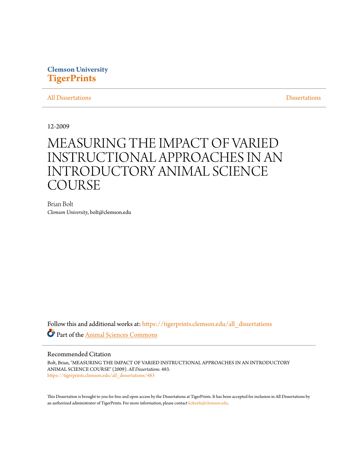## **Clemson University [TigerPrints](https://tigerprints.clemson.edu?utm_source=tigerprints.clemson.edu%2Fall_dissertations%2F483&utm_medium=PDF&utm_campaign=PDFCoverPages)**

#### [All Dissertations](https://tigerprints.clemson.edu/all_dissertations?utm_source=tigerprints.clemson.edu%2Fall_dissertations%2F483&utm_medium=PDF&utm_campaign=PDFCoverPages) [Dissertations](https://tigerprints.clemson.edu/dissertations?utm_source=tigerprints.clemson.edu%2Fall_dissertations%2F483&utm_medium=PDF&utm_campaign=PDFCoverPages)

12-2009

# MEASURING THE IMPACT OF VARIED INSTRUCTIONAL APPROACHES IN AN INTRODUCTORY ANIMAL SCIENCE COURSE

Brian Bolt *Clemson University*, bolt@clemson.edu

Follow this and additional works at: [https://tigerprints.clemson.edu/all\\_dissertations](https://tigerprints.clemson.edu/all_dissertations?utm_source=tigerprints.clemson.edu%2Fall_dissertations%2F483&utm_medium=PDF&utm_campaign=PDFCoverPages) Part of the [Animal Sciences Commons](http://network.bepress.com/hgg/discipline/76?utm_source=tigerprints.clemson.edu%2Fall_dissertations%2F483&utm_medium=PDF&utm_campaign=PDFCoverPages)

### Recommended Citation

Bolt, Brian, "MEASURING THE IMPACT OF VARIED INSTRUCTIONAL APPROACHES IN AN INTRODUCTORY ANIMAL SCIENCE COURSE" (2009). *All Dissertations*. 483. [https://tigerprints.clemson.edu/all\\_dissertations/483](https://tigerprints.clemson.edu/all_dissertations/483?utm_source=tigerprints.clemson.edu%2Fall_dissertations%2F483&utm_medium=PDF&utm_campaign=PDFCoverPages)

This Dissertation is brought to you for free and open access by the Dissertations at TigerPrints. It has been accepted for inclusion in All Dissertations by an authorized administrator of TigerPrints. For more information, please contact [kokeefe@clemson.edu.](mailto:kokeefe@clemson.edu)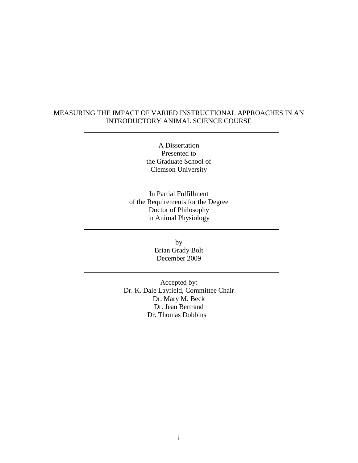### MEASURING THE IMPACT OF VARIED INSTRUCTIONAL APPROACHES IN AN INTRODUCTORY ANIMAL SCIENCE COURSE

A Dissertation Presented to the Graduate School of Clemson University

In Partial Fulfillment of the Requirements for the Degree Doctor of Philosophy in Animal Physiology

> by Brian Grady Bolt December 2009

Accepted by: Dr. K. Dale Layfield, Committee Chair Dr. Mary M. Beck Dr. Jean Bertrand Dr. Thomas Dobbins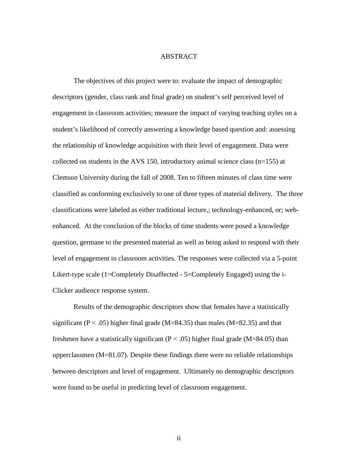#### ABSTRACT

The objectives of this project were to: evaluate the impact of demographic descriptors (gender, class rank and final grade) on student's self perceived level of engagement in classroom activities; measure the impact of varying teaching styles on a student's likelihood of correctly answering a knowledge based question and: assessing the relationship of knowledge acquisition with their level of engagement. Data were collected on students in the AVS 150, introductory animal science class (n=155) at Clemson University during the fall of 2008. Ten to fifteen minutes of class time were classified as conforming exclusively to one of three types of material delivery. The three classifications were labeled as either traditional lecture,; technology-enhanced, or; webenhanced. At the conclusion of the blocks of time students were posed a knowledge question, germane to the presented material as well as being asked to respond with their level of engagement in classroom activities. The responses were collected via a 5-point Likert-type scale (1=Completely Disaffected - 5=Completely Engaged) using the i-Clicker audience response system.

Results of the demographic descriptors show that females have a statistically significant ( $P < .05$ ) higher final grade (M=84.35) than males (M=82.35) and that freshmen have a statistically significant ( $P < .05$ ) higher final grade (M=84.05) than upperclassmen (M=81.07). Despite these findings there were no reliable relationships between descriptors and level of engagement. Ultimately no demographic descriptors were found to be useful in predicting level of classroom engagement.

ii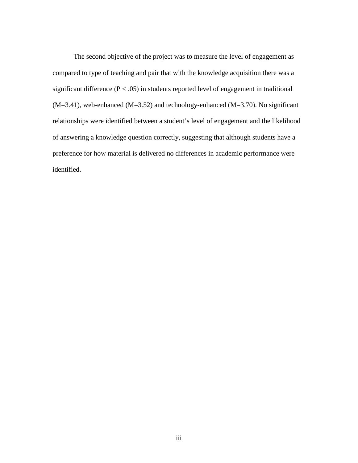The second objective of the project was to measure the level of engagement as compared to type of teaching and pair that with the knowledge acquisition there was a significant difference  $(P < .05)$  in students reported level of engagement in traditional  $(M=3.41)$ , web-enhanced  $(M=3.52)$  and technology-enhanced  $(M=3.70)$ . No significant relationships were identified between a student's level of engagement and the likelihood of answering a knowledge question correctly, suggesting that although students have a preference for how material is delivered no differences in academic performance were identified.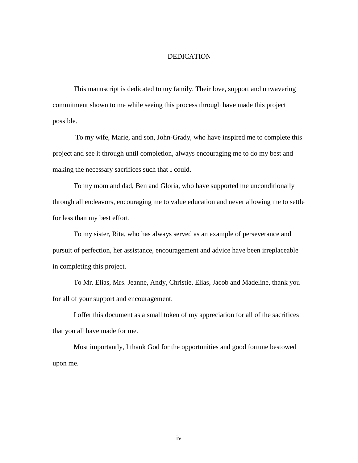#### DEDICATION

This manuscript is dedicated to my family. Their love, support and unwavering commitment shown to me while seeing this process through have made this project possible.

 To my wife, Marie, and son, John-Grady, who have inspired me to complete this project and see it through until completion, always encouraging me to do my best and making the necessary sacrifices such that I could.

To my mom and dad, Ben and Gloria, who have supported me unconditionally through all endeavors, encouraging me to value education and never allowing me to settle for less than my best effort.

To my sister, Rita, who has always served as an example of perseverance and pursuit of perfection, her assistance, encouragement and advice have been irreplaceable in completing this project.

To Mr. Elias, Mrs. Jeanne, Andy, Christie, Elias, Jacob and Madeline, thank you for all of your support and encouragement.

I offer this document as a small token of my appreciation for all of the sacrifices that you all have made for me.

Most importantly, I thank God for the opportunities and good fortune bestowed upon me.

iv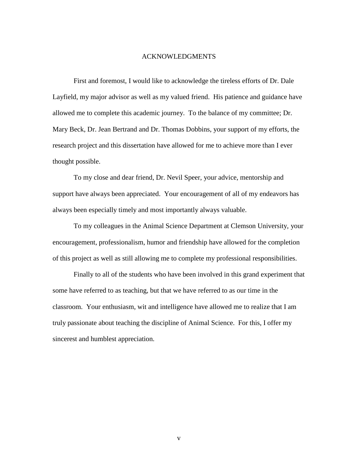#### ACKNOWLEDGMENTS

First and foremost, I would like to acknowledge the tireless efforts of Dr. Dale Layfield, my major advisor as well as my valued friend. His patience and guidance have allowed me to complete this academic journey. To the balance of my committee; Dr. Mary Beck, Dr. Jean Bertrand and Dr. Thomas Dobbins, your support of my efforts, the research project and this dissertation have allowed for me to achieve more than I ever thought possible.

To my close and dear friend, Dr. Nevil Speer, your advice, mentorship and support have always been appreciated. Your encouragement of all of my endeavors has always been especially timely and most importantly always valuable.

To my colleagues in the Animal Science Department at Clemson University, your encouragement, professionalism, humor and friendship have allowed for the completion of this project as well as still allowing me to complete my professional responsibilities.

Finally to all of the students who have been involved in this grand experiment that some have referred to as teaching, but that we have referred to as our time in the classroom. Your enthusiasm, wit and intelligence have allowed me to realize that I am truly passionate about teaching the discipline of Animal Science. For this, I offer my sincerest and humblest appreciation.

v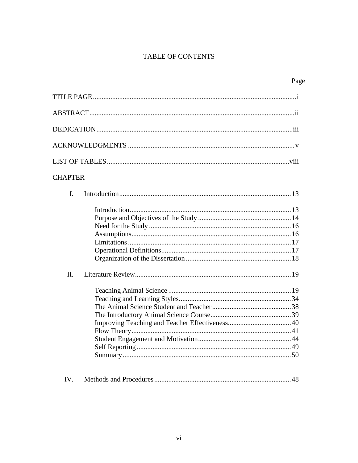# TABLE OF CONTENTS

| <b>CHAPTER</b>                                                                                                                                                                                                                                                                                                                                                                                             |
|------------------------------------------------------------------------------------------------------------------------------------------------------------------------------------------------------------------------------------------------------------------------------------------------------------------------------------------------------------------------------------------------------------|
| I.                                                                                                                                                                                                                                                                                                                                                                                                         |
| $\Pi$ .                                                                                                                                                                                                                                                                                                                                                                                                    |
|                                                                                                                                                                                                                                                                                                                                                                                                            |
| $\Lambda$ $\Omega$<br>$\overline{M}$ $\overline{M}$ $\overline{M}$ $\overline{M}$ $\overline{M}$ $\overline{M}$ $\overline{M}$ $\overline{M}$ $\overline{M}$ $\overline{M}$ $\overline{M}$ $\overline{M}$ $\overline{M}$ $\overline{M}$ $\overline{M}$ $\overline{M}$ $\overline{M}$ $\overline{M}$ $\overline{M}$ $\overline{M}$ $\overline{M}$ $\overline{M}$ $\overline{M}$ $\overline{M}$ $\overline{$ |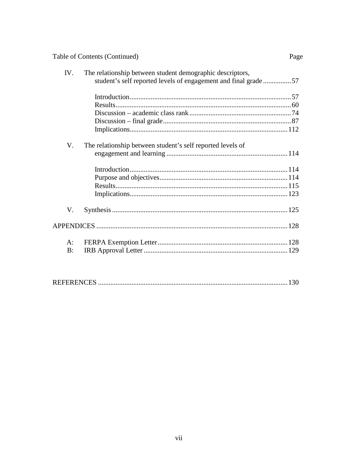|       | Table of Contents (Continued)                                                                                               | Page |
|-------|-----------------------------------------------------------------------------------------------------------------------------|------|
| IV.   | The relationship between student demographic descriptors,<br>student's self reported levels of engagement and final grade57 |      |
|       |                                                                                                                             |      |
|       |                                                                                                                             |      |
|       |                                                                                                                             |      |
|       |                                                                                                                             |      |
|       |                                                                                                                             |      |
| V.    | The relationship between student's self reported levels of                                                                  |      |
|       |                                                                                                                             |      |
|       |                                                                                                                             |      |
|       |                                                                                                                             |      |
|       |                                                                                                                             |      |
|       |                                                                                                                             |      |
| V.    |                                                                                                                             |      |
|       |                                                                                                                             |      |
| $A$ : |                                                                                                                             |      |
| B:    |                                                                                                                             |      |

|--|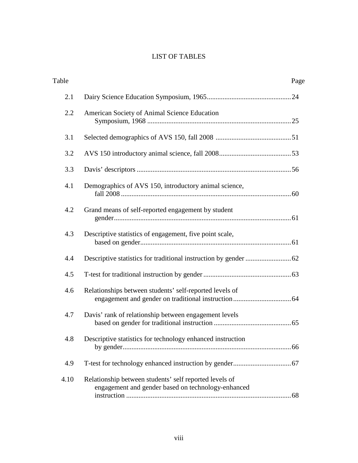# LIST OF TABLES

| Table |                                                                                                              | Page |
|-------|--------------------------------------------------------------------------------------------------------------|------|
| 2.1   |                                                                                                              |      |
| 2.2   | American Society of Animal Science Education                                                                 |      |
| 3.1   |                                                                                                              |      |
| 3.2   |                                                                                                              |      |
| 3.3   |                                                                                                              |      |
| 4.1   | Demographics of AVS 150, introductory animal science,                                                        |      |
| 4.2   | Grand means of self-reported engagement by student                                                           |      |
| 4.3   | Descriptive statistics of engagement, five point scale,                                                      |      |
| 4.4   |                                                                                                              |      |
| 4.5   |                                                                                                              |      |
| 4.6   | Relationships between students' self-reported levels of                                                      |      |
| 4.7   | Davis' rank of relationship between engagement levels                                                        |      |
| 4.8   | Descriptive statistics for technology enhanced instruction                                                   |      |
| 4.9   |                                                                                                              |      |
| 4.10  | Relationship between students' self reported levels of<br>engagement and gender based on technology-enhanced |      |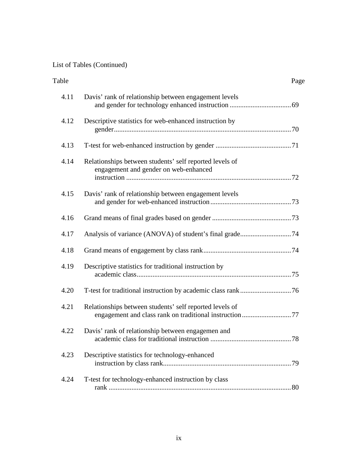# List of Tables (Continued)

| Table |                                                                                                  | Page |
|-------|--------------------------------------------------------------------------------------------------|------|
| 4.11  | Davis' rank of relationship between engagement levels                                            |      |
| 4.12  | Descriptive statistics for web-enhanced instruction by                                           |      |
| 4.13  |                                                                                                  |      |
| 4.14  | Relationships between students' self reported levels of<br>engagement and gender on web-enhanced |      |
| 4.15  | Davis' rank of relationship between engagement levels                                            |      |
| 4.16  |                                                                                                  |      |
| 4.17  |                                                                                                  |      |
| 4.18  |                                                                                                  |      |
| 4.19  | Descriptive statistics for traditional instruction by                                            |      |
| 4.20  |                                                                                                  |      |
| 4.21  | Relationships between students' self reported levels of                                          |      |
| 4.22  | Davis' rank of relationship between engagemen and<br>academic class for traditional instruction. | 78   |
| 4.23  | Descriptive statistics for technology-enhanced                                                   |      |
| 4.24  | T-test for technology-enhanced instruction by class                                              |      |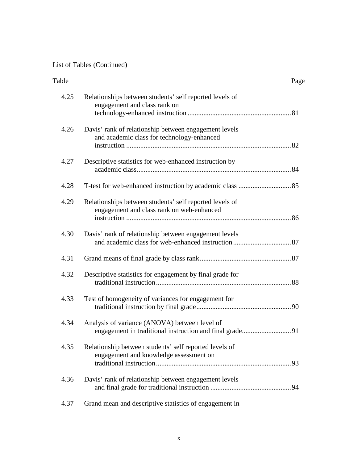# List of Tables (Continued)

| Table |                                                                                                      | Page |
|-------|------------------------------------------------------------------------------------------------------|------|
| 4.25  | Relationships between students' self reported levels of<br>engagement and class rank on              |      |
| 4.26  | Davis' rank of relationship between engagement levels<br>and academic class for technology-enhanced  |      |
| 4.27  | Descriptive statistics for web-enhanced instruction by                                               |      |
| 4.28  |                                                                                                      |      |
| 4.29  | Relationships between students' self reported levels of<br>engagement and class rank on web-enhanced |      |
| 4.30  | Davis' rank of relationship between engagement levels                                                |      |
| 4.31  |                                                                                                      |      |
| 4.32  | Descriptive statistics for engagement by final grade for                                             |      |
| 4.33  | Test of homogeneity of variances for engagement for                                                  |      |
| 4.34  | Analysis of variance (ANOVA) between level of                                                        |      |
| 4.35  | Relationship between students' self reported levels of<br>engagement and knowledge assessment on     |      |
| 4.36  | Davis' rank of relationship between engagement levels                                                |      |
| 4.37  | Grand mean and descriptive statistics of engagement in                                               |      |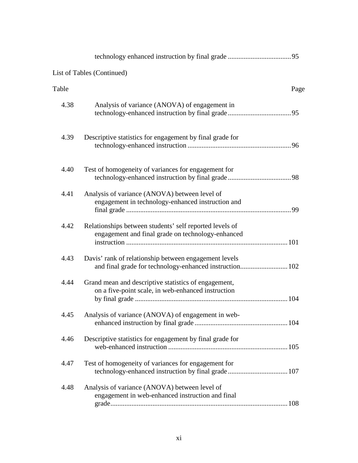|       | <b>List of Tables (Continued)</b>                                                                                |      |
|-------|------------------------------------------------------------------------------------------------------------------|------|
| Table |                                                                                                                  | Page |
| 4.38  | Analysis of variance (ANOVA) of engagement in                                                                    |      |
| 4.39  | Descriptive statistics for engagement by final grade for                                                         |      |
| 4.40  | Test of homogeneity of variances for engagement for                                                              |      |
| 4.41  | Analysis of variance (ANOVA) between level of<br>engagement in technology-enhanced instruction and               |      |
| 4.42  | Relationships between students' self reported levels of<br>engagement and final grade on technology-enhanced     |      |
| 4.43  | Davis' rank of relationship between engagement levels<br>and final grade for technology-enhanced instruction 102 |      |
| 4.44  | Grand mean and descriptive statistics of engagement,<br>on a five-point scale, in web-enhanced instruction       |      |
| 4.45  | Analysis of variance (ANOVA) of engagement in web-                                                               |      |
| 4.46  | Descriptive statistics for engagement by final grade for                                                         |      |
| 4.47  | Test of homogeneity of variances for engagement for                                                              |      |
| 4.48  | Analysis of variance (ANOVA) between level of<br>engagement in web-enhanced instruction and final                |      |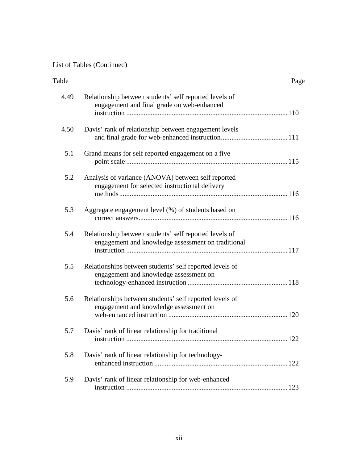# List of Tables (Continued)

| Table |                                                                                                              | Page |
|-------|--------------------------------------------------------------------------------------------------------------|------|
| 4.49  | Relationship between students' self reported levels of<br>engagement and final grade on web-enhanced         |      |
| 4.50  | Davis' rank of relationship between engagement levels                                                        |      |
| 5.1   | Grand means for self reported engagement on a five                                                           |      |
| 5.2   | Analysis of variance (ANOVA) between self reported<br>engagement for selected instructional delivery         |      |
| 5.3   | Aggregate engagement level (%) of students based on                                                          |      |
| 5.4   | Relationship between students' self reported levels of<br>engagement and knowledge assessment on traditional |      |
| 5.5   | Relationships between students' self reported levels of<br>engagement and knowledge assessment on            |      |
| 5.6   | Relationships between students' self reported levels of<br>engagement and knowledge assessment on            |      |
| 5.7   | Davis' rank of linear relationship for traditional<br>instruction                                            | 122  |
| 5.8   | Davis' rank of linear relationship for technology-                                                           |      |
| 5.9   | Davis' rank of linear relationship for web-enhanced                                                          |      |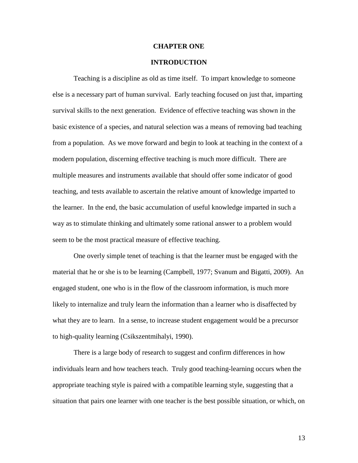#### **CHAPTER ONE**

#### **INTRODUCTION**

Teaching is a discipline as old as time itself. To impart knowledge to someone else is a necessary part of human survival. Early teaching focused on just that, imparting survival skills to the next generation. Evidence of effective teaching was shown in the basic existence of a species, and natural selection was a means of removing bad teaching from a population. As we move forward and begin to look at teaching in the context of a modern population, discerning effective teaching is much more difficult. There are multiple measures and instruments available that should offer some indicator of good teaching, and tests available to ascertain the relative amount of knowledge imparted to the learner. In the end, the basic accumulation of useful knowledge imparted in such a way as to stimulate thinking and ultimately some rational answer to a problem would seem to be the most practical measure of effective teaching.

One overly simple tenet of teaching is that the learner must be engaged with the material that he or she is to be learning (Campbell, 1977; Svanum and Bigatti, 2009). An engaged student, one who is in the flow of the classroom information, is much more likely to internalize and truly learn the information than a learner who is disaffected by what they are to learn. In a sense, to increase student engagement would be a precursor to high-quality learning (Csikszentmihalyi, 1990).

There is a large body of research to suggest and confirm differences in how individuals learn and how teachers teach. Truly good teaching-learning occurs when the appropriate teaching style is paired with a compatible learning style, suggesting that a situation that pairs one learner with one teacher is the best possible situation, or which, on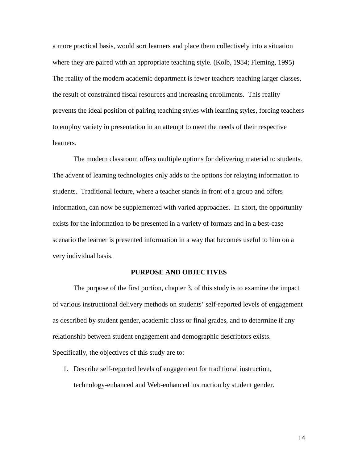a more practical basis, would sort learners and place them collectively into a situation where they are paired with an appropriate teaching style. (Kolb, 1984; Fleming, 1995) The reality of the modern academic department is fewer teachers teaching larger classes, the result of constrained fiscal resources and increasing enrollments. This reality prevents the ideal position of pairing teaching styles with learning styles, forcing teachers to employ variety in presentation in an attempt to meet the needs of their respective learners.

The modern classroom offers multiple options for delivering material to students. The advent of learning technologies only adds to the options for relaying information to students. Traditional lecture, where a teacher stands in front of a group and offers information, can now be supplemented with varied approaches. In short, the opportunity exists for the information to be presented in a variety of formats and in a best-case scenario the learner is presented information in a way that becomes useful to him on a very individual basis.

#### **PURPOSE AND OBJECTIVES**

 The purpose of the first portion, chapter 3, of this study is to examine the impact of various instructional delivery methods on students' self-reported levels of engagement as described by student gender, academic class or final grades, and to determine if any relationship between student engagement and demographic descriptors exists. Specifically, the objectives of this study are to:

1. Describe self-reported levels of engagement for traditional instruction, technology-enhanced and Web-enhanced instruction by student gender.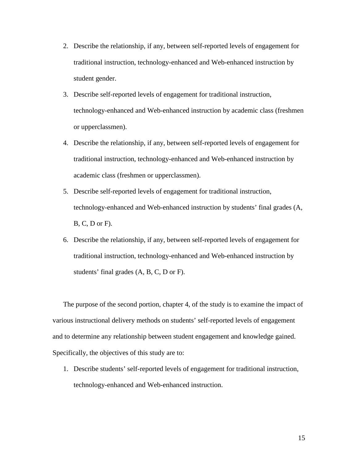- 2. Describe the relationship, if any, between self-reported levels of engagement for traditional instruction, technology-enhanced and Web-enhanced instruction by student gender.
- 3. Describe self-reported levels of engagement for traditional instruction, technology-enhanced and Web-enhanced instruction by academic class (freshmen or upperclassmen).
- 4. Describe the relationship, if any, between self-reported levels of engagement for traditional instruction, technology-enhanced and Web-enhanced instruction by academic class (freshmen or upperclassmen).
- 5. Describe self-reported levels of engagement for traditional instruction, technology-enhanced and Web-enhanced instruction by students' final grades (A, B, C, D or F).
- 6. Describe the relationship, if any, between self-reported levels of engagement for traditional instruction, technology-enhanced and Web-enhanced instruction by students' final grades (A, B, C, D or F).

The purpose of the second portion, chapter 4, of the study is to examine the impact of various instructional delivery methods on students' self-reported levels of engagement and to determine any relationship between student engagement and knowledge gained. Specifically, the objectives of this study are to:

1. Describe students' self-reported levels of engagement for traditional instruction, technology-enhanced and Web-enhanced instruction.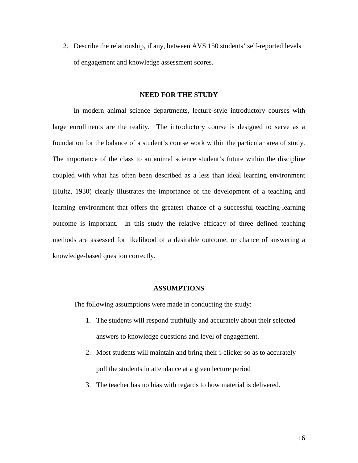2. Describe the relationship, if any, between AVS 150 students' self-reported levels of engagement and knowledge assessment scores.

#### **NEED FOR THE STUDY**

 In modern animal science departments, lecture-style introductory courses with large enrollments are the reality. The introductory course is designed to serve as a foundation for the balance of a student's course work within the particular area of study. The importance of the class to an animal science student's future within the discipline coupled with what has often been described as a less than ideal learning environment (Hultz, 1930) clearly illustrates the importance of the development of a teaching and learning environment that offers the greatest chance of a successful teaching-learning outcome is important.In this study the relative efficacy of three defined teaching methods are assessed for likelihood of a desirable outcome, or chance of answering a knowledge-based question correctly.

#### **ASSUMPTIONS**

The following assumptions were made in conducting the study:

- 1. The students will respond truthfully and accurately about their selected answers to knowledge questions and level of engagement.
- 2. Most students will maintain and bring their i-clicker so as to accurately poll the students in attendance at a given lecture period
- 3. The teacher has no bias with regards to how material is delivered.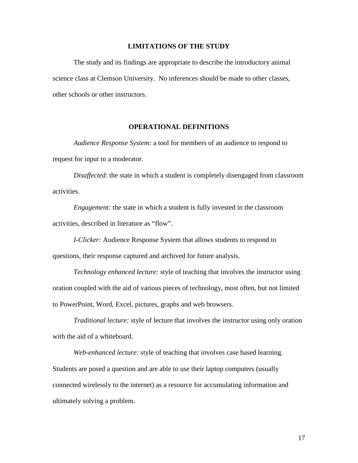### **LIMITATIONS OF THE STUDY**

 The study and its findings are appropriate to describe the introductory animal science class at Clemson University. No inferences should be made to other classes, other schools or other instructors.

#### **OPERATIONAL DEFINITIONS**

*Audience Response System:* a tool for members of an audience to respond to request for input to a moderator.

*Disaffected*: the state in which a student is completely disengaged from classroom activities.

*Engagement:* the state in which a student is fully invested in the classroom activities, described in literature as "flow".

*I-Clicker:* Audience Response System that allows students to respond to questions, their response captured and archived for future analysis.

*Technology enhanced lecture:* style of teaching that involves the instructor using oration coupled with the aid of various pieces of technology, most often, but not limited to PowerPoint, Word, Excel, pictures, graphs and web browsers.

*Traditional lecture:* style of lecture that involves the instructor using only oration with the aid of a whiteboard.

*Web-enhanced lecture:* style of teaching that involves case based learning. Students are posed a question and are able to use their laptop computers (usually connected wirelessly to the internet) as a resource for accumulating information and ultimately solving a problem.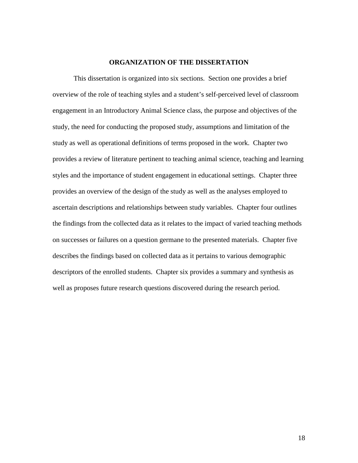### **ORGANIZATION OF THE DISSERTATION**

 This dissertation is organized into six sections. Section one provides a brief overview of the role of teaching styles and a student's self-perceived level of classroom engagement in an Introductory Animal Science class, the purpose and objectives of the study, the need for conducting the proposed study, assumptions and limitation of the study as well as operational definitions of terms proposed in the work. Chapter two provides a review of literature pertinent to teaching animal science, teaching and learning styles and the importance of student engagement in educational settings. Chapter three provides an overview of the design of the study as well as the analyses employed to ascertain descriptions and relationships between study variables. Chapter four outlines the findings from the collected data as it relates to the impact of varied teaching methods on successes or failures on a question germane to the presented materials. Chapter five describes the findings based on collected data as it pertains to various demographic descriptors of the enrolled students. Chapter six provides a summary and synthesis as well as proposes future research questions discovered during the research period.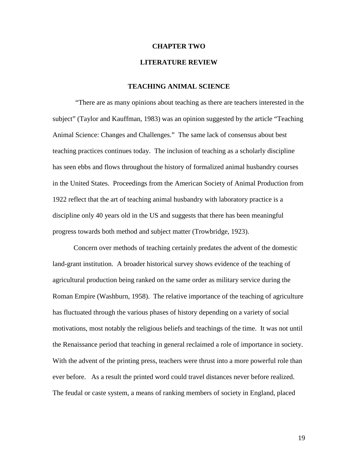#### **CHAPTER TWO**

### **LITERATURE REVIEW**

### **TEACHING ANIMAL SCIENCE**

 "There are as many opinions about teaching as there are teachers interested in the subject" (Taylor and Kauffman, 1983) was an opinion suggested by the article "Teaching Animal Science: Changes and Challenges." The same lack of consensus about best teaching practices continues today. The inclusion of teaching as a scholarly discipline has seen ebbs and flows throughout the history of formalized animal husbandry courses in the United States. Proceedings from the American Society of Animal Production from 1922 reflect that the art of teaching animal husbandry with laboratory practice is a discipline only 40 years old in the US and suggests that there has been meaningful progress towards both method and subject matter (Trowbridge, 1923).

Concern over methods of teaching certainly predates the advent of the domestic land-grant institution. A broader historical survey shows evidence of the teaching of agricultural production being ranked on the same order as military service during the Roman Empire (Washburn, 1958). The relative importance of the teaching of agriculture has fluctuated through the various phases of history depending on a variety of social motivations, most notably the religious beliefs and teachings of the time. It was not until the Renaissance period that teaching in general reclaimed a role of importance in society. With the advent of the printing press, teachers were thrust into a more powerful role than ever before. As a result the printed word could travel distances never before realized. The feudal or caste system, a means of ranking members of society in England, placed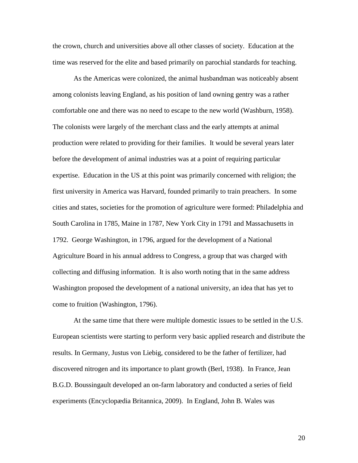the crown, church and universities above all other classes of society. Education at the time was reserved for the elite and based primarily on parochial standards for teaching.

As the Americas were colonized, the animal husbandman was noticeably absent among colonists leaving England, as his position of land owning gentry was a rather comfortable one and there was no need to escape to the new world (Washburn, 1958). The colonists were largely of the merchant class and the early attempts at animal production were related to providing for their families. It would be several years later before the development of animal industries was at a point of requiring particular expertise. Education in the US at this point was primarily concerned with religion; the first university in America was Harvard, founded primarily to train preachers. In some cities and states, societies for the promotion of agriculture were formed: Philadelphia and South Carolina in 1785, Maine in 1787, New York City in 1791 and Massachusetts in 1792. George Washington, in 1796, argued for the development of a National Agriculture Board in his annual address to Congress, a group that was charged with collecting and diffusing information. It is also worth noting that in the same address Washington proposed the development of a national university, an idea that has yet to come to fruition (Washington, 1796).

At the same time that there were multiple domestic issues to be settled in the U.S. European scientists were starting to perform very basic applied research and distribute the results. In Germany, Justus von Liebig, considered to be the father of fertilizer, had discovered nitrogen and its importance to plant growth (Berl, 1938). In France, Jean B.G.D. Boussingault developed an on-farm laboratory and conducted a series of field experiments (Encyclopædia Britannica, 2009). In England, John B. Wales was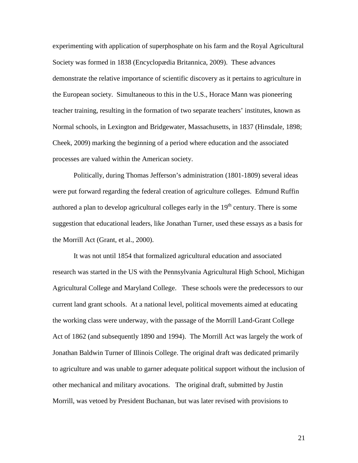experimenting with application of superphosphate on his farm and the Royal Agricultural Society was formed in 1838 (Encyclopædia Britannica, 2009). These advances demonstrate the relative importance of scientific discovery as it pertains to agriculture in the European society. Simultaneous to this in the U.S., Horace Mann was pioneering teacher training, resulting in the formation of two separate teachers' institutes, known as Normal schools, in Lexington and Bridgewater, Massachusetts, in 1837 (Hinsdale, 1898; Cheek, 2009) marking the beginning of a period where education and the associated processes are valued within the American society.

Politically, during Thomas Jefferson's administration (1801-1809) several ideas were put forward regarding the federal creation of agriculture colleges. Edmund Ruffin authored a plan to develop agricultural colleges early in the  $19<sup>th</sup>$  century. There is some suggestion that educational leaders, like Jonathan Turner, used these essays as a basis for the Morrill Act (Grant, et al., 2000).

It was not until 1854 that formalized agricultural education and associated research was started in the US with the Pennsylvania Agricultural High School, Michigan Agricultural College and Maryland College. These schools were the predecessors to our current land grant schools. At a national level, political movements aimed at educating the working class were underway, with the passage of the Morrill Land-Grant College Act of 1862 (and subsequently 1890 and 1994). The Morrill Act was largely the work of Jonathan Baldwin Turner of Illinois College. The original draft was dedicated primarily to agriculture and was unable to garner adequate political support without the inclusion of other mechanical and military avocations. The original draft, submitted by Justin Morrill, was vetoed by President Buchanan, but was later revised with provisions to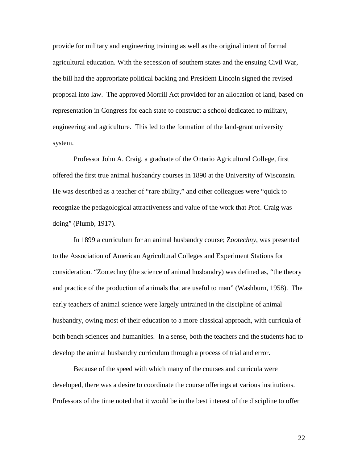provide for military and engineering training as well as the original intent of formal agricultural education. With the secession of southern states and the ensuing Civil War, the bill had the appropriate political backing and President Lincoln signed the revised proposal into law. The approved Morrill Act provided for an allocation of land, based on representation in Congress for each state to construct a school dedicated to military, engineering and agriculture. This led to the formation of the land-grant university system.

Professor John A. Craig, a graduate of the Ontario Agricultural College, first offered the first true animal husbandry courses in 1890 at the University of Wisconsin. He was described as a teacher of "rare ability," and other colleagues were "quick to recognize the pedagological attractiveness and value of the work that Prof. Craig was doing" (Plumb, 1917).

In 1899 a curriculum for an animal husbandry course; Z*ootechny*, was presented to the Association of American Agricultural Colleges and Experiment Stations for consideration. "Zootechny (the science of animal husbandry) was defined as, "the theory and practice of the production of animals that are useful to man" (Washburn, 1958). The early teachers of animal science were largely untrained in the discipline of animal husbandry, owing most of their education to a more classical approach, with curricula of both bench sciences and humanities. In a sense, both the teachers and the students had to develop the animal husbandry curriculum through a process of trial and error.

Because of the speed with which many of the courses and curricula were developed, there was a desire to coordinate the course offerings at various institutions. Professors of the time noted that it would be in the best interest of the discipline to offer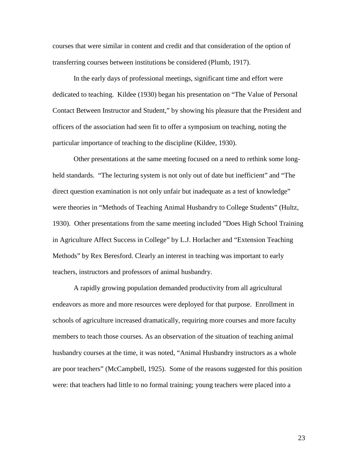courses that were similar in content and credit and that consideration of the option of transferring courses between institutions be considered (Plumb, 1917).

In the early days of professional meetings, significant time and effort were dedicated to teaching. Kildee (1930) began his presentation on "The Value of Personal Contact Between Instructor and Student," by showing his pleasure that the President and officers of the association had seen fit to offer a symposium on teaching, noting the particular importance of teaching to the discipline (Kildee, 1930).

Other presentations at the same meeting focused on a need to rethink some longheld standards. "The lecturing system is not only out of date but inefficient" and "The direct question examination is not only unfair but inadequate as a test of knowledge" were theories in "Methods of Teaching Animal Husbandry to College Students" (Hultz, 1930). Other presentations from the same meeting included "Does High School Training in Agriculture Affect Success in College" by L.J. Horlacher and "Extension Teaching Methods" by Rex Beresford. Clearly an interest in teaching was important to early teachers, instructors and professors of animal husbandry.

A rapidly growing population demanded productivity from all agricultural endeavors as more and more resources were deployed for that purpose. Enrollment in schools of agriculture increased dramatically, requiring more courses and more faculty members to teach those courses. As an observation of the situation of teaching animal husbandry courses at the time, it was noted, "Animal Husbandry instructors as a whole are poor teachers" (McCampbell, 1925). Some of the reasons suggested for this position were: that teachers had little to no formal training; young teachers were placed into a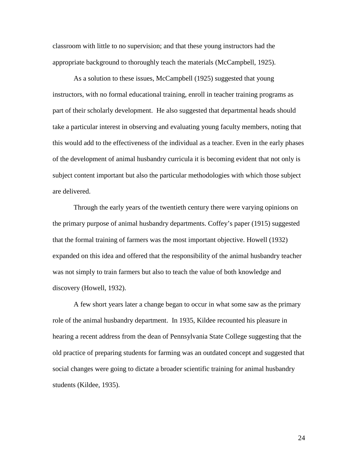classroom with little to no supervision; and that these young instructors had the appropriate background to thoroughly teach the materials (McCampbell, 1925).

As a solution to these issues, McCampbell (1925) suggested that young instructors, with no formal educational training, enroll in teacher training programs as part of their scholarly development. He also suggested that departmental heads should take a particular interest in observing and evaluating young faculty members, noting that this would add to the effectiveness of the individual as a teacher. Even in the early phases of the development of animal husbandry curricula it is becoming evident that not only is subject content important but also the particular methodologies with which those subject are delivered.

Through the early years of the twentieth century there were varying opinions on the primary purpose of animal husbandry departments. Coffey's paper (1915) suggested that the formal training of farmers was the most important objective. Howell (1932) expanded on this idea and offered that the responsibility of the animal husbandry teacher was not simply to train farmers but also to teach the value of both knowledge and discovery (Howell, 1932).

A few short years later a change began to occur in what some saw as the primary role of the animal husbandry department. In 1935, Kildee recounted his pleasure in hearing a recent address from the dean of Pennsylvania State College suggesting that the old practice of preparing students for farming was an outdated concept and suggested that social changes were going to dictate a broader scientific training for animal husbandry students (Kildee, 1935).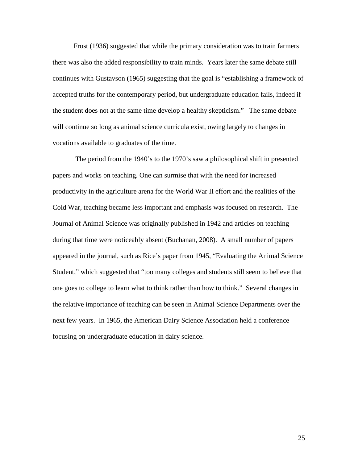Frost (1936) suggested that while the primary consideration was to train farmers there was also the added responsibility to train minds. Years later the same debate still continues with Gustavson (1965) suggesting that the goal is "establishing a framework of accepted truths for the contemporary period, but undergraduate education fails, indeed if the student does not at the same time develop a healthy skepticism." The same debate will continue so long as animal science curricula exist, owing largely to changes in vocations available to graduates of the time.

 The period from the 1940's to the 1970's saw a philosophical shift in presented papers and works on teaching. One can surmise that with the need for increased productivity in the agriculture arena for the World War II effort and the realities of the Cold War, teaching became less important and emphasis was focused on research. The Journal of Animal Science was originally published in 1942 and articles on teaching during that time were noticeably absent (Buchanan, 2008). A small number of papers appeared in the journal, such as Rice's paper from 1945, "Evaluating the Animal Science Student," which suggested that "too many colleges and students still seem to believe that one goes to college to learn what to think rather than how to think." Several changes in the relative importance of teaching can be seen in Animal Science Departments over the next few years. In 1965, the American Dairy Science Association held a conference focusing on undergraduate education in dairy science.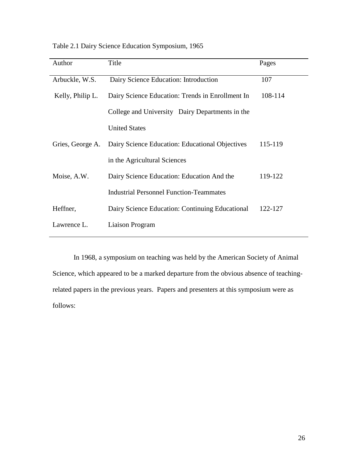| Author           | Title                                            | Pages   |
|------------------|--------------------------------------------------|---------|
| Arbuckle, W.S.   | Dairy Science Education: Introduction            | 107     |
| Kelly, Philip L. | Dairy Science Education: Trends in Enrollment In | 108-114 |
|                  | College and University Dairy Departments in the  |         |
|                  | <b>United States</b>                             |         |
| Gries, George A. | Dairy Science Education: Educational Objectives  | 115-119 |
|                  | in the Agricultural Sciences                     |         |
| Moise, A.W.      | Dairy Science Education: Education And the       | 119-122 |
|                  | <b>Industrial Personnel Function-Teammates</b>   |         |
| Heffner,         | Dairy Science Education: Continuing Educational  | 122-127 |
| Lawrence L.      | Liaison Program                                  |         |

Table 2.1 Dairy Science Education Symposium, 1965

In 1968, a symposium on teaching was held by the American Society of Animal Science, which appeared to be a marked departure from the obvious absence of teachingrelated papers in the previous years. Papers and presenters at this symposium were as follows: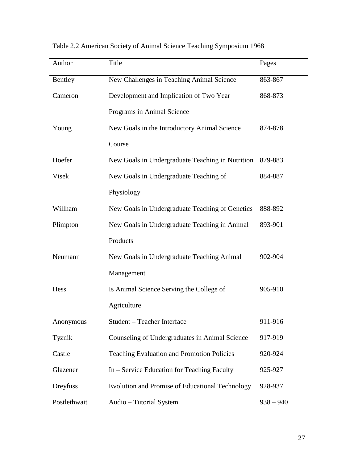| Author       | Title                                             | Pages       |
|--------------|---------------------------------------------------|-------------|
| Bentley      | New Challenges in Teaching Animal Science         | 863-867     |
| Cameron      | Development and Implication of Two Year           | 868-873     |
|              | Programs in Animal Science                        |             |
| Young        | New Goals in the Introductory Animal Science      | 874-878     |
|              | Course                                            |             |
| Hoefer       | New Goals in Undergraduate Teaching in Nutrition  | 879-883     |
| Visek        | New Goals in Undergraduate Teaching of            | 884-887     |
|              | Physiology                                        |             |
| Willham      | New Goals in Undergraduate Teaching of Genetics   | 888-892     |
| Plimpton     | New Goals in Undergraduate Teaching in Animal     | 893-901     |
|              | Products                                          |             |
| Neumann      | New Goals in Undergraduate Teaching Animal        | 902-904     |
|              | Management                                        |             |
| Hess         | Is Animal Science Serving the College of          | 905-910     |
|              | Agriculture                                       |             |
| Anonymous    | Student - Teacher Interface                       | 911-916     |
| Tyznik       | Counseling of Undergraduates in Animal Science    | 917-919     |
| Castle       | <b>Teaching Evaluation and Promotion Policies</b> | 920-924     |
| Glazener     | In – Service Education for Teaching Faculty       | 925-927     |
| Dreyfuss     | Evolution and Promise of Educational Technology   | 928-937     |
| Postlethwait | Audio - Tutorial System                           | $938 - 940$ |

Table 2.2 American Society of Animal Science Teaching Symposium 1968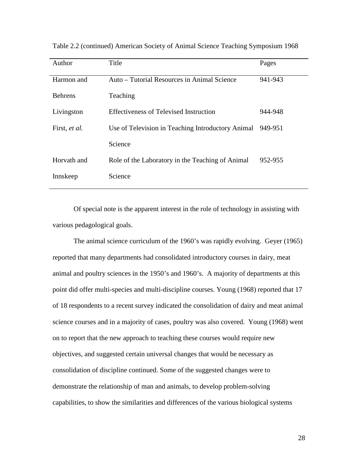| Author         | Title                                             | Pages   |
|----------------|---------------------------------------------------|---------|
| Harmon and     | Auto – Tutorial Resources in Animal Science       | 941-943 |
| <b>Behrens</b> | Teaching                                          |         |
| Livingston     | Effectiveness of Televised Instruction            | 944-948 |
| First, et al.  | Use of Television in Teaching Introductory Animal | 949-951 |
|                | Science                                           |         |
| Horvath and    | Role of the Laboratory in the Teaching of Animal  | 952-955 |
| Innskeep       | Science                                           |         |

Table 2.2 (continued) American Society of Animal Science Teaching Symposium 1968

Of special note is the apparent interest in the role of technology in assisting with various pedagological goals.

The animal science curriculum of the 1960's was rapidly evolving. Geyer (1965) reported that many departments had consolidated introductory courses in dairy, meat animal and poultry sciences in the 1950's and 1960's. A majority of departments at this point did offer multi-species and multi-discipline courses. Young (1968) reported that 17 of 18 respondents to a recent survey indicated the consolidation of dairy and meat animal science courses and in a majority of cases, poultry was also covered. Young (1968) went on to report that the new approach to teaching these courses would require new objectives, and suggested certain universal changes that would be necessary as consolidation of discipline continued. Some of the suggested changes were to demonstrate the relationship of man and animals, to develop problem-solving capabilities, to show the similarities and differences of the various biological systems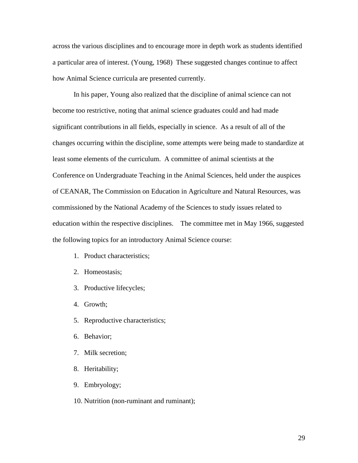across the various disciplines and to encourage more in depth work as students identified a particular area of interest. (Young, 1968) These suggested changes continue to affect how Animal Science curricula are presented currently.

In his paper, Young also realized that the discipline of animal science can not become too restrictive, noting that animal science graduates could and had made significant contributions in all fields, especially in science. As a result of all of the changes occurring within the discipline, some attempts were being made to standardize at least some elements of the curriculum. A committee of animal scientists at the Conference on Undergraduate Teaching in the Animal Sciences, held under the auspices of CEANAR, The Commission on Education in Agriculture and Natural Resources, was commissioned by the National Academy of the Sciences to study issues related to education within the respective disciplines. The committee met in May 1966, suggested the following topics for an introductory Animal Science course:

- 1. Product characteristics;
- 2. Homeostasis;
- 3. Productive lifecycles;
- 4. Growth;
- 5. Reproductive characteristics;
- 6. Behavior;
- 7. Milk secretion;
- 8. Heritability;
- 9. Embryology;
- 10. Nutrition (non-ruminant and ruminant);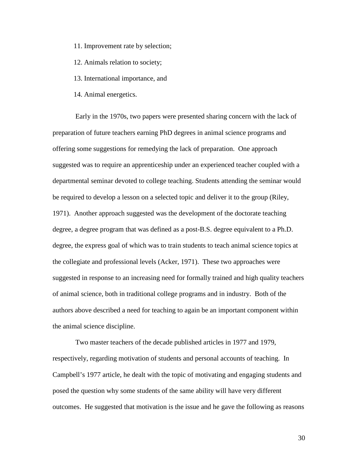11. Improvement rate by selection;

12. Animals relation to society;

13. International importance, and

14. Animal energetics.

 Early in the 1970s, two papers were presented sharing concern with the lack of preparation of future teachers earning PhD degrees in animal science programs and offering some suggestions for remedying the lack of preparation. One approach suggested was to require an apprenticeship under an experienced teacher coupled with a departmental seminar devoted to college teaching. Students attending the seminar would be required to develop a lesson on a selected topic and deliver it to the group (Riley, 1971). Another approach suggested was the development of the doctorate teaching degree, a degree program that was defined as a post-B.S. degree equivalent to a Ph.D. degree, the express goal of which was to train students to teach animal science topics at the collegiate and professional levels (Acker, 1971). These two approaches were suggested in response to an increasing need for formally trained and high quality teachers of animal science, both in traditional college programs and in industry. Both of the authors above described a need for teaching to again be an important component within the animal science discipline.

 Two master teachers of the decade published articles in 1977 and 1979, respectively, regarding motivation of students and personal accounts of teaching. In Campbell's 1977 article, he dealt with the topic of motivating and engaging students and posed the question why some students of the same ability will have very different outcomes. He suggested that motivation is the issue and he gave the following as reasons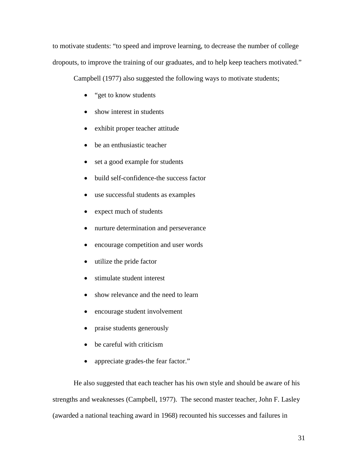to motivate students: "to speed and improve learning, to decrease the number of college dropouts, to improve the training of our graduates, and to help keep teachers motivated."

Campbell (1977) also suggested the following ways to motivate students;

- "get to know students"
- show interest in students
- exhibit proper teacher attitude
- be an enthusiastic teacher
- set a good example for students
- build self-confidence-the success factor
- use successful students as examples
- expect much of students
- nurture determination and perseverance
- encourage competition and user words
- utilize the pride factor
- stimulate student interest
- show relevance and the need to learn
- encourage student involvement
- praise students generously
- be careful with criticism
- appreciate grades-the fear factor."

 He also suggested that each teacher has his own style and should be aware of his strengths and weaknesses (Campbell, 1977). The second master teacher, John F. Lasley (awarded a national teaching award in 1968) recounted his successes and failures in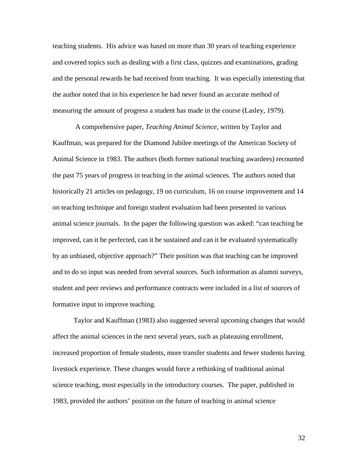teaching students. His advice was based on more than 30 years of teaching experience and covered topics such as dealing with a first class, quizzes and examinations, grading and the personal rewards he had received from teaching. It was especially interesting that the author noted that in his experience he had never found an accurate method of measuring the amount of progress a student has made in the course (Lasley, 1979).

 A comprehensive paper, *Teaching Animal Science*, written by Taylor and Kauffman, was prepared for the Diamond Jubilee meetings of the American Society of Animal Science in 1983. The authors (both former national teaching awardees) recounted the past 75 years of progress in teaching in the animal sciences. The authors noted that historically 21 articles on pedagogy, 19 on curriculum, 16 on course improvement and 14 on teaching technique and foreign student evaluation had been presented in various animal science journals. In the paper the following question was asked: "can teaching be improved, can it be perfected, can it be sustained and can it be evaluated systematically by an unbiased, objective approach?" Their position was that teaching can be improved and to do so input was needed from several sources. Such information as alumni surveys, student and peer reviews and performance contracts were included in a list of sources of formative input to improve teaching.

Taylor and Kauffman (1983) also suggested several upcoming changes that would affect the animal sciences in the next several years, such as plateauing enrollment, increased proportion of female students, more transfer students and fewer students having livestock experience. These changes would force a rethinking of traditional animal science teaching, most especially in the introductory courses. The paper, published in 1983, provided the authors' position on the future of teaching in animal science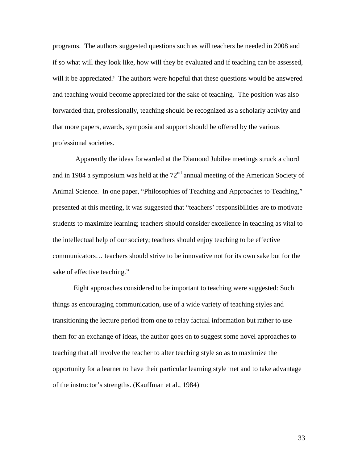programs. The authors suggested questions such as will teachers be needed in 2008 and if so what will they look like, how will they be evaluated and if teaching can be assessed, will it be appreciated? The authors were hopeful that these questions would be answered and teaching would become appreciated for the sake of teaching. The position was also forwarded that, professionally, teaching should be recognized as a scholarly activity and that more papers, awards, symposia and support should be offered by the various professional societies.

 Apparently the ideas forwarded at the Diamond Jubilee meetings struck a chord and in 1984 a symposium was held at the  $72<sup>nd</sup>$  annual meeting of the American Society of Animal Science. In one paper, "Philosophies of Teaching and Approaches to Teaching," presented at this meeting, it was suggested that "teachers' responsibilities are to motivate students to maximize learning; teachers should consider excellence in teaching as vital to the intellectual help of our society; teachers should enjoy teaching to be effective communicators… teachers should strive to be innovative not for its own sake but for the sake of effective teaching."

Eight approaches considered to be important to teaching were suggested: Such things as encouraging communication, use of a wide variety of teaching styles and transitioning the lecture period from one to relay factual information but rather to use them for an exchange of ideas, the author goes on to suggest some novel approaches to teaching that all involve the teacher to alter teaching style so as to maximize the opportunity for a learner to have their particular learning style met and to take advantage of the instructor's strengths. (Kauffman et al., 1984)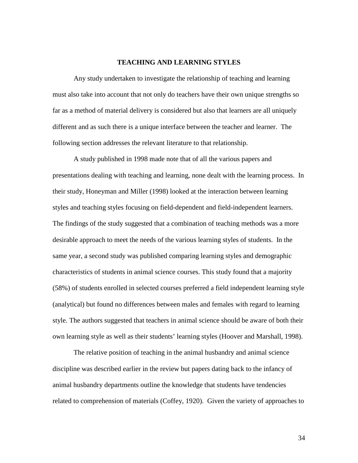#### **TEACHING AND LEARNING STYLES**

Any study undertaken to investigate the relationship of teaching and learning must also take into account that not only do teachers have their own unique strengths so far as a method of material delivery is considered but also that learners are all uniquely different and as such there is a unique interface between the teacher and learner. The following section addresses the relevant literature to that relationship.

A study published in 1998 made note that of all the various papers and presentations dealing with teaching and learning, none dealt with the learning process. In their study, Honeyman and Miller (1998) looked at the interaction between learning styles and teaching styles focusing on field-dependent and field-independent learners. The findings of the study suggested that a combination of teaching methods was a more desirable approach to meet the needs of the various learning styles of students. In the same year, a second study was published comparing learning styles and demographic characteristics of students in animal science courses. This study found that a majority (58%) of students enrolled in selected courses preferred a field independent learning style (analytical) but found no differences between males and females with regard to learning style. The authors suggested that teachers in animal science should be aware of both their own learning style as well as their students' learning styles (Hoover and Marshall, 1998).

The relative position of teaching in the animal husbandry and animal science discipline was described earlier in the review but papers dating back to the infancy of animal husbandry departments outline the knowledge that students have tendencies related to comprehension of materials (Coffey, 1920). Given the variety of approaches to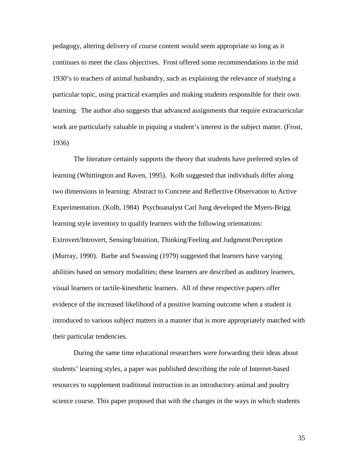pedagogy, altering delivery of course content would seem appropriate so long as it continues to meet the class objectives. Frost offered some recommendations in the mid 1930's to teachers of animal husbandry, such as explaining the relevance of studying a particular topic, using practical examples and making students responsible for their own learning. The author also suggests that advanced assignments that require extracurricular work are particularly valuable in piquing a student's interest in the subject matter. (Frost, 1936)

The literature certainly supports the theory that students have preferred styles of learning (Whittington and Raven, 1995). Kolb suggested that individuals differ along two dimensions in learning: Abstract to Concrete and Reflective Observation to Active Experimentation. (Kolb, 1984) Psychoanalyst Carl Jung developed the Myers-Brigg learning style inventory to qualify learners with the following orientations: Extrovert/Introvert, Sensing/Intuition, Thinking/Feeling and Judgment/Perception (Murray, 1990). Barbe and Swassing (1979) suggested that learners have varying abilities based on sensory modalities; these learners are described as auditory learners, visual learners or tactile-kinesthetic learners. All of these respective papers offer evidence of the increased likelihood of a positive learning outcome when a student is introduced to various subject matters in a manner that is more appropriately matched with their particular tendencies.

During the same time educational researchers were forwarding their ideas about students' learning styles, a paper was published describing the role of Internet-based resources to supplement traditional instruction in an introductory animal and poultry science course. This paper proposed that with the changes in the ways in which students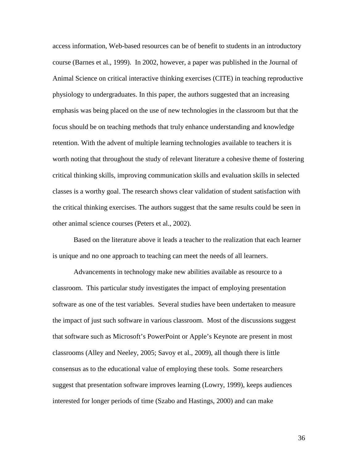access information, Web-based resources can be of benefit to students in an introductory course (Barnes et al., 1999). In 2002, however, a paper was published in the Journal of Animal Science on critical interactive thinking exercises (CITE) in teaching reproductive physiology to undergraduates. In this paper, the authors suggested that an increasing emphasis was being placed on the use of new technologies in the classroom but that the focus should be on teaching methods that truly enhance understanding and knowledge retention. With the advent of multiple learning technologies available to teachers it is worth noting that throughout the study of relevant literature a cohesive theme of fostering critical thinking skills, improving communication skills and evaluation skills in selected classes is a worthy goal. The research shows clear validation of student satisfaction with the critical thinking exercises. The authors suggest that the same results could be seen in other animal science courses (Peters et al., 2002).

Based on the literature above it leads a teacher to the realization that each learner is unique and no one approach to teaching can meet the needs of all learners.

Advancements in technology make new abilities available as resource to a classroom. This particular study investigates the impact of employing presentation software as one of the test variables. Several studies have been undertaken to measure the impact of just such software in various classroom. Most of the discussions suggest that software such as Microsoft's PowerPoint or Apple's Keynote are present in most classrooms (Alley and Neeley, 2005; Savoy et al., 2009), all though there is little consensus as to the educational value of employing these tools. Some researchers suggest that presentation software improves learning (Lowry, 1999), keeps audiences interested for longer periods of time (Szabo and Hastings, 2000) and can make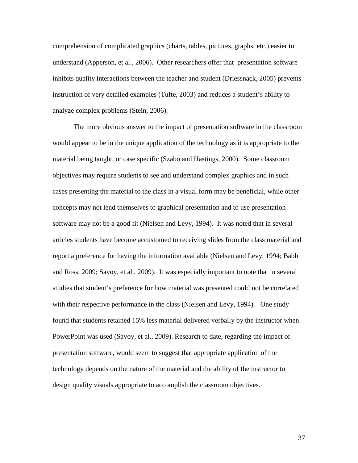comprehension of complicated graphics (charts, tables, pictures, graphs, etc.) easier to understand (Apperson, et al., 2006). Other researchers offer that presentation software inhibits quality interactions between the teacher and student (Driessnack, 2005) prevents instruction of very detailed examples (Tufte, 2003) and reduces a student's ability to analyze complex problems (Stein, 2006).

The more obvious answer to the impact of presentation software in the classroom would appear to be in the unique application of the technology as it is appropriate to the material being taught, or case specific (Szabo and Hastings, 2000). Some classroom objectives may require students to see and understand complex graphics and in such cases presenting the material to the class in a visual form may be beneficial, while other concepts may not lend themselves to graphical presentation and to use presentation software may not be a good fit (Nielsen and Levy, 1994). It was noted that in several articles students have become accustomed to receiving slides from the class material and report a preference for having the information available (Nielsen and Levy, 1994; Babb and Ross, 2009; Savoy, et al., 2009). It was especially important to note that in several studies that student's preference for how material was presented could not be correlated with their respective performance in the class (Nielsen and Levy, 1994). One study found that students retained 15% less material delivered verbally by the instructor when PowerPoint was used (Savoy, et al., 2009). Research to date, regarding the impact of presentation software, would seem to suggest that appropriate application of the technology depends on the nature of the material and the ability of the instructor to design quality visuals appropriate to accomplish the classroom objectives.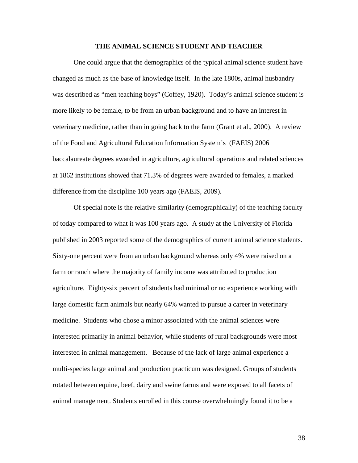## **THE ANIMAL SCIENCE STUDENT AND TEACHER**

One could argue that the demographics of the typical animal science student have changed as much as the base of knowledge itself. In the late 1800s, animal husbandry was described as "men teaching boys" (Coffey, 1920). Today's animal science student is more likely to be female, to be from an urban background and to have an interest in veterinary medicine, rather than in going back to the farm (Grant et al., 2000). A review of the Food and Agricultural Education Information System's (FAEIS) 2006 baccalaureate degrees awarded in agriculture, agricultural operations and related sciences at 1862 institutions showed that 71.3% of degrees were awarded to females, a marked difference from the discipline 100 years ago (FAEIS, 2009).

Of special note is the relative similarity (demographically) of the teaching faculty of today compared to what it was 100 years ago. A study at the University of Florida published in 2003 reported some of the demographics of current animal science students. Sixty-one percent were from an urban background whereas only 4% were raised on a farm or ranch where the majority of family income was attributed to production agriculture. Eighty-six percent of students had minimal or no experience working with large domestic farm animals but nearly 64% wanted to pursue a career in veterinary medicine. Students who chose a minor associated with the animal sciences were interested primarily in animal behavior, while students of rural backgrounds were most interested in animal management. Because of the lack of large animal experience a multi-species large animal and production practicum was designed. Groups of students rotated between equine, beef, dairy and swine farms and were exposed to all facets of animal management. Students enrolled in this course overwhelmingly found it to be a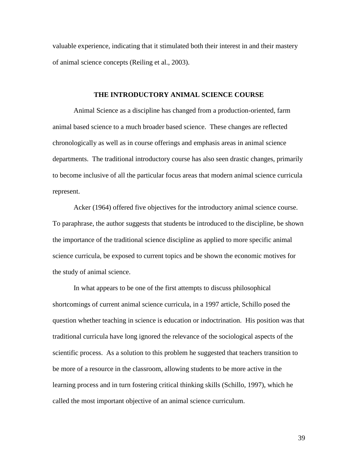valuable experience, indicating that it stimulated both their interest in and their mastery of animal science concepts (Reiling et al., 2003).

## **THE INTRODUCTORY ANIMAL SCIENCE COURSE**

Animal Science as a discipline has changed from a production-oriented, farm animal based science to a much broader based science. These changes are reflected chronologically as well as in course offerings and emphasis areas in animal science departments. The traditional introductory course has also seen drastic changes, primarily to become inclusive of all the particular focus areas that modern animal science curricula represent.

Acker (1964) offered five objectives for the introductory animal science course. To paraphrase, the author suggests that students be introduced to the discipline, be shown the importance of the traditional science discipline as applied to more specific animal science curricula, be exposed to current topics and be shown the economic motives for the study of animal science.

In what appears to be one of the first attempts to discuss philosophical shortcomings of current animal science curricula, in a 1997 article, Schillo posed the question whether teaching in science is education or indoctrination. His position was that traditional curricula have long ignored the relevance of the sociological aspects of the scientific process. As a solution to this problem he suggested that teachers transition to be more of a resource in the classroom, allowing students to be more active in the learning process and in turn fostering critical thinking skills (Schillo, 1997), which he called the most important objective of an animal science curriculum.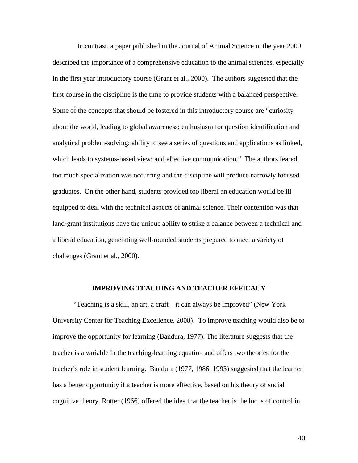In contrast, a paper published in the Journal of Animal Science in the year 2000 described the importance of a comprehensive education to the animal sciences, especially in the first year introductory course (Grant et al., 2000). The authors suggested that the first course in the discipline is the time to provide students with a balanced perspective. Some of the concepts that should be fostered in this introductory course are "curiosity about the world, leading to global awareness; enthusiasm for question identification and analytical problem-solving; ability to see a series of questions and applications as linked, which leads to systems-based view; and effective communication." The authors feared too much specialization was occurring and the discipline will produce narrowly focused graduates. On the other hand, students provided too liberal an education would be ill equipped to deal with the technical aspects of animal science. Their contention was that land-grant institutions have the unique ability to strike a balance between a technical and a liberal education, generating well-rounded students prepared to meet a variety of challenges (Grant et al., 2000).

#### **IMPROVING TEACHING AND TEACHER EFFICACY**

"Teaching is a skill, an art, a craft—it can always be improved" (New York University Center for Teaching Excellence, 2008). To improve teaching would also be to improve the opportunity for learning (Bandura, 1977). The literature suggests that the teacher is a variable in the teaching-learning equation and offers two theories for the teacher's role in student learning. Bandura (1977, 1986, 1993) suggested that the learner has a better opportunity if a teacher is more effective, based on his theory of social cognitive theory. Rotter (1966) offered the idea that the teacher is the locus of control in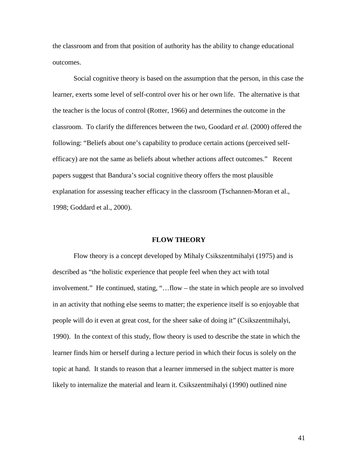the classroom and from that position of authority has the ability to change educational outcomes.

 Social cognitive theory is based on the assumption that the person, in this case the learner, exerts some level of self-control over his or her own life. The alternative is that the teacher is the locus of control (Rotter, 1966) and determines the outcome in the classroom. To clarify the differences between the two, Goodard *et al.* (2000) offered the following: "Beliefs about one's capability to produce certain actions (perceived selfefficacy) are not the same as beliefs about whether actions affect outcomes." Recent papers suggest that Bandura's social cognitive theory offers the most plausible explanation for assessing teacher efficacy in the classroom (Tschannen-Moran et al., 1998; Goddard et al., 2000).

## **FLOW THEORY**

 Flow theory is a concept developed by Mihaly Csikszentmihalyi (1975) and is described as "the holistic experience that people feel when they act with total involvement." He continued, stating, "…flow – the state in which people are so involved in an activity that nothing else seems to matter; the experience itself is so enjoyable that people will do it even at great cost, for the sheer sake of doing it" (Csikszentmihalyi, 1990). In the context of this study, flow theory is used to describe the state in which the learner finds him or herself during a lecture period in which their focus is solely on the topic at hand. It stands to reason that a learner immersed in the subject matter is more likely to internalize the material and learn it. Csikszentmihalyi (1990) outlined nine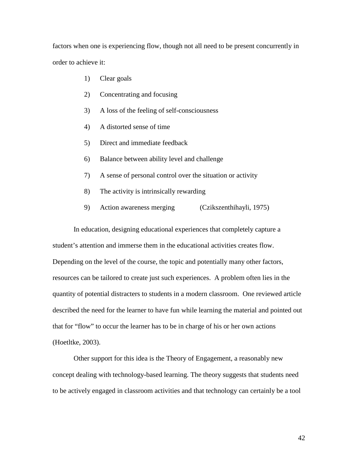factors when one is experiencing flow, though not all need to be present concurrently in order to achieve it:

- 1) Clear goals
- 2) Concentrating and focusing
- 3) A loss of the feeling of self-consciousness
- 4) A distorted sense of time
- 5) Direct and immediate feedback
- 6) Balance between ability level and challenge
- 7) A sense of personal control over the situation or activity
- 8) The activity is intrinsically rewarding
- 9) Action awareness merging (Czikszenthihayli, 1975)

 In education, designing educational experiences that completely capture a student's attention and immerse them in the educational activities creates flow. Depending on the level of the course, the topic and potentially many other factors, resources can be tailored to create just such experiences. A problem often lies in the quantity of potential distracters to students in a modern classroom. One reviewed article described the need for the learner to have fun while learning the material and pointed out that for "flow" to occur the learner has to be in charge of his or her own actions (Hoetltke, 2003).

 Other support for this idea is the Theory of Engagement, a reasonably new concept dealing with technology-based learning. The theory suggests that students need to be actively engaged in classroom activities and that technology can certainly be a tool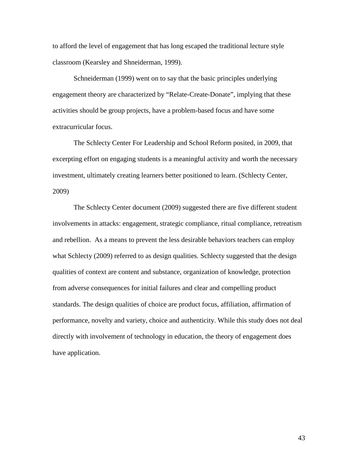to afford the level of engagement that has long escaped the traditional lecture style classroom (Kearsley and Shneiderman, 1999).

Schneiderman (1999) went on to say that the basic principles underlying engagement theory are characterized by "Relate-Create-Donate", implying that these activities should be group projects, have a problem-based focus and have some extracurricular focus.

The Schlecty Center For Leadership and School Reform posited, in 2009, that excerpting effort on engaging students is a meaningful activity and worth the necessary investment, ultimately creating learners better positioned to learn. (Schlecty Center, 2009)

The Schlecty Center document (2009) suggested there are five different student involvements in attacks: engagement, strategic compliance, ritual compliance, retreatism and rebellion. As a means to prevent the less desirable behaviors teachers can employ what Schlecty (2009) referred to as design qualities. Schlecty suggested that the design qualities of context are content and substance, organization of knowledge, protection from adverse consequences for initial failures and clear and compelling product standards. The design qualities of choice are product focus, affiliation, affirmation of performance, novelty and variety, choice and authenticity. While this study does not deal directly with involvement of technology in education, the theory of engagement does have application.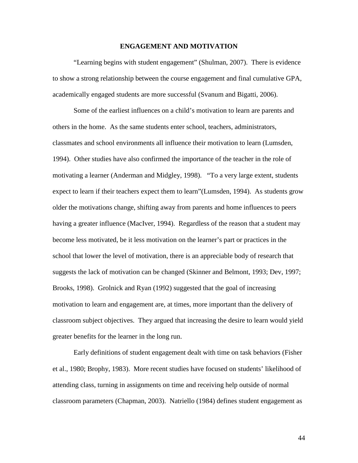# **ENGAGEMENT AND MOTIVATION**

"Learning begins with student engagement" (Shulman, 2007). There is evidence to show a strong relationship between the course engagement and final cumulative GPA, academically engaged students are more successful (Svanum and Bigatti, 2006).

 Some of the earliest influences on a child's motivation to learn are parents and others in the home. As the same students enter school, teachers, administrators, classmates and school environments all influence their motivation to learn (Lumsden, 1994). Other studies have also confirmed the importance of the teacher in the role of motivating a learner (Anderman and Midgley, 1998). "To a very large extent, students expect to learn if their teachers expect them to learn"(Lumsden, 1994). As students grow older the motivations change, shifting away from parents and home influences to peers having a greater influence (MacIver, 1994). Regardless of the reason that a student may become less motivated, be it less motivation on the learner's part or practices in the school that lower the level of motivation, there is an appreciable body of research that suggests the lack of motivation can be changed (Skinner and Belmont, 1993; Dev, 1997; Brooks, 1998). Grolnick and Ryan (1992) suggested that the goal of increasing motivation to learn and engagement are, at times, more important than the delivery of classroom subject objectives. They argued that increasing the desire to learn would yield greater benefits for the learner in the long run.

Early definitions of student engagement dealt with time on task behaviors (Fisher et al., 1980; Brophy, 1983). More recent studies have focused on students' likelihood of attending class, turning in assignments on time and receiving help outside of normal classroom parameters (Chapman, 2003). Natriello (1984) defines student engagement as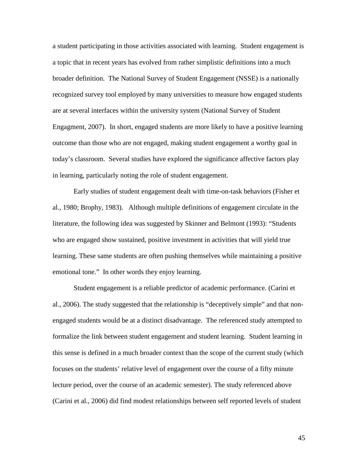a student participating in those activities associated with learning. Student engagement is a topic that in recent years has evolved from rather simplistic definitions into a much broader definition. The National Survey of Student Engagement (NSSE) is a nationally recognized survey tool employed by many universities to measure how engaged students are at several interfaces within the university system (National Survey of Student Engagment, 2007). In short, engaged students are more likely to have a positive learning outcome than those who are not engaged, making student engagement a worthy goal in today's classroom. Several studies have explored the significance affective factors play in learning, particularly noting the role of student engagement.

Early studies of student engagement dealt with time-on-task behaviors (Fisher et al., 1980; Brophy, 1983). Although multiple definitions of engagement circulate in the literature, the following idea was suggested by Skinner and Belmont (1993): "Students who are engaged show sustained, positive investment in activities that will yield true learning. These same students are often pushing themselves while maintaining a positive emotional tone." In other words they enjoy learning.

Student engagement is a reliable predictor of academic performance. (Carini et al., 2006). The study suggested that the relationship is "deceptively simple" and that nonengaged students would be at a distinct disadvantage. The referenced study attempted to formalize the link between student engagement and student learning. Student learning in this sense is defined in a much broader context than the scope of the current study (which focuses on the students' relative level of engagement over the course of a fifty minute lecture period, over the course of an academic semester). The study referenced above (Carini et al., 2006) did find modest relationships between self reported levels of student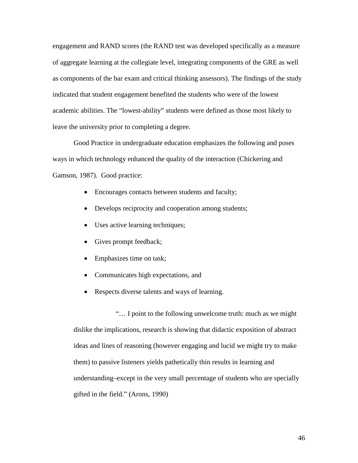engagement and RAND scores (the RAND test was developed specifically as a measure of aggregate learning at the collegiate level, integrating components of the GRE as well as components of the bar exam and critical thinking assessors). The findings of the study indicated that student engagement benefited the students who were of the lowest academic abilities. The "lowest-ability" students were defined as those most likely to leave the university prior to completing a degree.

Good Practice in undergraduate education emphasizes the following and poses ways in which technology enhanced the quality of the interaction (Chickering and Gamson, 1987). Good practice:

- Encourages contacts between students and faculty;
- Develops reciprocity and cooperation among students;
- Uses active learning techniques;
- Gives prompt feedback;
- Emphasizes time on task;
- Communicates high expectations, and
- Respects diverse talents and ways of learning.

 "… I point to the following unwelcome truth: much as we might dislike the implications, research is showing that didactic exposition of abstract ideas and lines of reasoning (however engaging and lucid we might try to make them) to passive listeners yields pathetically thin results in learning and understanding–except in the very small percentage of students who are specially gifted in the field." (Arons, 1990)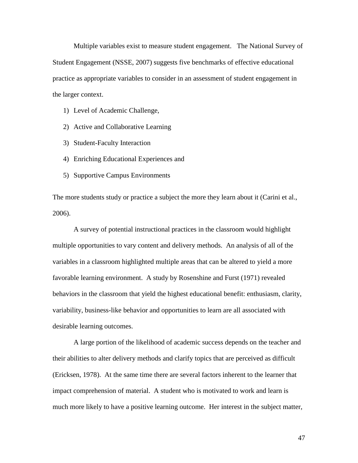Multiple variables exist to measure student engagement. The National Survey of Student Engagement (NSSE, 2007) suggests five benchmarks of effective educational practice as appropriate variables to consider in an assessment of student engagement in the larger context.

- 1) Level of Academic Challenge,
- 2) Active and Collaborative Learning
- 3) Student-Faculty Interaction
- 4) Enriching Educational Experiences and
- 5) Supportive Campus Environments

The more students study or practice a subject the more they learn about it (Carini et al., 2006).

A survey of potential instructional practices in the classroom would highlight multiple opportunities to vary content and delivery methods. An analysis of all of the variables in a classroom highlighted multiple areas that can be altered to yield a more favorable learning environment. A study by Rosenshine and Furst (1971) revealed behaviors in the classroom that yield the highest educational benefit: enthusiasm, clarity, variability, business-like behavior and opportunities to learn are all associated with desirable learning outcomes.

A large portion of the likelihood of academic success depends on the teacher and their abilities to alter delivery methods and clarify topics that are perceived as difficult (Ericksen, 1978). At the same time there are several factors inherent to the learner that impact comprehension of material. A student who is motivated to work and learn is much more likely to have a positive learning outcome. Her interest in the subject matter,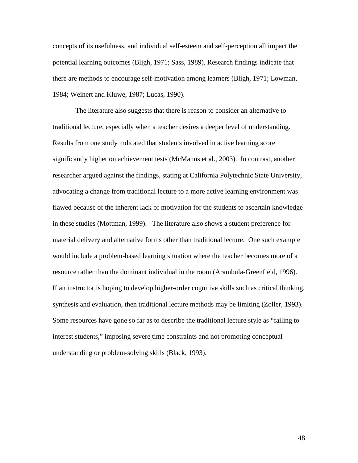concepts of its usefulness, and individual self-esteem and self-perception all impact the potential learning outcomes (Bligh, 1971; Sass, 1989). Research findings indicate that there are methods to encourage self-motivation among learners (Bligh, 1971; Lowman, 1984; Weinert and Kluwe, 1987; Lucas, 1990).

 The literature also suggests that there is reason to consider an alternative to traditional lecture, especially when a teacher desires a deeper level of understanding. Results from one study indicated that students involved in active learning score significantly higher on achievement tests (McManus et al., 2003). In contrast, another researcher argued against the findings, stating at California Polytechnic State University, advocating a change from traditional lecture to a more active learning environment was flawed because of the inherent lack of motivation for the students to ascertain knowledge in these studies (Mottman, 1999). The literature also shows a student preference for material delivery and alternative forms other than traditional lecture. One such example would include a problem-based learning situation where the teacher becomes more of a resource rather than the dominant individual in the room (Arambula-Greenfield, 1996). If an instructor is hoping to develop higher-order cognitive skills such as critical thinking, synthesis and evaluation, then traditional lecture methods may be limiting (Zoller, 1993). Some resources have gone so far as to describe the traditional lecture style as "failing to interest students," imposing severe time constraints and not promoting conceptual understanding or problem-solving skills (Black, 1993).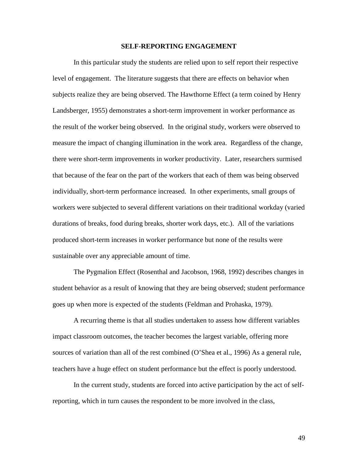# **SELF-REPORTING ENGAGEMENT**

In this particular study the students are relied upon to self report their respective level of engagement. The literature suggests that there are effects on behavior when subjects realize they are being observed. The Hawthorne Effect (a term coined by Henry Landsberger, 1955) demonstrates a short-term improvement in worker performance as the result of the worker being observed. In the original study, workers were observed to measure the impact of changing illumination in the work area. Regardless of the change, there were short-term improvements in worker productivity. Later, researchers surmised that because of the fear on the part of the workers that each of them was being observed individually, short-term performance increased. In other experiments, small groups of workers were subjected to several different variations on their traditional workday (varied durations of breaks, food during breaks, shorter work days, etc.). All of the variations produced short-term increases in worker performance but none of the results were sustainable over any appreciable amount of time.

The Pygmalion Effect (Rosenthal and Jacobson, 1968, 1992) describes changes in student behavior as a result of knowing that they are being observed; student performance goes up when more is expected of the students (Feldman and Prohaska, 1979).

A recurring theme is that all studies undertaken to assess how different variables impact classroom outcomes, the teacher becomes the largest variable, offering more sources of variation than all of the rest combined (O'Shea et al., 1996) As a general rule, teachers have a huge effect on student performance but the effect is poorly understood.

In the current study, students are forced into active participation by the act of selfreporting, which in turn causes the respondent to be more involved in the class,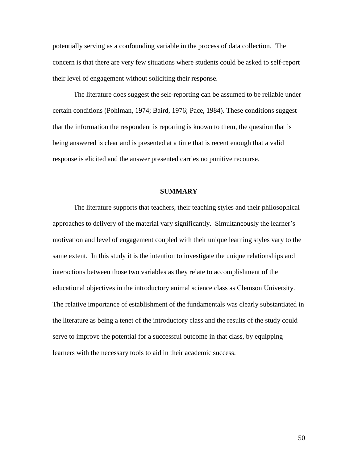potentially serving as a confounding variable in the process of data collection. The concern is that there are very few situations where students could be asked to self-report their level of engagement without soliciting their response.

The literature does suggest the self-reporting can be assumed to be reliable under certain conditions (Pohlman, 1974; Baird, 1976; Pace, 1984). These conditions suggest that the information the respondent is reporting is known to them, the question that is being answered is clear and is presented at a time that is recent enough that a valid response is elicited and the answer presented carries no punitive recourse.

# **SUMMARY**

The literature supports that teachers, their teaching styles and their philosophical approaches to delivery of the material vary significantly. Simultaneously the learner's motivation and level of engagement coupled with their unique learning styles vary to the same extent. In this study it is the intention to investigate the unique relationships and interactions between those two variables as they relate to accomplishment of the educational objectives in the introductory animal science class as Clemson University. The relative importance of establishment of the fundamentals was clearly substantiated in the literature as being a tenet of the introductory class and the results of the study could serve to improve the potential for a successful outcome in that class, by equipping learners with the necessary tools to aid in their academic success.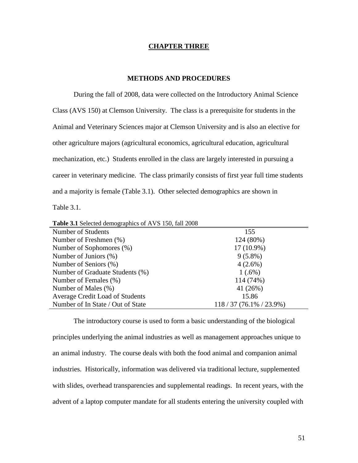# **CHAPTER THREE**

# **METHODS AND PROCEDURES**

 During the fall of 2008, data were collected on the Introductory Animal Science Class (AVS 150) at Clemson University. The class is a prerequisite for students in the Animal and Veterinary Sciences major at Clemson University and is also an elective for other agriculture majors (agricultural economics, agricultural education, agricultural mechanization, etc.) Students enrolled in the class are largely interested in pursuing a career in veterinary medicine. The class primarily consists of first year full time students and a majority is female (Table 3.1). Other selected demographics are shown in Table 3.1.

| <b>THOICE</b> Defected define graphics of $1176$ Too, $1400$ Tool |                           |
|-------------------------------------------------------------------|---------------------------|
| Number of Students                                                | 155                       |
| Number of Freshmen (%)                                            | 124 (80%)                 |
| Number of Sophomores (%)                                          | $17(10.9\%)$              |
| Number of Juniors (%)                                             | $9(5.8\%)$                |
| Number of Seniors (%)                                             | $4(2.6\%)$                |
| Number of Graduate Students (%)                                   | $1(.6\%)$                 |
| Number of Females (%)                                             | 114 (74%)                 |
| Number of Males (%)                                               | 41 (26%)                  |
| Average Credit Load of Students                                   | 15.86                     |
| Number of In State / Out of State                                 | $118/37(76.1\% / 23.9\%)$ |

**Table 3.1** Selected demographics of AVS 150, fall 2008

 The introductory course is used to form a basic understanding of the biological principles underlying the animal industries as well as management approaches unique to an animal industry. The course deals with both the food animal and companion animal industries. Historically, information was delivered via traditional lecture, supplemented with slides, overhead transparencies and supplemental readings. In recent years, with the advent of a laptop computer mandate for all students entering the university coupled with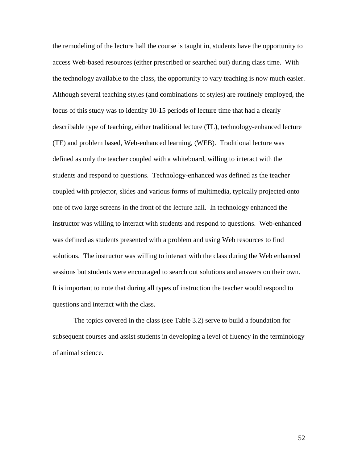the remodeling of the lecture hall the course is taught in, students have the opportunity to access Web-based resources (either prescribed or searched out) during class time. With the technology available to the class, the opportunity to vary teaching is now much easier. Although several teaching styles (and combinations of styles) are routinely employed, the focus of this study was to identify 10-15 periods of lecture time that had a clearly describable type of teaching, either traditional lecture (TL), technology-enhanced lecture (TE) and problem based, Web-enhanced learning, (WEB). Traditional lecture was defined as only the teacher coupled with a whiteboard, willing to interact with the students and respond to questions. Technology-enhanced was defined as the teacher coupled with projector, slides and various forms of multimedia, typically projected onto one of two large screens in the front of the lecture hall. In technology enhanced the instructor was willing to interact with students and respond to questions. Web-enhanced was defined as students presented with a problem and using Web resources to find solutions. The instructor was willing to interact with the class during the Web enhanced sessions but students were encouraged to search out solutions and answers on their own. It is important to note that during all types of instruction the teacher would respond to questions and interact with the class.

The topics covered in the class (see Table 3.2) serve to build a foundation for subsequent courses and assist students in developing a level of fluency in the terminology of animal science.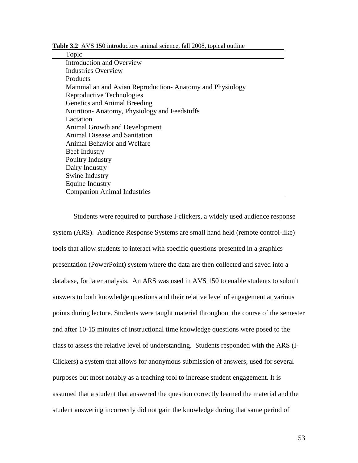**Table 3.2** AVS 150 introductory animal science, fall 2008, topical outline

# Topic

Introduction and Overview Industries Overview **Products** Mammalian and Avian Reproduction- Anatomy and Physiology Reproductive Technologies Genetics and Animal Breeding Nutrition- Anatomy, Physiology and Feedstuffs Lactation Animal Growth and Development Animal Disease and Sanitation Animal Behavior and Welfare Beef Industry Poultry Industry Dairy Industry Swine Industry Equine Industry Companion Animal Industries

Students were required to purchase I-clickers, a widely used audience response system (ARS). Audience Response Systems are small hand held (remote control-like) tools that allow students to interact with specific questions presented in a graphics presentation (PowerPoint) system where the data are then collected and saved into a database, for later analysis. An ARS was used in AVS 150 to enable students to submit answers to both knowledge questions and their relative level of engagement at various points during lecture. Students were taught material throughout the course of the semester and after 10-15 minutes of instructional time knowledge questions were posed to the class to assess the relative level of understanding. Students responded with the ARS (I-Clickers) a system that allows for anonymous submission of answers, used for several purposes but most notably as a teaching tool to increase student engagement. It is assumed that a student that answered the question correctly learned the material and the student answering incorrectly did not gain the knowledge during that same period of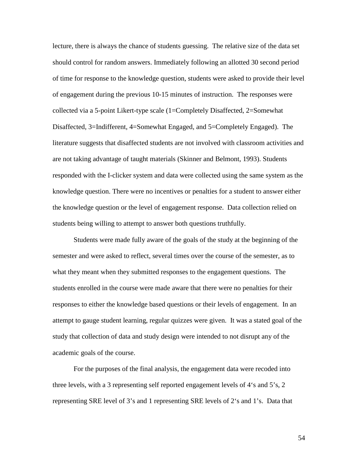lecture, there is always the chance of students guessing. The relative size of the data set should control for random answers. Immediately following an allotted 30 second period of time for response to the knowledge question, students were asked to provide their level of engagement during the previous 10-15 minutes of instruction. The responses were collected via a 5-point Likert-type scale (1=Completely Disaffected, 2=Somewhat Disaffected, 3=Indifferent, 4=Somewhat Engaged, and 5=Completely Engaged). The literature suggests that disaffected students are not involved with classroom activities and are not taking advantage of taught materials (Skinner and Belmont, 1993). Students responded with the I-clicker system and data were collected using the same system as the knowledge question. There were no incentives or penalties for a student to answer either the knowledge question or the level of engagement response. Data collection relied on students being willing to attempt to answer both questions truthfully.

Students were made fully aware of the goals of the study at the beginning of the semester and were asked to reflect, several times over the course of the semester, as to what they meant when they submitted responses to the engagement questions. The students enrolled in the course were made aware that there were no penalties for their responses to either the knowledge based questions or their levels of engagement. In an attempt to gauge student learning, regular quizzes were given. It was a stated goal of the study that collection of data and study design were intended to not disrupt any of the academic goals of the course.

For the purposes of the final analysis, the engagement data were recoded into three levels, with a 3 representing self reported engagement levels of 4's and 5's, 2 representing SRE level of 3's and 1 representing SRE levels of 2's and 1's. Data that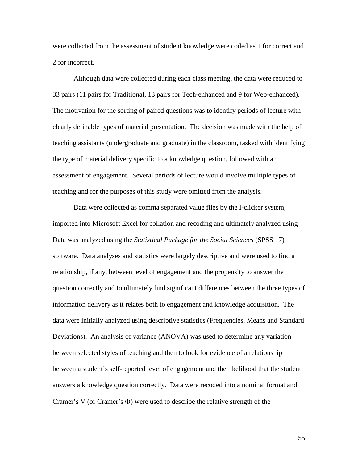were collected from the assessment of student knowledge were coded as 1 for correct and 2 for incorrect.

Although data were collected during each class meeting, the data were reduced to 33 pairs (11 pairs for Traditional, 13 pairs for Tech-enhanced and 9 for Web-enhanced). The motivation for the sorting of paired questions was to identify periods of lecture with clearly definable types of material presentation. The decision was made with the help of teaching assistants (undergraduate and graduate) in the classroom, tasked with identifying the type of material delivery specific to a knowledge question, followed with an assessment of engagement. Several periods of lecture would involve multiple types of teaching and for the purposes of this study were omitted from the analysis.

Data were collected as comma separated value files by the I-clicker system, imported into Microsoft Excel for collation and recoding and ultimately analyzed using Data was analyzed using the *Statistical Package for the Social Sciences* (SPSS 17) software. Data analyses and statistics were largely descriptive and were used to find a relationship, if any, between level of engagement and the propensity to answer the question correctly and to ultimately find significant differences between the three types of information delivery as it relates both to engagement and knowledge acquisition. The data were initially analyzed using descriptive statistics (Frequencies, Means and Standard Deviations). An analysis of variance (ANOVA) was used to determine any variation between selected styles of teaching and then to look for evidence of a relationship between a student's self-reported level of engagement and the likelihood that the student answers a knowledge question correctly. Data were recoded into a nominal format and Cramer's V (or Cramer's Φ) were used to describe the relative strength of the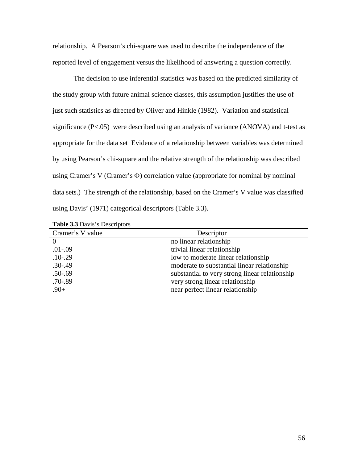relationship. A Pearson's chi-square was used to describe the independence of the reported level of engagement versus the likelihood of answering a question correctly.

The decision to use inferential statistics was based on the predicted similarity of the study group with future animal science classes, this assumption justifies the use of just such statistics as directed by Oliver and Hinkle (1982). Variation and statistical significance (P<.05) were described using an analysis of variance (ANOVA) and t-test as appropriate for the data set Evidence of a relationship between variables was determined by using Pearson's chi-square and the relative strength of the relationship was described using Cramer's V (Cramer's Φ) correlation value (appropriate for nominal by nominal data sets.) The strength of the relationship, based on the Cramer's V value was classified using Davis' (1971) categorical descriptors (Table 3.3).

| Cramer's V value | Descriptor                                     |
|------------------|------------------------------------------------|
|                  | no linear relationship                         |
| $.01 - .09$      | trivial linear relationship                    |
| $.10 - .29$      | low to moderate linear relationship            |
| $.30 - .49$      | moderate to substantial linear relationship    |
| $.50 - .69$      | substantial to very strong linear relationship |
| $.70 - .89$      | very strong linear relationship                |
| $.90+$           | near perfect linear relationship               |

**Table 3.3** Davis's Descriptors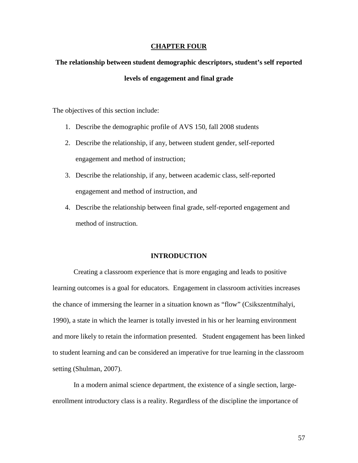## **CHAPTER FOUR**

# **The relationship between student demographic descriptors, student's self reported levels of engagement and final grade**

The objectives of this section include:

- 1. Describe the demographic profile of AVS 150, fall 2008 students
- 2. Describe the relationship, if any, between student gender, self-reported engagement and method of instruction;
- 3. Describe the relationship, if any, between academic class, self-reported engagement and method of instruction, and
- 4. Describe the relationship between final grade, self-reported engagement and method of instruction.

# **INTRODUCTION**

 Creating a classroom experience that is more engaging and leads to positive learning outcomes is a goal for educators. Engagement in classroom activities increases the chance of immersing the learner in a situation known as "flow" (Csikszentmihalyi, 1990), a state in which the learner is totally invested in his or her learning environment and more likely to retain the information presented. Student engagement has been linked to student learning and can be considered an imperative for true learning in the classroom setting (Shulman, 2007).

In a modern animal science department, the existence of a single section, largeenrollment introductory class is a reality. Regardless of the discipline the importance of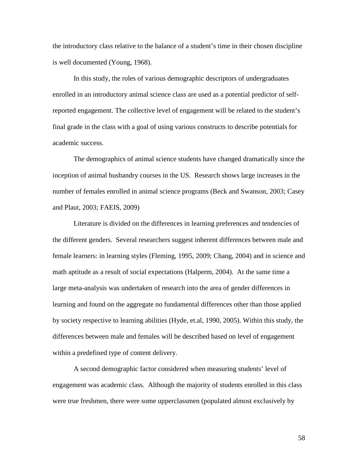the introductory class relative to the balance of a student's time in their chosen discipline is well documented (Young, 1968).

In this study, the roles of various demographic descriptors of undergraduates enrolled in an introductory animal science class are used as a potential predictor of selfreported engagement. The collective level of engagement will be related to the student's final grade in the class with a goal of using various constructs to describe potentials for academic success.

The demographics of animal science students have changed dramatically since the inception of animal husbandry courses in the US. Research shows large increases in the number of females enrolled in animal science programs (Beck and Swanson, 2003; Casey and Plaut, 2003; FAEIS, 2009)

Literature is divided on the differences in learning preferences and tendencies of the different genders. Several researchers suggest inherent differences between male and female learners: in learning styles (Fleming, 1995, 2009; Chang, 2004) and in science and math aptitude as a result of social expectations (Halperm, 2004). At the same time a large meta-analysis was undertaken of research into the area of gender differences in learning and found on the aggregate no fundamental differences other than those applied by society respective to learning abilities (Hyde, et.al, 1990, 2005). Within this study, the differences between male and females will be described based on level of engagement within a predefined type of content delivery.

A second demographic factor considered when measuring students' level of engagement was academic class. Although the majority of students enrolled in this class were true freshmen, there were some upperclassmen (populated almost exclusively by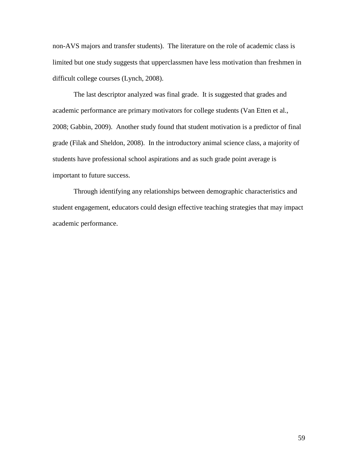non-AVS majors and transfer students). The literature on the role of academic class is limited but one study suggests that upperclassmen have less motivation than freshmen in difficult college courses (Lynch, 2008).

The last descriptor analyzed was final grade. It is suggested that grades and academic performance are primary motivators for college students (Van Etten et al., 2008; Gabbin, 2009). Another study found that student motivation is a predictor of final grade (Filak and Sheldon, 2008). In the introductory animal science class, a majority of students have professional school aspirations and as such grade point average is important to future success.

Through identifying any relationships between demographic characteristics and student engagement, educators could design effective teaching strategies that may impact academic performance.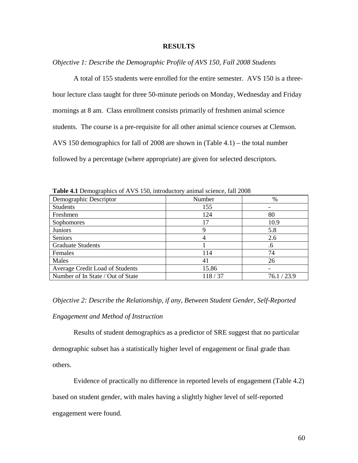# **RESULTS**

*Objective 1: Describe the Demographic Profile of AVS 150, Fall 2008 Students* 

A total of 155 students were enrolled for the entire semester. AVS 150 is a threehour lecture class taught for three 50-minute periods on Monday, Wednesday and Friday mornings at 8 am. Class enrollment consists primarily of freshmen animal science students. The course is a pre-requisite for all other animal science courses at Clemson. AVS 150 demographics for fall of 2008 are shown in (Table 4.1) – the total number followed by a percentage (where appropriate) are given for selected descriptors.

| $         -$<br>Demographic Descriptor | Number | %           |
|----------------------------------------|--------|-------------|
| <b>Students</b>                        | 155    |             |
| Freshmen                               | 124    | 80          |
| Sophomores                             | 17     | 10.9        |
| <b>Juniors</b>                         | 9      | 5.8         |
| Seniors                                | 4      | 2.6         |
| <b>Graduate Students</b>               |        | .6          |
| Females                                | 114    | 74          |
| Males                                  | 41     | 26          |
| Average Credit Load of Students        | 15.86  |             |
| Number of In State / Out of State      | 118/37 | 76.1 / 23.9 |

**Table 4.1** Demographics of AVS 150, introductory animal science, fall 2008

*Objective 2: Describe the Relationship, if any, Between Student Gender, Self-Reported* 

# *Engagement and Method of Instruction*

Results of student demographics as a predictor of SRE suggest that no particular demographic subset has a statistically higher level of engagement or final grade than others.

Evidence of practically no difference in reported levels of engagement (Table 4.2)

based on student gender, with males having a slightly higher level of self-reported

engagement were found.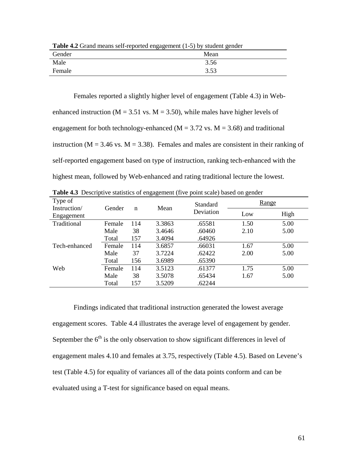| <b>Table 4.2</b> Grand means sen-reported engagement (1-9) by student genuer |      |  |  |  |  |
|------------------------------------------------------------------------------|------|--|--|--|--|
| Gender                                                                       | Mean |  |  |  |  |
| Male                                                                         | 3.56 |  |  |  |  |
| Female                                                                       | 3.53 |  |  |  |  |

**Table 4.2** Grand means self-reported engagement (1-5) by student gender

 Females reported a slightly higher level of engagement (Table 4.3) in Webenhanced instruction ( $M = 3.51$  vs.  $M = 3.50$ ), while males have higher levels of engagement for both technology-enhanced ( $M = 3.72$  vs.  $M = 3.68$ ) and traditional instruction ( $M = 3.46$  vs.  $M = 3.38$ ). Females and males are consistent in their ranking of self-reported engagement based on type of instruction, ranking tech-enhanced with the highest mean, followed by Web-enhanced and rating traditional lecture the lowest.

| Type of                    |        |     |        | Standard  | Range |      |
|----------------------------|--------|-----|--------|-----------|-------|------|
| Instruction/<br>Engagement | Gender | n   | Mean   | Deviation | Low   | High |
| Traditional                | Female | 114 | 3.3863 | .65581    | 1.50  | 5.00 |
|                            | Male   | 38  | 3.4646 | .60460    | 2.10  | 5.00 |
|                            | Total  | 157 | 3.4094 | .64926    |       |      |
| Tech-enhanced              | Female | 114 | 3.6857 | .66031    | 1.67  | 5.00 |
|                            | Male   | 37  | 3.7224 | .62422    | 2.00  | 5.00 |
|                            | Total  | 156 | 3.6989 | .65390    |       |      |
| Web                        | Female | 114 | 3.5123 | .61377    | 1.75  | 5.00 |
|                            | Male   | 38  | 3.5078 | .65434    | 1.67  | 5.00 |
|                            | Total  | 157 | 3.5209 | .62244    |       |      |

**Table 4.3** Descriptive statistics of engagement (five point scale) based on gender

 Findings indicated that traditional instruction generated the lowest average engagement scores. Table 4.4 illustrates the average level of engagement by gender. September the  $6<sup>th</sup>$  is the only observation to show significant differences in level of engagement males 4.10 and females at 3.75, respectively (Table 4.5). Based on Levene's test (Table 4.5) for equality of variances all of the data points conform and can be evaluated using a T-test for significance based on equal means.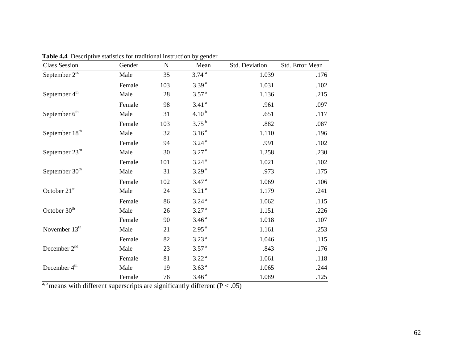| <b>Class Session</b>       | Gender | $\mathbf N$ | Mean              | Std. Deviation | Std. Error Mean |
|----------------------------|--------|-------------|-------------------|----------------|-----------------|
| September $2nd$            | Male   | 35          | 3.74 <sup>a</sup> | 1.039          | .176            |
|                            | Female | 103         | 3.39 <sup>a</sup> | 1.031          | .102            |
| September 4 <sup>th</sup>  | Male   | 28          | 3.57 <sup>a</sup> | 1.136          | .215            |
|                            | Female | 98          | 3.41 <sup>a</sup> | .961           | .097            |
| September 6 <sup>th</sup>  | Male   | 31          | $4.10^{b}$        | .651           | .117            |
|                            | Female | 103         | $3.75^{b}$        | .882           | .087            |
| September 18 <sup>th</sup> | Male   | 32          | 3.16 <sup>a</sup> | 1.110          | .196            |
|                            | Female | 94          | 3.24 <sup>a</sup> | .991           | .102            |
| September $23rd$           | Male   | 30          | 3.27 <sup>a</sup> | 1.258          | .230            |
|                            | Female | 101         | 3.24 <sup>a</sup> | 1.021          | .102            |
| September 30 <sup>th</sup> | Male   | 31          | 3.29 <sup>a</sup> | .973           | .175            |
|                            | Female | 102         | 3.47 <sup>a</sup> | 1.069          | .106            |
| October 21 <sup>st</sup>   | Male   | 24          | 3.21 <sup>a</sup> | 1.179          | .241            |
|                            | Female | 86          | 3.24 <sup>a</sup> | 1.062          | .115            |
| October 30 <sup>th</sup>   | Male   | 26          | 3.27 <sup>a</sup> | 1.151          | .226            |
|                            | Female | 90          | 3.46 <sup>a</sup> | 1.018          | .107            |
| November $13th$            | Male   | 21          | 2.95 <sup>a</sup> | 1.161          | .253            |
|                            | Female | 82          | 3.23 <sup>a</sup> | 1.046          | .115            |
| December 2 <sup>nd</sup>   | Male   | 23          | 3.57 <sup>a</sup> | .843           | .176            |
|                            | Female | 81          | 3.22 <sup>a</sup> | 1.061          | .118            |
| December 4 <sup>th</sup>   | Male   | 19          | 3.63 <sup>a</sup> | 1.065          | .244            |
|                            | Female | 76          | 3.46 <sup>a</sup> | 1.089          | .125            |

**Table 4.4** Descriptive statistics for traditional instruction by gender

a,b means with different superscripts are significantly different ( $P < .05$ )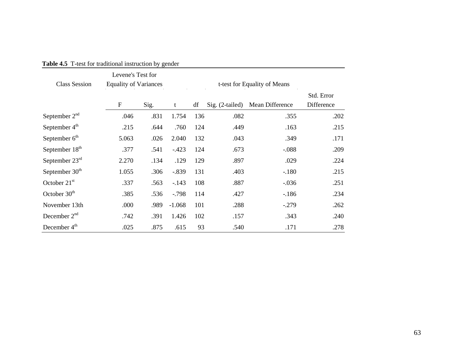| <b>Class Session</b>       | Levene's Test for<br><b>Equality of Variances</b><br>t-test for Equality of Means |      |          |                   |                 |                          |      |
|----------------------------|-----------------------------------------------------------------------------------|------|----------|-------------------|-----------------|--------------------------|------|
|                            | $\boldsymbol{\mathrm{F}}$                                                         | t    | df       | $Sig. (2-tailed)$ | Mean Difference | Std. Error<br>Difference |      |
| September $2nd$            | .046                                                                              | .831 | 1.754    | 136               | .082            | .355                     | .202 |
| September $4th$            | .215                                                                              | .644 | .760     | 124               | .449            | .163                     | .215 |
| September $6th$            | 5.063                                                                             | .026 | 2.040    | 132               | .043            | .349                     | .171 |
| September 18 <sup>th</sup> | .377                                                                              | .541 | $-423$   | 124               | .673            | $-.088$                  | .209 |
| September $23rd$           | 2.270                                                                             | .134 | .129     | 129               | .897            | .029                     | .224 |
| September 30 <sup>th</sup> | 1.055                                                                             | .306 | $-.839$  | 131               | .403            | $-.180$                  | .215 |
| October $21st$             | .337                                                                              | .563 | $-.143$  | 108               | .887            | $-.036$                  | .251 |
| October $30th$             | .385                                                                              | .536 | $-0.798$ | 114               | .427            | $-186$                   | .234 |
| November 13th              | .000                                                                              | .989 | $-1.068$ | 101               | .288            | $-.279$                  | .262 |
| December $2nd$             | .742                                                                              | .391 | 1.426    | 102               | .157            | .343                     | .240 |
| December 4 <sup>th</sup>   | .025                                                                              | .875 | .615     | 93                | .540            | .171                     | .278 |

**Table 4.5** T-test for traditional instruction by gender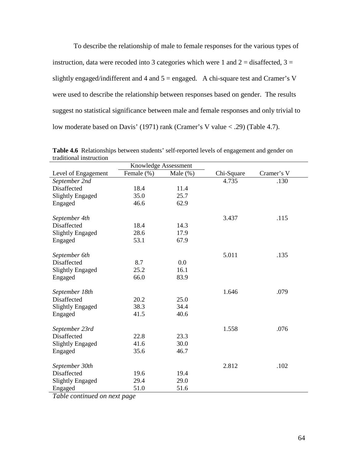To describe the relationship of male to female responses for the various types of instruction, data were recoded into 3 categories which were 1 and  $2 =$  disaffected,  $3 =$ slightly engaged/indifferent and 4 and 5 = engaged. A chi-square test and Cramer's V were used to describe the relationship between responses based on gender. The results suggest no statistical significance between male and female responses and only trivial to low moderate based on Davis' (1971) rank (Cramer's V value < .29) (Table 4.7).

|                         | Knowledge Assessment |             |            |            |
|-------------------------|----------------------|-------------|------------|------------|
| Level of Engagement     | Female (%)           | Male $(\%)$ | Chi-Square | Cramer's V |
| September 2nd           |                      |             | 4.735      | .130       |
| Disaffected             | 18.4                 | 11.4        |            |            |
| <b>Slightly Engaged</b> | 35.0                 | 25.7        |            |            |
| Engaged                 | 46.6                 | 62.9        |            |            |
| September 4th           |                      |             | 3.437      | .115       |
| Disaffected             | 18.4                 | 14.3        |            |            |
| <b>Slightly Engaged</b> | 28.6                 | 17.9        |            |            |
| Engaged                 | 53.1                 | 67.9        |            |            |
| September 6th           |                      |             | 5.011      | .135       |
| Disaffected             | 8.7                  | 0.0         |            |            |
| <b>Slightly Engaged</b> | 25.2                 | 16.1        |            |            |
| Engaged                 | 66.0                 | 83.9        |            |            |
|                         |                      |             |            |            |
| September 18th          |                      |             | 1.646      | .079       |
| Disaffected             | 20.2                 | 25.0        |            |            |
| <b>Slightly Engaged</b> | 38.3                 | 34.4        |            |            |
| Engaged                 | 41.5                 | 40.6        |            |            |
| September 23rd          |                      |             | 1.558      | .076       |
| Disaffected             | 22.8                 | 23.3        |            |            |
| <b>Slightly Engaged</b> | 41.6                 | 30.0        |            |            |
| Engaged                 | 35.6                 | 46.7        |            |            |
|                         |                      |             |            |            |
| September 30th          |                      |             | 2.812      | .102       |
| Disaffected             | 19.6                 | 19.4        |            |            |
| <b>Slightly Engaged</b> | 29.4                 | 29.0        |            |            |
| Engaged                 | 51.0                 | 51.6        |            |            |

**Table 4.6**Relationships between students' self-reported levels of engagement and gender on traditional instruction

*Table continued on next page*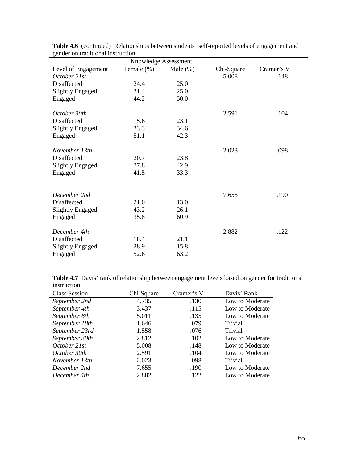| genuer on traumonar mstruction | Knowledge Assessment |             |            |            |
|--------------------------------|----------------------|-------------|------------|------------|
| Level of Engagement            | Female (%)           | Male $(\%)$ | Chi-Square | Cramer's V |
| October 21st                   |                      |             | 5.008      | .148       |
| Disaffected                    | 24.4                 | 25.0        |            |            |
| <b>Slightly Engaged</b>        | 31.4                 | 25.0        |            |            |
| Engaged                        | 44.2                 | 50.0        |            |            |
| October 30th                   |                      |             | 2.591      | .104       |
| Disaffected                    | 15.6                 | 23.1        |            |            |
| <b>Slightly Engaged</b>        | 33.3                 | 34.6        |            |            |
| Engaged                        | 51.1                 | 42.3        |            |            |
| November 13th                  |                      |             | 2.023      | .098       |
| Disaffected                    | 20.7                 | 23.8        |            |            |
| <b>Slightly Engaged</b>        | 37.8                 | 42.9        |            |            |
| Engaged                        | 41.5                 | 33.3        |            |            |
|                                |                      |             |            |            |
| December 2nd                   |                      |             | 7.655      | .190       |
| Disaffected                    | 21.0                 | 13.0        |            |            |
| <b>Slightly Engaged</b>        | 43.2                 | 26.1        |            |            |
| Engaged                        | 35.8                 | 60.9        |            |            |
| December 4th                   |                      |             | 2.882      | .122       |
| Disaffected                    | 18.4                 | 21.1        |            |            |
| <b>Slightly Engaged</b>        | 28.9                 | 15.8        |            |            |
| Engaged                        | 52.6                 | 63.2        |            |            |

Table 4.6 (continued) Relationships between students' self-reported levels of engagement and gender on traditional instruction

Table 4.7 Davis' rank of relationship between engagement levels based on gender for traditional instruction

| <b>Class Session</b> | Chi-Square | Cramer's V | Davis' Rank     |
|----------------------|------------|------------|-----------------|
| September 2nd        | 4.735      | .130       | Low to Moderate |
| September 4th        | 3.437      | .115       | Low to Moderate |
| September 6th        | 5.011      | .135       | Low to Moderate |
| September 18th       | 1.646      | .079       | Trivial         |
| September 23rd       | 1.558      | .076       | Trivial         |
| September 30th       | 2.812      | .102       | Low to Moderate |
| October 21st         | 5.008      | .148       | Low to Moderate |
| October 30th         | 2.591      | .104       | Low to Moderate |
| November 13th        | 2.023      | .098       | Trivial         |
| December 2nd         | 7.655      | .190       | Low to Moderate |
| December 4th         | 2.882      | .122       | Low to Moderate |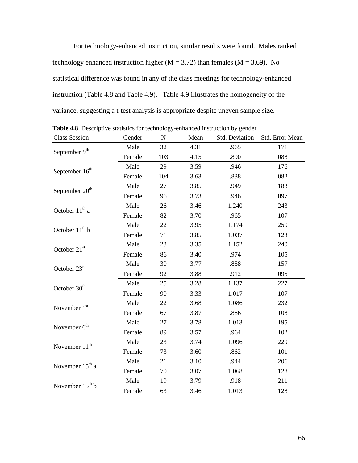For technology-enhanced instruction, similar results were found. Males ranked technology enhanced instruction higher ( $M = 3.72$ ) than females ( $M = 3.69$ ). No statistical difference was found in any of the class meetings for technology-enhanced instruction (Table 4.8 and Table 4.9). Table 4.9 illustrates the homogeneity of the variance, suggesting a t-test analysis is appropriate despite uneven sample size.

| <b>Class Session</b>        | Gender | $\mathbf N$ | Mean | Std. Deviation | Std. Error Mean |
|-----------------------------|--------|-------------|------|----------------|-----------------|
| September 9th               | Male   | 32          | 4.31 | .965           | .171            |
|                             | Female | 103         | 4.15 | .890           | .088            |
| September $16th$            | Male   | 29          | 3.59 | .946           | .176            |
|                             | Female | 104         | 3.63 | .838           | .082            |
| September 20 <sup>th</sup>  | Male   | 27          | 3.85 | .949           | .183            |
|                             | Female | 96          | 3.73 | .946           | .097            |
|                             | Male   | 26          | 3.46 | 1.240          | .243            |
| October $11th$ a            | Female | 82          | 3.70 | .965           | .107            |
| October 11 <sup>th</sup> b  | Male   | 22          | 3.95 | 1.174          | .250            |
|                             | Female | 71          | 3.85 | 1.037          | .123            |
| October 21st                | Male   | 23          | 3.35 | 1.152          | .240            |
|                             | Female | 86          | 3.40 | .974           | .105            |
| October 23rd                | Male   | 30          | 3.77 | .858           | .157            |
|                             | Female | 92          | 3.88 | .912           | .095            |
| October 30 <sup>th</sup>    | Male   | 25          | 3.28 | 1.137          | .227            |
|                             | Female | 90          | 3.33 | 1.017          | .107            |
| November $1st$              | Male   | 22          | 3.68 | 1.086          | .232            |
|                             | Female | 67          | 3.87 | .886           | .108            |
| November 6 <sup>th</sup>    | Male   | 27          | 3.78 | 1.013          | .195            |
|                             | Female | 89          | 3.57 | .964           | .102            |
| November 11 <sup>th</sup>   | Male   | 23          | 3.74 | 1.096          | .229            |
|                             | Female | 73          | 3.60 | .862           | .101            |
| November 15 <sup>th</sup> a | Male   | 21          | 3.10 | .944           | .206            |
|                             | Female | 70          | 3.07 | 1.068          | .128            |
| November $15th b$           | Male   | 19          | 3.79 | .918           | .211            |
|                             | Female | 63          | 3.46 | 1.013          | .128            |

Table 4.8 Descriptive statistics for technology-enhanced instruction by gender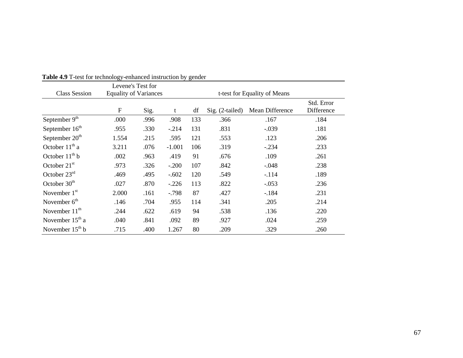| <b>Class Session</b>        | Levene's Test for<br><b>Equality of Variances</b> |      |          |     | t-test for Equality of Means |                 |                          |
|-----------------------------|---------------------------------------------------|------|----------|-----|------------------------------|-----------------|--------------------------|
|                             | $\mathbf F$                                       | Sig. | t        | df  | $Sig. (2-tailed)$            | Mean Difference | Std. Error<br>Difference |
| September $9th$             | .000                                              | .996 | .908     | 133 | .366                         | .167            | .184                     |
| September 16 <sup>th</sup>  | .955                                              | .330 | $-.214$  | 131 | .831                         | $-.039$         | .181                     |
| September 20 <sup>th</sup>  | 1.554                                             | .215 | .595     | 121 | .553                         | .123            | .206                     |
| October 11 <sup>th</sup> a  | 3.211                                             | .076 | $-1.001$ | 106 | .319                         | $-.234$         | .233                     |
| October $11th b$            | .002                                              | .963 | .419     | 91  | .676                         | .109            | .261                     |
| October $21st$              | .973                                              | .326 | $-.200$  | 107 | .842                         | $-.048$         | .238                     |
| October $23rd$              | .469                                              | .495 | $-.602$  | 120 | .549                         | $-.114$         | .189                     |
| October $30th$              | .027                                              | .870 | $-.226$  | 113 | .822                         | $-.053$         | .236                     |
| November $1st$              | 2.000                                             | .161 | $-0.798$ | 87  | .427                         | $-184$          | .231                     |
| November $6th$              | .146                                              | .704 | .955     | 114 | .341                         | .205            | .214                     |
| November $11th$             | .244                                              | .622 | .619     | 94  | .538                         | .136            | .220                     |
| November 15 <sup>th</sup> a | .040                                              | .841 | .092     | 89  | .927                         | .024            | .259                     |
| November $15th b$           | .715                                              | .400 | 1.267    | 80  | .209                         | .329            | .260                     |

# **Table 4.9** T-test for technology-enhanced instruction by gender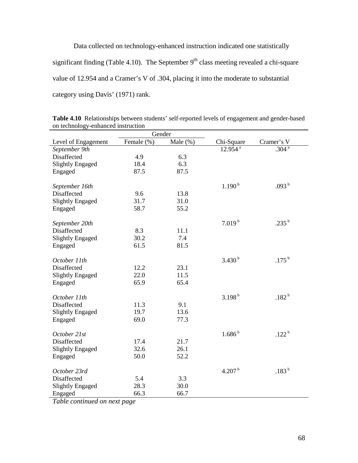Data collected on technology-enhanced instruction indicated one statistically significant finding (Table 4.10). The September  $9<sup>th</sup>$  class meeting revealed a chi-square value of 12.954 and a Cramer's V of .304, placing it into the moderate to substantial category using Davis' (1971) rank.

| on technology enhanced modellon<br>Gender |            |             |                       |                 |  |  |  |
|-------------------------------------------|------------|-------------|-----------------------|-----------------|--|--|--|
|                                           |            |             |                       |                 |  |  |  |
| Level of Engagement                       | Female (%) | Male $(\%)$ | Chi-Square            | Cramer's V      |  |  |  |
| September 9th                             |            |             | $12.954$ <sup>a</sup> | $.304^{a}$      |  |  |  |
| Disaffected                               | 4.9        | 6.3         |                       |                 |  |  |  |
| <b>Slightly Engaged</b>                   | 18.4       | 6.3         |                       |                 |  |  |  |
| Engaged                                   | 87.5       | 87.5        |                       |                 |  |  |  |
|                                           |            |             |                       |                 |  |  |  |
| September 16th                            |            |             | 1.190 <sup>b</sup>    | .093 $^{\rm b}$ |  |  |  |
| Disaffected                               | 9.6        | 13.8        |                       |                 |  |  |  |
| <b>Slightly Engaged</b>                   | 31.7       | 31.0        |                       |                 |  |  |  |
| Engaged                                   | 58.7       | 55.2        |                       |                 |  |  |  |
|                                           |            |             |                       |                 |  |  |  |
| September 20th                            |            |             | $7.019^{b}$           | .235 $^{\rm b}$ |  |  |  |
| Disaffected                               | 8.3        | 11.1        |                       |                 |  |  |  |
| <b>Slightly Engaged</b>                   | 30.2       | 7.4         |                       |                 |  |  |  |
| Engaged                                   | 61.5       | 81.5        |                       |                 |  |  |  |
|                                           |            |             |                       |                 |  |  |  |
| October 11th                              |            |             | 3.430 <sup>b</sup>    | .175 $^{\rm b}$ |  |  |  |
| Disaffected                               | 12.2       | 23.1        |                       |                 |  |  |  |
| <b>Slightly Engaged</b>                   | 22.0       | 11.5        |                       |                 |  |  |  |
| Engaged                                   | 65.9       | 65.4        |                       |                 |  |  |  |
|                                           |            |             |                       |                 |  |  |  |
| October 11th                              |            |             | $3.198^{b}$           | .182 $^{\rm b}$ |  |  |  |
| Disaffected                               | 11.3       | 9.1         |                       |                 |  |  |  |
| <b>Slightly Engaged</b>                   | 19.7       | 13.6        |                       |                 |  |  |  |
| Engaged                                   | 69.0       | 77.3        |                       |                 |  |  |  |
|                                           |            |             |                       |                 |  |  |  |
| October 21st                              |            |             | $1.686^{b}$           | .122 $^{\rm b}$ |  |  |  |
| Disaffected                               | 17.4       | 21.7        |                       |                 |  |  |  |
| <b>Slightly Engaged</b>                   | 32.6       | 26.1        |                       |                 |  |  |  |
| Engaged                                   | 50.0       | 52.2        |                       |                 |  |  |  |
|                                           |            |             |                       |                 |  |  |  |
| October 23rd                              |            |             | 4.207 $^{\rm b}$      | .183 $^{\rm b}$ |  |  |  |
| Disaffected                               | 5.4        | 3.3         |                       |                 |  |  |  |
|                                           | 28.3       | 30.0        |                       |                 |  |  |  |
| <b>Slightly Engaged</b>                   |            |             |                       |                 |  |  |  |
| Engaged                                   | 66.3       | 66.7        |                       |                 |  |  |  |

**Table 4.10** Relationships between students' self-reported levels of engagement and gender-based on technology-enhanced instruction

*Table continued on next page*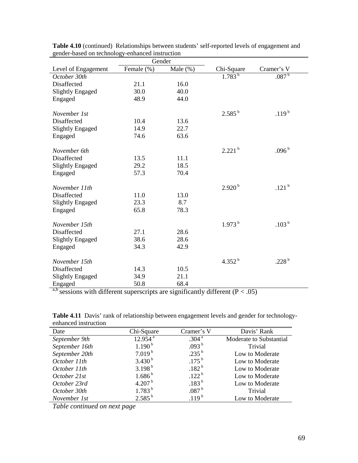| genuer-based on technology-enhanced msu uction | Gender     |             |                    |                       |
|------------------------------------------------|------------|-------------|--------------------|-----------------------|
| Level of Engagement                            | Female (%) | Male $(\%)$ | Chi-Square         | Cramer's V            |
| October 30th                                   |            |             | $1.783^{b}$        | .087 <sup>b</sup>     |
| Disaffected                                    | 21.1       | 16.0        |                    |                       |
| <b>Slightly Engaged</b>                        | 30.0       | 40.0        |                    |                       |
| Engaged                                        | 48.9       | 44.0        |                    |                       |
|                                                |            |             |                    |                       |
| November 1st                                   |            |             | $2.585^{b}$        | .119 <sup>b</sup>     |
| Disaffected                                    | 10.4       | 13.6        |                    |                       |
| <b>Slightly Engaged</b>                        | 14.9       | 22.7        |                    |                       |
| Engaged                                        | 74.6       | 63.6        |                    |                       |
|                                                |            |             |                    |                       |
| November 6th                                   |            |             | 2.221 <sup>b</sup> | $.096^{\,\mathrm{b}}$ |
| Disaffected                                    | 13.5       | 11.1        |                    |                       |
| <b>Slightly Engaged</b>                        | 29.2       | 18.5        |                    |                       |
| Engaged                                        | 57.3       | 70.4        |                    |                       |
| November 11th                                  |            |             | $2.920^{b}$        | .121 $^{\rm b}$       |
| Disaffected                                    | 11.0       | 13.0        |                    |                       |
| <b>Slightly Engaged</b>                        | 23.3       | 8.7         |                    |                       |
| Engaged                                        | 65.8       | 78.3        |                    |                       |
|                                                |            |             |                    |                       |
| November 15th                                  |            |             | $1.973^{b}$        | $.103^{\:\mathrm{b}}$ |
| Disaffected                                    | 27.1       | 28.6        |                    |                       |
| <b>Slightly Engaged</b>                        | 38.6       | 28.6        |                    |                       |
| Engaged                                        | 34.3       | 42.9        |                    |                       |
|                                                |            |             |                    |                       |
| November 15th                                  |            |             | 4.352 $^{\rm b}$   | .228 $^{\rm b}$       |
| Disaffected                                    | 14.3       | 10.5        |                    |                       |
| <b>Slightly Engaged</b>                        | 34.9       | 21.1        |                    |                       |
| Engaged                                        | 50.8       | 68.4        |                    |                       |

**Table 4.10** (continued) Relationships between students' self-reported levels of engagement and gender-based on technology-enhanced instruction

a,b sessions with different superscripts are significantly different ( $P < .05$ )

| UHHAHUU HISU UUUUH |                       |                   |                         |
|--------------------|-----------------------|-------------------|-------------------------|
| Date               | Chi-Square            | Cramer's V        | Davis' Rank             |
| September 9th      | $12.954$ <sup>a</sup> | .304 <sup>a</sup> | Moderate to Substantial |
| September 16th     | 1.190 <sup>b</sup>    | .093 <sup>b</sup> | Trivial                 |
| September 20th     | $7.019^{b}$           | $.235^{b}$        | Low to Moderate         |
| October 11th       | $3.430^{b}$           | $.175^{b}$        | Low to Moderate         |
| October 11th       | $3.198^{b}$           | $.182^{b}$        | Low to Moderate         |
| October 21st       | $1.686^{b}$           | .122 <sup>b</sup> | Low to Moderate         |
| October 23rd       | 4.207 <sup>b</sup>    | $.183^{b}$        | Low to Moderate         |
| October 30th       | $1.783^{b}$           | .087 <sup>b</sup> | Trivial                 |
| November 1st       | $2.585^{b}$           | .119 <sup>b</sup> | Low to Moderate         |

Table 4.11 Davis' rank of relationship between engagement levels and gender for technologyenhanced instruction

*Table continued on next page*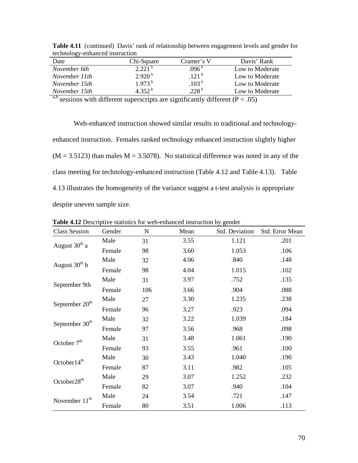| $\frac{1}{2}$<br>childre ca mon action |                    |                   |                 |
|----------------------------------------|--------------------|-------------------|-----------------|
| Date                                   | Chi-Square         | Cramer's V        | Davis' Rank     |
| November 6th                           | 2.221 <sup>b</sup> | .096 <sup>b</sup> | Low to Moderate |
| November 11th                          | $2.920^{b}$        | $121^{b}$         | Low to Moderate |
| November 15th                          | $1.973^{b}$        | 103 <sup>b</sup>  | Low to Moderate |
| November 15th                          | 4 352 <sup>b</sup> | $228^{\rm b}$     | Low to Moderate |
|                                        |                    |                   |                 |

Table 4.11 (continued) Davis' rank of relationship between engagement levels and gender for technology-enhanced instruction

<sup>a,b</sup> sessions with different superscripts are significantly different ( $P < .05$ )

Web-enhanced instruction showed similar results to traditional and technologyenhanced instruction. Females ranked technology enhanced instruction slightly higher  $(M = 3.5123)$  than males  $M = 3.5078$ ). No statistical difference was noted in any of the class meeting for technology-enhanced instruction (Table 4.12 and Table 4.13). Table 4.13 illustrates the homogeneity of the variance suggest a t-test analysis is appropriate despite uneven sample size.

| <b>Class Session</b>       | Gender | ${\bf N}$ | Mean | Std. Deviation | Std. Error Mean |
|----------------------------|--------|-----------|------|----------------|-----------------|
| August 30 <sup>th</sup> a  | Male   | 31        | 3.55 | 1.121          | .201            |
|                            | Female | 98        | 3.60 | 1.053          | .106            |
|                            | Male   | 32        | 4.06 | .840           | .148            |
| August $30th b$            | Female | 98        | 4.04 | 1.015          | .102            |
|                            | Male   | 31        | 3.97 | .752           | .135            |
| September 9th              | Female | 106       | 3.66 | .904           | .088            |
|                            | Male   | 27        | 3.30 | 1.235          | .238            |
| September 20 <sup>th</sup> | Female | 96        | 3.27 | .923           | .094            |
|                            | Male   | 32        | 3.22 | 1.039          | .184            |
| September 30 <sup>th</sup> | Female | 97        | 3.56 | .968           | .098            |
| October 7 <sup>th</sup>    | Male   | 31        | 3.48 | 1.061          | .190            |
|                            | Female | 93        | 3.55 | .961           | .100            |
| October14 <sup>th</sup>    | Male   | 30        | 3.43 | 1.040          | .190            |
|                            | Female | 87        | 3.11 | .982           | .105            |
| October28 <sup>th</sup>    | Male   | 29        | 3.07 | 1.252          | .232            |
|                            | Female | 82        | 3.07 | .940           | .104            |
| November 11 <sup>th</sup>  | Male   | 24        | 3.54 | .721           | .147            |
|                            | Female | 80        | 3.51 | 1.006          | .113            |

**Table 4.12** Descriptive statistics for web-enhanced instruction by gender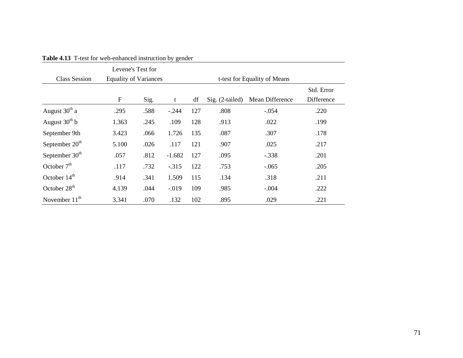|                            | Levene's Test for            |      |          |                              |                   |                 |                          |
|----------------------------|------------------------------|------|----------|------------------------------|-------------------|-----------------|--------------------------|
| <b>Class Session</b>       | <b>Equality of Variances</b> |      |          | t-test for Equality of Means |                   |                 |                          |
|                            | ${\bf F}$                    | Sig. | t        | df                           | $Sig. (2-tailed)$ | Mean Difference | Std. Error<br>Difference |
| August $30th$ a            | .295                         | .588 | $-.244$  | 127                          | .808              | $-.054$         | .220                     |
| August $30th b$            | 1.363                        | .245 | .109     | 128                          | .913              | .022            | .199                     |
| September 9th              | 3.423                        | .066 | 1.726    | 135                          | .087              | .307            | .178                     |
| September $20th$           | 5.100                        | .026 | .117     | 121                          | .907              | .025            | .217                     |
| September 30 <sup>th</sup> | .057                         | .812 | $-1.682$ | 127                          | .095              | $-.338$         | .201                     |
| October $7th$              | .117                         | .732 | $-315$   | 122                          | .753              | $-.065$         | .205                     |
| October 14 <sup>th</sup>   | .914                         | .341 | 1.509    | 115                          | .134              | .318            | .211                     |
| October 28 <sup>th</sup>   | 4.139                        | .044 | $-0.019$ | 109                          | .985              | $-.004$         | .222                     |
| November $11th$            | 3.341                        | .070 | .132     | 102                          | .895              | .029            | .221                     |

**Table 4.13** T-test for web-enhanced instruction by gender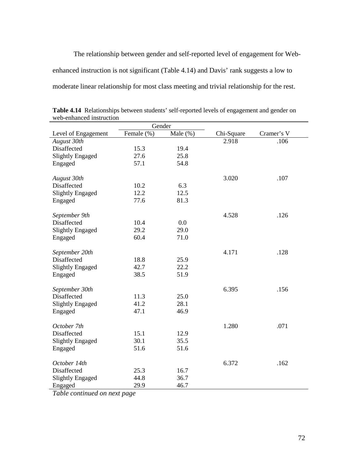The relationship between gender and self-reported level of engagement for Webenhanced instruction is not significant (Table 4.14) and Davis' rank suggests a low to moderate linear relationship for most class meeting and trivial relationship for the rest.

| Gender                  |            |             |            |            |
|-------------------------|------------|-------------|------------|------------|
| Level of Engagement     | Female (%) | Male $(\%)$ | Chi-Square | Cramer's V |
| August 30th             |            |             | 2.918      | .106       |
| Disaffected             | 15.3       | 19.4        |            |            |
| <b>Slightly Engaged</b> | 27.6       | 25.8        |            |            |
| Engaged                 | 57.1       | 54.8        |            |            |
|                         |            |             |            |            |
| August 30th             |            |             | 3.020      | .107       |
| Disaffected             | 10.2       | 6.3         |            |            |
| <b>Slightly Engaged</b> | 12.2       | 12.5        |            |            |
| Engaged                 | 77.6       | 81.3        |            |            |
|                         |            |             |            |            |
| September 9th           |            |             | 4.528      | .126       |
| Disaffected             | 10.4       | 0.0         |            |            |
| <b>Slightly Engaged</b> | 29.2       | 29.0        |            |            |
| Engaged                 | 60.4       | 71.0        |            |            |
|                         |            |             |            |            |
| September 20th          |            |             | 4.171      | .128       |
| Disaffected             | 18.8       | 25.9        |            |            |
| <b>Slightly Engaged</b> | 42.7       | 22.2        |            |            |
| Engaged                 | 38.5       | 51.9        |            |            |
|                         |            |             |            |            |
| September 30th          |            |             | 6.395      | .156       |
| Disaffected             | 11.3       | 25.0        |            |            |
| <b>Slightly Engaged</b> | 41.2       | 28.1        |            |            |
| Engaged                 | 47.1       | 46.9        |            |            |
| October 7th             |            |             | 1.280      | .071       |
| Disaffected             | 15.1       | 12.9        |            |            |
| <b>Slightly Engaged</b> | 30.1       | 35.5        |            |            |
|                         | 51.6       | 51.6        |            |            |
| Engaged                 |            |             |            |            |
| October 14th            |            |             | 6.372      | .162       |
| Disaffected             | 25.3       | 16.7        |            |            |
| <b>Slightly Engaged</b> | 44.8       | 36.7        |            |            |
| Engaged                 | 29.9       | 46.7        |            |            |
|                         |            |             |            |            |

**Table 4.14** Relationships between students' self-reported levels of engagement and gender on web-enhanced instruction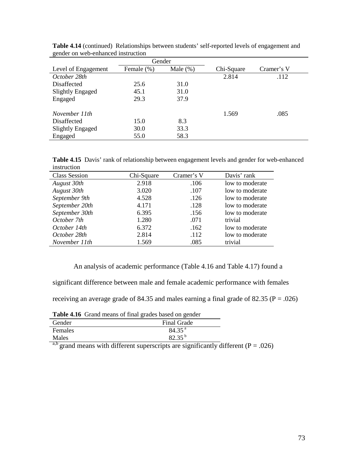| genuer on web-enhanced moduction |            |             |            |            |  |
|----------------------------------|------------|-------------|------------|------------|--|
|                                  | Gender     |             |            |            |  |
| Level of Engagement              | Female (%) | Male $(\%)$ | Chi-Square | Cramer's V |  |
| October 28th                     |            |             | 2.814      | .112       |  |
| Disaffected                      | 25.6       | 31.0        |            |            |  |
| <b>Slightly Engaged</b>          | 45.1       | 31.0        |            |            |  |
| Engaged                          | 29.3       | 37.9        |            |            |  |
| November 11th                    |            |             | 1.569      | .085       |  |
| Disaffected                      | 15.0       | 8.3         |            |            |  |
| Slightly Engaged                 | 30.0       | 33.3        |            |            |  |
| Engaged                          | 55.0       | 58.3        |            |            |  |

**Table 4.14** (continued) Relationships between students' self-reported levels of engagement and gender on web-enhanced instruction

**Table 4.15** Davis' rank of relationship between engagement levels and gender for web-enhanced instruction

| <b>Class Session</b> | Chi-Square | Cramer's V | Davis' rank     |
|----------------------|------------|------------|-----------------|
| August 30th          | 2.918      | .106       | low to moderate |
| August 30th          | 3.020      | .107       | low to moderate |
| September 9th        | 4.528      | .126       | low to moderate |
| September 20th       | 4.171      | .128       | low to moderate |
| September 30th       | 6.395      | .156       | low to moderate |
| October 7th          | 1.280      | .071       | trivial         |
| October 14th         | 6.372      | .162       | low to moderate |
| October 28th         | 2.814      | .112       | low to moderate |
| November 11th        | 1.569      | .085       | trivial         |

An analysis of academic performance (Table 4.16 and Table 4.17) found a

significant difference between male and female academic performance with females

receiving an average grade of 84.35 and males earning a final grade of 82.35 ( $P = .026$ )

|         | Tuble 1110 Orung means of final grades sased on genuer |
|---------|--------------------------------------------------------|
| Gender  | Final Grade                                            |
| Females | 84.35 <sup>a</sup>                                     |
| Males   | $82.35^{b}$                                            |

**Table 4.16** Grand means of final grades based on gender

a,b grand means with different superscripts are significantly different ( $P = .026$ )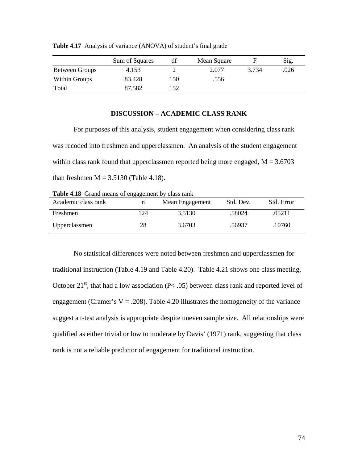|                       | Sum of Squares | df  | Mean Square |       | Sig. |
|-----------------------|----------------|-----|-------------|-------|------|
| <b>Between Groups</b> | 4.153          |     | 2.077       | 3.734 | .026 |
| Within Groups         | 83.428         | 150 | .556        |       |      |
| Total                 | 87.582         | 152 |             |       |      |

**Table 4.17** Analysis of variance (ANOVA) of student's final grade

## **DISCUSSION – ACADEMIC CLASS RANK**

For purposes of this analysis, student engagement when considering class rank was recoded into freshmen and upperclassmen. An analysis of the student engagement within class rank found that upperclassmen reported being more engaged,  $M = 3.6703$ than freshmen  $M = 3.5130$  (Table 4.18).

**Table 4.18** Grand means of engagement by class rank

| Academic class rank | n  | Mean Engagement | Std. Dev. | Std. Error |
|---------------------|----|-----------------|-----------|------------|
| Freshmen            | 24 | 3.5130          | .58024    | .05211     |
| Upperclassmen       | 28 | 3.6703          | .56937    | .10760     |

 No statistical differences were noted between freshmen and upperclassmen for traditional instruction (Table 4.19 and Table 4.20). Table 4.21 shows one class meeting, October  $21^{st}$ , that had a low association (P< .05) between class rank and reported level of engagement (Cramer's  $V = .208$ ). Table 4.20 illustrates the homogeneity of the variance suggest a t-test analysis is appropriate despite uneven sample size. All relationships were qualified as either trivial or low to moderate by Davis' (1971) rank, suggesting that class rank is not a reliable predictor of engagement for traditional instruction.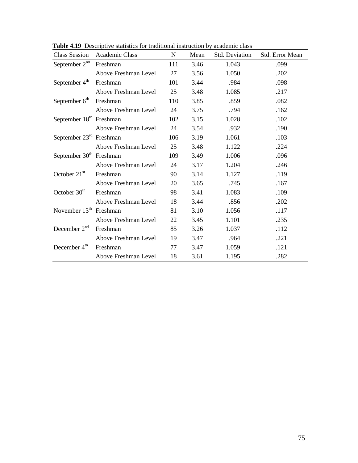| <b>Class Session</b>                | Academic Class       | $\mathbf N$ | Mean | Std. Deviation | Std. Error Mean |
|-------------------------------------|----------------------|-------------|------|----------------|-----------------|
| September $2nd$                     | Freshman             | 111         | 3.46 | 1.043          | .099            |
|                                     | Above Freshman Level | 27          | 3.56 | 1.050          | .202            |
| September $4th$                     | Freshman             | 101         | 3.44 | .984           | .098            |
|                                     | Above Freshman Level | 25          | 3.48 | 1.085          | .217            |
| September 6 <sup>th</sup>           | Freshman             | 110         | 3.85 | .859           | .082            |
|                                     | Above Freshman Level | 24          | 3.75 | .794           | .162            |
| September 18 <sup>th</sup> Freshman |                      | 102         | 3.15 | 1.028          | .102            |
|                                     | Above Freshman Level | 24          | 3.54 | .932           | .190            |
| September $23rd$ Freshman           |                      | 106         | 3.19 | 1.061          | .103            |
|                                     | Above Freshman Level | 25          | 3.48 | 1.122          | .224            |
| September $30th$ Freshman           |                      | 109         | 3.49 | 1.006          | .096            |
|                                     | Above Freshman Level | 24          | 3.17 | 1.204          | .246            |
| October $21st$                      | Freshman             | 90          | 3.14 | 1.127          | .119            |
|                                     | Above Freshman Level | 20          | 3.65 | .745           | .167            |
| October $30th$                      | Freshman             | 98          | 3.41 | 1.083          | .109            |
|                                     | Above Freshman Level | 18          | 3.44 | .856           | .202            |
| November $13th$ Freshman            |                      | 81          | 3.10 | 1.056          | .117            |
|                                     | Above Freshman Level | 22          | 3.45 | 1.101          | .235            |
| December $2nd$                      | Freshman             | 85          | 3.26 | 1.037          | .112            |
|                                     | Above Freshman Level | 19          | 3.47 | .964           | .221            |
| December $4th$                      | Freshman             | 77          | 3.47 | 1.059          | .121            |
|                                     | Above Freshman Level | 18          | 3.61 | 1.195          | .282            |

Table 4.19 Descriptive statistics for traditional instruction by academic class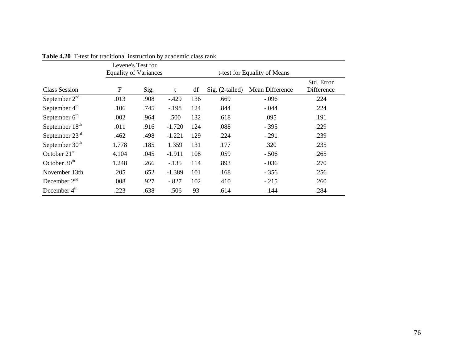|                            | Levene's Test for<br><b>Equality of Variances</b> |      |          |     | t-test for Equality of Means |                 |                          |
|----------------------------|---------------------------------------------------|------|----------|-----|------------------------------|-----------------|--------------------------|
| Class Session              | $\mathbf F$                                       | Sig. | t        | df  | $Sig. (2-tailed)$            | Mean Difference | Std. Error<br>Difference |
| September $2nd$            | .013                                              | .908 | $-429$   | 136 | .669                         | $-.096$         | .224                     |
| September 4 <sup>th</sup>  | .106                                              | .745 | $-.198$  | 124 | .844                         | $-.044$         | .224                     |
| September $6th$            | .002                                              | .964 | .500     | 132 | .618                         | .095            | .191                     |
| September 18 <sup>th</sup> | .011                                              | .916 | $-1.720$ | 124 | .088                         | $-.395$         | .229                     |
| September $23rd$           | .462                                              | .498 | $-1.221$ | 129 | .224                         | $-.291$         | .239                     |
| September 30 <sup>th</sup> | 1.778                                             | .185 | 1.359    | 131 | .177                         | .320            | .235                     |
| October $21st$             | 4.104                                             | .045 | $-1.911$ | 108 | .059                         | $-.506$         | .265                     |
| October $30th$             | 1.248                                             | .266 | $-.135$  | 114 | .893                         | $-.036$         | .270                     |
| November 13th              | .205                                              | .652 | $-1.389$ | 101 | .168                         | $-.356$         | .256                     |
| December $2nd$             | .008                                              | .927 | $-.827$  | 102 | .410                         | $-.215$         | .260                     |
| December 4 <sup>th</sup>   | .223                                              | .638 | $-.506$  | 93  | .614                         | $-144$          | .284                     |

**Table 4.20** T-test for traditional instruction by academic class rank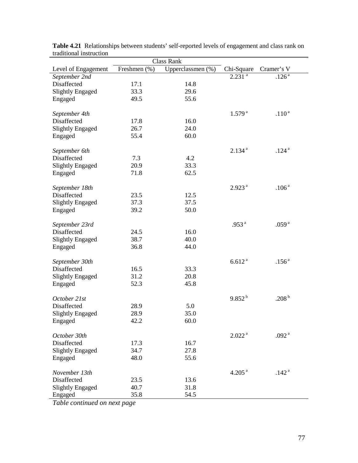| Class Rank              |              |                   |                      |                   |  |  |  |
|-------------------------|--------------|-------------------|----------------------|-------------------|--|--|--|
| Level of Engagement     | Freshmen (%) | Upperclassmen (%) | Chi-Square           | Cramer's V        |  |  |  |
| September 2nd           |              |                   | $2.231$ <sup>a</sup> | $.126^{\bar{a}}$  |  |  |  |
| Disaffected             | 17.1         | 14.8              |                      |                   |  |  |  |
| <b>Slightly Engaged</b> | 33.3         | 29.6              |                      |                   |  |  |  |
| Engaged                 | 49.5         | 55.6              |                      |                   |  |  |  |
|                         |              |                   |                      |                   |  |  |  |
| September 4th           |              |                   | 1.579 <sup>a</sup>   | .110 <sup>a</sup> |  |  |  |
| Disaffected             | 17.8         | 16.0              |                      |                   |  |  |  |
| <b>Slightly Engaged</b> | 26.7         | 24.0              |                      |                   |  |  |  |
| Engaged                 | 55.4         | 60.0              |                      |                   |  |  |  |
|                         |              |                   |                      |                   |  |  |  |
| September 6th           |              |                   | $2.134^{a}$          | .124 <sup>a</sup> |  |  |  |
| Disaffected             | 7.3          | 4.2               |                      |                   |  |  |  |
| <b>Slightly Engaged</b> | 20.9         | 33.3              |                      |                   |  |  |  |
| Engaged                 | 71.8         | 62.5              |                      |                   |  |  |  |
|                         |              |                   |                      |                   |  |  |  |
| September 18th          |              |                   | 2.923 <sup>a</sup>   | .106 <sup>a</sup> |  |  |  |
| Disaffected             | 23.5         | 12.5              |                      |                   |  |  |  |
|                         |              | 37.5              |                      |                   |  |  |  |
| <b>Slightly Engaged</b> | 37.3         |                   |                      |                   |  |  |  |
| Engaged                 | 39.2         | 50.0              |                      |                   |  |  |  |
|                         |              |                   |                      |                   |  |  |  |
| September 23rd          |              |                   | .953 $^{a}$          | .059 <sup>a</sup> |  |  |  |
| Disaffected             | 24.5         | 16.0              |                      |                   |  |  |  |
| <b>Slightly Engaged</b> | 38.7         | 40.0              |                      |                   |  |  |  |
| Engaged                 | 36.8         | 44.0              |                      |                   |  |  |  |
|                         |              |                   |                      |                   |  |  |  |
| September 30th          |              |                   | 6.612 <sup>a</sup>   | .156 <sup>a</sup> |  |  |  |
| Disaffected             | 16.5         | 33.3              |                      |                   |  |  |  |
| <b>Slightly Engaged</b> | 31.2         | 20.8              |                      |                   |  |  |  |
| Engaged                 | 52.3         | 45.8              |                      |                   |  |  |  |
|                         |              |                   |                      |                   |  |  |  |
| October 21st            |              |                   | $9.852^{b}$          | .208 $^{\rm b}$   |  |  |  |
| Disaffected             | 28.9         | 5.0               |                      |                   |  |  |  |
| <b>Slightly Engaged</b> | 28.9         | 35.0              |                      |                   |  |  |  |
| Engaged                 | 42.2         | 60.0              |                      |                   |  |  |  |
|                         |              |                   |                      |                   |  |  |  |
| October 30th            |              |                   | 2.022 <sup>a</sup>   | .092 $^{a}$       |  |  |  |
| Disaffected             | 17.3         | 16.7              |                      |                   |  |  |  |
| <b>Slightly Engaged</b> | 34.7         | 27.8              |                      |                   |  |  |  |
| Engaged                 | 48.0         | 55.6              |                      |                   |  |  |  |
|                         |              |                   |                      |                   |  |  |  |
| November 13th           |              |                   | 4.205 <sup>a</sup>   | .142 <sup>a</sup> |  |  |  |
| Disaffected             | 23.5         | 13.6              |                      |                   |  |  |  |
| <b>Slightly Engaged</b> | 40.7         | 31.8              |                      |                   |  |  |  |
| Engaged                 | 35.8         | 54.5              |                      |                   |  |  |  |
|                         |              |                   |                      |                   |  |  |  |

**Table 4.21** Relationships between students' self-reported levels of engagement and class rank on traditional instruction

 $\overline{a}$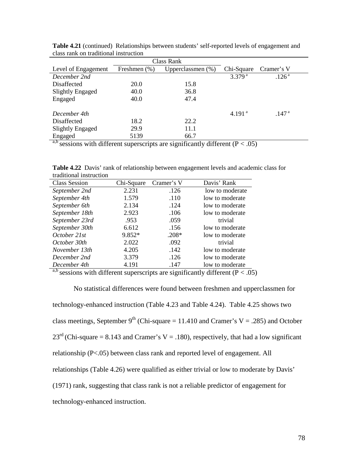|                                          |                  | Class Rank                 |                                |                   |
|------------------------------------------|------------------|----------------------------|--------------------------------|-------------------|
| Level of Engagement                      | Freshmen $(\% )$ | Upperclassmen (%)          | Chi-Square                     | Cramer's V        |
| December 2nd                             |                  |                            | 3.379 <sup>a</sup>             | .126 <sup>a</sup> |
| Disaffected                              | 20.0             | 15.8                       |                                |                   |
| <b>Slightly Engaged</b>                  | 40.0             | 36.8                       |                                |                   |
| Engaged                                  | 40.0             | 47.4                       |                                |                   |
| December 4th                             |                  |                            | 4.191 <sup>a</sup>             | .147 <sup>a</sup> |
| Disaffected                              | 18.2             | 22.2                       |                                |                   |
| <b>Slightly Engaged</b>                  | 29.9             | 11.1                       |                                |                   |
| Engaged                                  | 5139             | 66.7                       |                                |                   |
| a h<br>$\cdots$<br>$\bullet$ . $\bullet$ |                  | $\cdots$<br>$\cdot$ $\sim$ | $\sim$<br>$\sim$ $\sim$ $\sim$ |                   |

**Table 4.21** (continued) Relationships between students' self-reported levels of engagement and class rank on traditional instruction

**Table 4.22** Davis' rank of relationship between engagement levels and academic class for traditional instruction

| <b>Class Session</b> | Chi-Square | Cramer's V | Davis' Rank     |
|----------------------|------------|------------|-----------------|
| September 2nd        | 2.231      | .126       | low to moderate |
| September 4th        | 1.579      | .110       | low to moderate |
| September 6th        | 2.134      | .124       | low to moderate |
| September 18th       | 2.923      | .106       | low to moderate |
| September 23rd       | .953       | .059       | trivial         |
| September 30th       | 6.612      | .156       | low to moderate |
| October 21st         | 9.852*     | $.208*$    | low to moderate |
| October 30th         | 2.022      | .092       | trivial         |
| November 13th        | 4.205      | .142       | low to moderate |
| December 2nd         | 3.379      | .126       | low to moderate |
| December 4th         | 4.191      | .147       | low to moderate |

a,b sessions with different superscripts are significantly different ( $P < .05$ )

No statistical differences were found between freshmen and upperclassmen for technology-enhanced instruction (Table 4.23 and Table 4.24). Table 4.25 shows two class meetings, September 9<sup>th</sup> (Chi-square = 11.410 and Cramer's V = .285) and October  $23<sup>rd</sup>$  (Chi-square = 8.143 and Cramer's V = .180), respectively, that had a low significant relationship (P<.05) between class rank and reported level of engagement. All relationships (Table 4.26) were qualified as either trivial or low to moderate by Davis' (1971) rank, suggesting that class rank is not a reliable predictor of engagement for technology-enhanced instruction.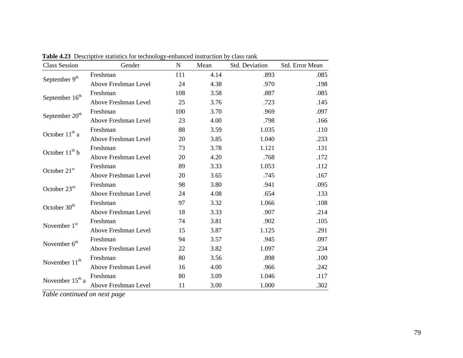| <b>Class Session</b>        | Gender               | N   | Mean | <b>Std. Deviation</b> | Std. Error Mean |
|-----------------------------|----------------------|-----|------|-----------------------|-----------------|
|                             | Freshman             | 111 | 4.14 | .893                  | .085            |
| September 9th               | Above Freshman Level | 24  | 4.38 | .970                  | .198            |
|                             | Freshman             | 108 | 3.58 | .887                  | .085            |
| September 16 <sup>th</sup>  | Above Freshman Level | 25  | 3.76 | .723                  | .145            |
|                             | Freshman             | 100 | 3.70 | .969                  | .097            |
| September 20 <sup>th</sup>  | Above Freshman Level | 23  | 4.00 | .798                  | .166            |
|                             | Freshman             | 88  | 3.59 | 1.035                 | .110            |
| October $11^{th}$ a         | Above Freshman Level | 20  | 3.85 | 1.040                 | .233            |
|                             | Freshman             | 73  | 3.78 | 1.121                 | .131            |
| October 11 <sup>th</sup> b  | Above Freshman Level | 20  | 4.20 | .768                  | .172            |
| October 21st                | Freshman             | 89  | 3.33 | 1.053                 | .112            |
|                             | Above Freshman Level | 20  | 3.65 | .745                  | .167            |
| October 23rd                | Freshman             | 98  | 3.80 | .941                  | .095            |
|                             | Above Freshman Level | 24  | 4.08 | .654                  | .133            |
| October 30 <sup>th</sup>    | Freshman             | 97  | 3.32 | 1.066                 | .108            |
|                             | Above Freshman Level | 18  | 3.33 | .907                  | .214            |
| November 1st                | Freshman             | 74  | 3.81 | .902                  | .105            |
|                             | Above Freshman Level | 15  | 3.87 | 1.125                 | .291            |
| November 6 <sup>th</sup>    | Freshman             | 94  | 3.57 | .945                  | .097            |
|                             | Above Freshman Level | 22  | 3.82 | 1.097                 | .234            |
| November 11 <sup>th</sup>   | Freshman             | 80  | 3.56 | .898                  | .100            |
|                             | Above Freshman Level | 16  | 4.00 | .966                  | .242            |
| November 15 <sup>th</sup> a | Freshman             | 80  | 3.09 | 1.046                 | .117            |
|                             | Above Freshman Level | 11  | 3.00 | 1.000                 | .302            |

**Table 4.23** Descriptive statistics for technology-enhanced instruction by class rank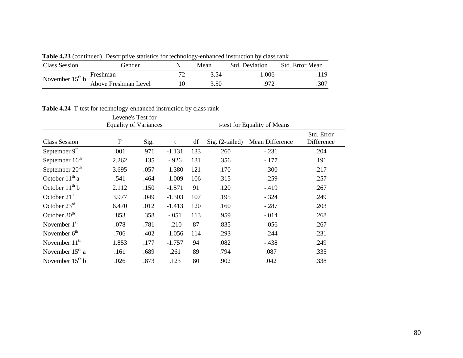| Class Session        | Gender               | Mean | <b>Std. Deviation</b> | - Std. Error Mean |
|----------------------|----------------------|------|-----------------------|-------------------|
| November $15^{th}$ b | Freshman             | 3 54 | 1.006                 | 119               |
|                      | Above Freshman Level | 3.50 | 972                   | .307              |

**Table 4.23** (continued) Descriptive statistics for technology-enhanced instruction by class rank

|  | Table 4.24 T-test for technology-enhanced instruction by class rank |  |
|--|---------------------------------------------------------------------|--|
|--|---------------------------------------------------------------------|--|

|                            | Levene's Test for            |      |          |     |                              |                 |                          |
|----------------------------|------------------------------|------|----------|-----|------------------------------|-----------------|--------------------------|
|                            | <b>Equality of Variances</b> |      |          |     | t-test for Equality of Means |                 |                          |
| <b>Class Session</b>       | $\boldsymbol{\mathrm{F}}$    | Sig. | t        | df  | $Sig. (2-tailed)$            | Mean Difference | Std. Error<br>Difference |
| September $9th$            | .001                         | .971 | $-1.131$ | 133 | .260                         | $-.231$         | .204                     |
| September 16 <sup>th</sup> | 2.262                        | .135 | $-.926$  | 131 | .356                         | $-.177$         | .191                     |
| September 20 <sup>th</sup> | 3.695                        | .057 | $-1.380$ | 121 | .170                         | $-.300$         | .217                     |
| October 11 <sup>th</sup> a | .541                         | .464 | $-1.009$ | 106 | .315                         | $-.259$         | .257                     |
| October $11^{th}$ b        | 2.112                        | .150 | $-1.571$ | 91  | .120                         | $-419$          | .267                     |
| October 21 <sup>st</sup>   | 3.977                        | .049 | $-1.303$ | 107 | .195                         | $-.324$         | .249                     |
| October $23rd$             | 6.470                        | .012 | $-1.413$ | 120 | .160                         | $-.287$         | .203                     |
| October $30th$             | .853                         | .358 | $-.051$  | 113 | .959                         | $-0.014$        | .268                     |
| November $1st$             | .078                         | .781 | $-.210$  | 87  | .835                         | $-0.056$        | .267                     |
| November $6th$             | .706                         | .402 | $-1.056$ | 114 | .293                         | $-.244$         | .231                     |
| November $11th$            | 1.853                        | .177 | $-1.757$ | 94  | .082                         | $-438$          | .249                     |
| November $15th$ a          | .161                         | .689 | .261     | 89  | .794                         | .087            | .335                     |
| November $15th b$          | .026                         | .873 | .123     | 80  | .902                         | .042            | .338                     |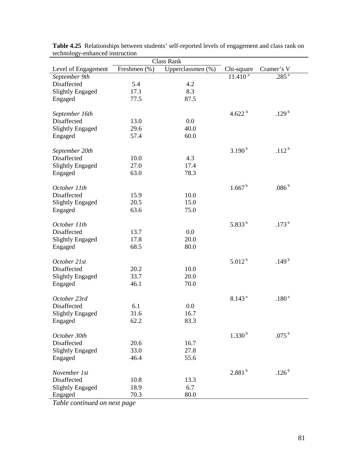|      |                                                                                                                                                                                                                                                  | Cramer's V                                                                                                                                            |
|------|--------------------------------------------------------------------------------------------------------------------------------------------------------------------------------------------------------------------------------------------------|-------------------------------------------------------------------------------------------------------------------------------------------------------|
|      |                                                                                                                                                                                                                                                  | $.285^{a}$                                                                                                                                            |
|      |                                                                                                                                                                                                                                                  |                                                                                                                                                       |
|      |                                                                                                                                                                                                                                                  |                                                                                                                                                       |
| 87.5 |                                                                                                                                                                                                                                                  |                                                                                                                                                       |
|      |                                                                                                                                                                                                                                                  |                                                                                                                                                       |
|      | 4.622 $^{\rm b}$                                                                                                                                                                                                                                 | .129 $^{\rm b}$                                                                                                                                       |
| 0.0  |                                                                                                                                                                                                                                                  |                                                                                                                                                       |
|      |                                                                                                                                                                                                                                                  |                                                                                                                                                       |
|      |                                                                                                                                                                                                                                                  |                                                                                                                                                       |
|      |                                                                                                                                                                                                                                                  |                                                                                                                                                       |
|      |                                                                                                                                                                                                                                                  | .112 <sup>b</sup>                                                                                                                                     |
|      |                                                                                                                                                                                                                                                  |                                                                                                                                                       |
|      |                                                                                                                                                                                                                                                  |                                                                                                                                                       |
|      |                                                                                                                                                                                                                                                  |                                                                                                                                                       |
|      |                                                                                                                                                                                                                                                  | $.086^{\,\mathrm{b}}$                                                                                                                                 |
|      |                                                                                                                                                                                                                                                  |                                                                                                                                                       |
|      |                                                                                                                                                                                                                                                  |                                                                                                                                                       |
|      |                                                                                                                                                                                                                                                  |                                                                                                                                                       |
|      |                                                                                                                                                                                                                                                  |                                                                                                                                                       |
|      |                                                                                                                                                                                                                                                  | .173 $^{\rm b}$                                                                                                                                       |
|      |                                                                                                                                                                                                                                                  |                                                                                                                                                       |
|      |                                                                                                                                                                                                                                                  |                                                                                                                                                       |
|      |                                                                                                                                                                                                                                                  |                                                                                                                                                       |
|      |                                                                                                                                                                                                                                                  |                                                                                                                                                       |
|      | $5.012^{b}$                                                                                                                                                                                                                                      | .149 <sup>b</sup>                                                                                                                                     |
| 10.0 |                                                                                                                                                                                                                                                  |                                                                                                                                                       |
|      |                                                                                                                                                                                                                                                  |                                                                                                                                                       |
|      |                                                                                                                                                                                                                                                  |                                                                                                                                                       |
|      |                                                                                                                                                                                                                                                  |                                                                                                                                                       |
|      |                                                                                                                                                                                                                                                  | $.180^{\,\rm a}$                                                                                                                                      |
|      |                                                                                                                                                                                                                                                  |                                                                                                                                                       |
|      |                                                                                                                                                                                                                                                  |                                                                                                                                                       |
|      |                                                                                                                                                                                                                                                  |                                                                                                                                                       |
|      |                                                                                                                                                                                                                                                  | $.075^{\mathrm{b}}$                                                                                                                                   |
|      |                                                                                                                                                                                                                                                  |                                                                                                                                                       |
|      |                                                                                                                                                                                                                                                  |                                                                                                                                                       |
|      |                                                                                                                                                                                                                                                  |                                                                                                                                                       |
|      |                                                                                                                                                                                                                                                  |                                                                                                                                                       |
|      |                                                                                                                                                                                                                                                  | .126 <sup>b</sup>                                                                                                                                     |
|      |                                                                                                                                                                                                                                                  |                                                                                                                                                       |
|      |                                                                                                                                                                                                                                                  |                                                                                                                                                       |
|      |                                                                                                                                                                                                                                                  |                                                                                                                                                       |
|      | <b>Class Rank</b><br>Upperclassmen (%)<br>Freshmen (%)<br>4.2<br>8.3<br>40.0<br>60.0<br>4.3<br>17.4<br>78.3<br>10.0<br>15.0<br>75.0<br>0.0<br>20.0<br>80.0<br>20.0<br>70.0<br>0.0<br>16.7<br>83.3<br>16.7<br>27.8<br>55.6<br>13.3<br>6.7<br>80.0 | Chi-square<br>$11.410^{a}$<br>$3.190^{b}$<br>1.667 <sup>b</sup><br>5.833 $^{\rm b}$<br>8.143 <sup>a</sup><br>1.330 <sup>b</sup><br>2.881 <sup>b</sup> |

**Table 4.25** Relationships between students' self-reported levels of engagement and class rank on technology-enhanced instruction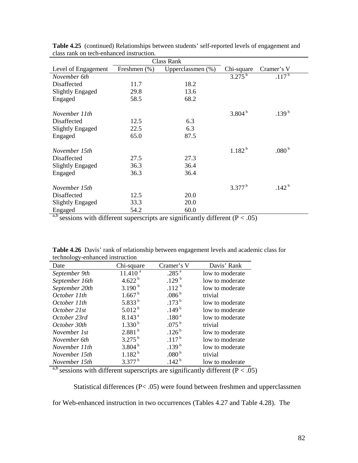| ciass faint on tech-chinanced mistraction. |              |                   |                    |                   |
|--------------------------------------------|--------------|-------------------|--------------------|-------------------|
|                                            |              | Class Rank        |                    |                   |
| Level of Engagement                        | Freshmen (%) | Upperclassmen (%) | Chi-square         | Cramer's V        |
| November 6th                               |              |                   | $3.275^{b}$        | $.117^{b}$        |
| Disaffected                                | 11.7         | 18.2              |                    |                   |
| <b>Slightly Engaged</b>                    | 29.8         | 13.6              |                    |                   |
| Engaged                                    | 58.5         | 68.2              |                    |                   |
|                                            |              |                   |                    |                   |
| November 11th                              |              |                   | 3.804 <sup>b</sup> | .139 <sup>b</sup> |
| Disaffected                                | 12.5         | 6.3               |                    |                   |
| Slightly Engaged                           | 22.5         | 6.3               |                    |                   |
| Engaged                                    | 65.0         | 87.5              |                    |                   |
|                                            |              |                   |                    |                   |
| November 15th                              |              |                   | $1.182^{b}$        | .080 $^{\rm b}$   |
| Disaffected                                | 27.5         | 27.3              |                    |                   |
| Slightly Engaged                           | 36.3         | 36.4              |                    |                   |
| Engaged                                    | 36.3         | 36.4              |                    |                   |
|                                            |              |                   |                    |                   |
| November 15th                              |              |                   | $3.377^{b}$        | .142 <sup>b</sup> |
| Disaffected                                | 12.5         | 20.0              |                    |                   |
| <b>Slightly Engaged</b>                    | 33.3         | 20.0              |                    |                   |
| Engaged                                    | 54.2         | 60.0              |                    |                   |

**Table 4.25** (continued) Relationships between students' self-reported levels of engagement and class rank on tech-enhanced instruction.

| ັວມ            |                      |                     |                 |
|----------------|----------------------|---------------------|-----------------|
| Date           | Chi-square           | Cramer's V          | Davis' Rank     |
| September 9th  | $11.410^{a}$         | .285 $^{\bar{a}}$   | low to moderate |
| September 16th | 4.622 $^{\rm b}$     | .129 $^{\rm b}$     | low to moderate |
| September 20th | 3.190 $^{\rm b}$     | .112 <sup>b</sup>   | low to moderate |
| October 11th   | 1.667 <sup>b</sup>   | .086 <sup>b</sup>   | trivial         |
| October 11th   | 5.833 $^{\rm b}$     | .173 <sup>b</sup>   | low to moderate |
| October 21st   | $5.012^{b}$          | .149 <sup>b</sup>   | low to moderate |
| October 23rd   | 8.143 <sup>a</sup>   | .180 <sup>a</sup>   | low to moderate |
| October 30th   | 1.330 <sup>b</sup>   | $.075^{\mathrm{b}}$ | trivial         |
| November 1st   | 2.881 <sup>b</sup>   | .126 <sup>b</sup>   | low to moderate |
| November 6th   | $3.275^{b}$          | $.117^{b}$          | low to moderate |
| November 11th  | $3.804^{b}$          | .139 <sup>b</sup>   | low to moderate |
| November 15th  | $1.182^{b}$          | .080 <sup>b</sup>   | trivial         |
| November 15th  | $3.377^{\mathrm{b}}$ | .142 <sup>b</sup>   | low to moderate |

**Table 4.26** Davis' rank of relationship between engagement levels and academic class for technology-enhanced instruction

<sup>a,b</sup> sessions with different superscripts are significantly different ( $P < .05$ )

Statistical differences (P< .05) were found between freshmen and upperclassmen

for Web-enhanced instruction in two occurrences (Tables 4.27 and Table 4.28). The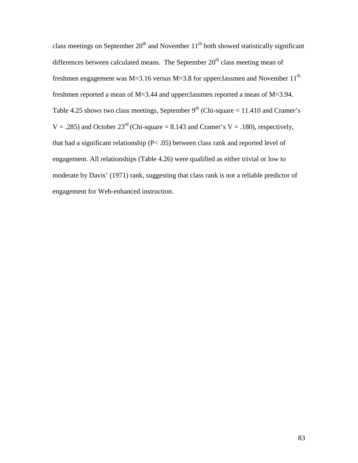class meetings on September  $20<sup>th</sup>$  and November  $11<sup>th</sup>$  both showed statistically significant differences between calculated means. The September  $20<sup>th</sup>$  class meeting mean of freshmen engagement was M=3.16 versus M=3.8 for upperclassmen and November 11<sup>th</sup> freshmen reported a mean of M=3.44 and upperclassmen reported a mean of M=3.94. Table 4.25 shows two class meetings, September  $9<sup>th</sup>$  (Chi-square = 11.410 and Cramer's  $V = .285$ ) and October 23<sup>rd</sup> (Chi-square = 8.143 and Cramer's  $V = .180$ ), respectively, that had a significant relationship (P< .05) between class rank and reported level of engagement. All relationships (Table 4.26) were qualified as either trivial or low to moderate by Davis' (1971) rank, suggesting that class rank is not a reliable predictor of engagement for Web-enhanced instruction.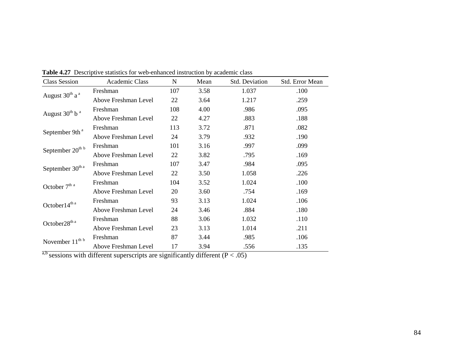| <b>Class Session</b>                   | Academic Class       | $N_{\rm}$ | Mean | Std. Deviation | Std. Error Mean |
|----------------------------------------|----------------------|-----------|------|----------------|-----------------|
| August 30 <sup>th</sup> a <sup>a</sup> | Freshman             | 107       | 3.58 | 1.037          | .100            |
|                                        | Above Freshman Level | 22        | 3.64 | 1.217          | .259            |
| August $30^{\rm th}$ b $^{\rm a}$      | Freshman             | 108       | 4.00 | .986           | .095            |
|                                        | Above Freshman Level | 22        | 4.27 | .883           | .188            |
| September 9th <sup>a</sup>             | Freshman             | 113       | 3.72 | .871           | .082            |
|                                        | Above Freshman Level | 24        | 3.79 | .932           | .190            |
| September 20 <sup>th b</sup>           | Freshman             | 101       | 3.16 | .997           | .099            |
|                                        | Above Freshman Level | 22        | 3.82 | .795           | .169            |
| September 30 <sup>th a</sup>           | Freshman             | 107       | 3.47 | .984           | .095            |
|                                        | Above Freshman Level | 22        | 3.50 | 1.058          | .226            |
| October $7^{\rm th}$ a                 | Freshman             | 104       | 3.52 | 1.024          | .100            |
|                                        | Above Freshman Level | 20        | 3.60 | .754           | .169            |
| October14 <sup>th a</sup>              | Freshman             | 93        | 3.13 | 1.024          | .106            |
|                                        | Above Freshman Level | 24        | 3.46 | .884           | .180            |
| October $28^{\text{th a}}$             | Freshman             | 88        | 3.06 | 1.032          | .110            |
|                                        | Above Freshman Level | 23        | 3.13 | 1.014          | .211            |
|                                        | Freshman             | 87        | 3.44 | .985           | .106            |
| November $11^{th b}$                   | Above Freshman Level | 17        | 3.94 | .556           | .135            |

**Table 4.27** Descriptive statistics for web-enhanced instruction by academic class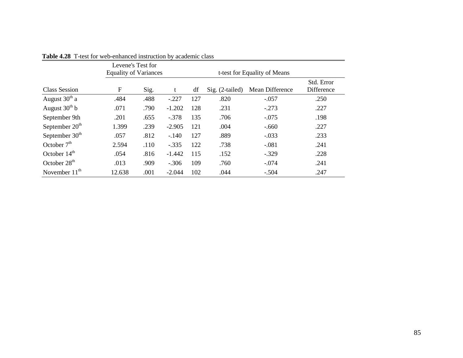|                          | Levene's Test for<br><b>Equality of Variances</b> |      |          | t-test for Equality of Means |                   |                 |                          |  |
|--------------------------|---------------------------------------------------|------|----------|------------------------------|-------------------|-----------------|--------------------------|--|
| Class Session            | $\mathbf F$                                       | Sig. |          | df                           | $Sig. (2-tailed)$ | Mean Difference | Std. Error<br>Difference |  |
| August $30th$ a          | .484                                              | .488 | $-.227$  | 127                          | .820              | $-.057$         | .250                     |  |
| August $30th b$          | .071                                              | .790 | $-1.202$ | 128                          | .231              | $-.273$         | .227                     |  |
| September 9th            | .201                                              | .655 | $-.378$  | 135                          | .706              | $-.075$         | .198                     |  |
| September $20th$         | 1.399                                             | .239 | $-2.905$ | 121                          | .004              | $-.660$         | .227                     |  |
| September $30th$         | .057                                              | .812 | $-.140$  | 127                          | .889              | $-.033$         | .233                     |  |
| October $7th$            | 2.594                                             | .110 | $-.335$  | 122                          | .738              | $-.081$         | .241                     |  |
| October $14th$           | .054                                              | .816 | $-1.442$ | 115                          | .152              | $-.329$         | .228                     |  |
| October 28 <sup>th</sup> | .013                                              | .909 | $-.306$  | 109                          | .760              | $-.074$         | .241                     |  |
| November $11th$          | 12.638                                            | .001 | $-2.044$ | 102                          | .044              | $-.504$         | .247                     |  |

**Table 4.28** T-test for web-enhanced instruction by academic class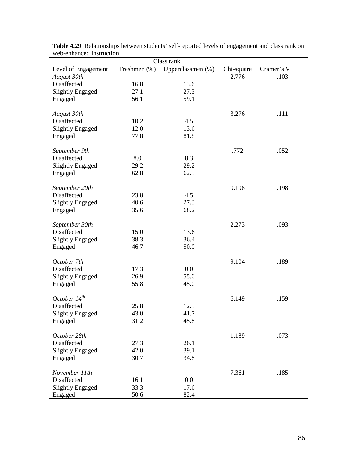|                         | Class rank   |                   |            |            |  |  |  |  |  |
|-------------------------|--------------|-------------------|------------|------------|--|--|--|--|--|
| Level of Engagement     | Freshmen (%) | Upperclassmen (%) | Chi-square | Cramer's V |  |  |  |  |  |
| August 30th             |              |                   | 2.776      | .103       |  |  |  |  |  |
| Disaffected             | 16.8         | 13.6              |            |            |  |  |  |  |  |
| <b>Slightly Engaged</b> | 27.1         | 27.3              |            |            |  |  |  |  |  |
| Engaged                 | 56.1         | 59.1              |            |            |  |  |  |  |  |
|                         |              |                   |            |            |  |  |  |  |  |
| August 30th             |              |                   | 3.276      | .111       |  |  |  |  |  |
| Disaffected             | 10.2         | 4.5               |            |            |  |  |  |  |  |
| <b>Slightly Engaged</b> | 12.0         | 13.6              |            |            |  |  |  |  |  |
| Engaged                 | 77.8         | 81.8              |            |            |  |  |  |  |  |
|                         |              |                   |            |            |  |  |  |  |  |
| September 9th           |              |                   | .772       | .052       |  |  |  |  |  |
| Disaffected             | 8.0          | 8.3               |            |            |  |  |  |  |  |
| <b>Slightly Engaged</b> | 29.2         | 29.2              |            |            |  |  |  |  |  |
| Engaged                 | 62.8         | 62.5              |            |            |  |  |  |  |  |
|                         |              |                   |            |            |  |  |  |  |  |
| September 20th          |              |                   | 9.198      | .198       |  |  |  |  |  |
| Disaffected             | 23.8         | 4.5               |            |            |  |  |  |  |  |
| <b>Slightly Engaged</b> | 40.6         | 27.3              |            |            |  |  |  |  |  |
|                         | 35.6         | 68.2              |            |            |  |  |  |  |  |
| Engaged                 |              |                   |            |            |  |  |  |  |  |
|                         |              |                   |            |            |  |  |  |  |  |
| September 30th          |              |                   | 2.273      | .093       |  |  |  |  |  |
| Disaffected             | 15.0         | 13.6              |            |            |  |  |  |  |  |
| <b>Slightly Engaged</b> | 38.3         | 36.4              |            |            |  |  |  |  |  |
| Engaged                 | 46.7         | 50.0              |            |            |  |  |  |  |  |
|                         |              |                   |            |            |  |  |  |  |  |
| October 7th             |              |                   | 9.104      | .189       |  |  |  |  |  |
| Disaffected             | 17.3         | 0.0               |            |            |  |  |  |  |  |
| <b>Slightly Engaged</b> | 26.9         | 55.0              |            |            |  |  |  |  |  |
| Engaged                 | 55.8         | 45.0              |            |            |  |  |  |  |  |
|                         |              |                   |            |            |  |  |  |  |  |
| October $14^{th}$       |              |                   | 6.149      | .159       |  |  |  |  |  |
| Disaffected             | 25.8         | 12.5              |            |            |  |  |  |  |  |
| <b>Slightly Engaged</b> | 43.0         | 41.7              |            |            |  |  |  |  |  |
| Engaged                 | 31.2         | 45.8              |            |            |  |  |  |  |  |
|                         |              |                   |            |            |  |  |  |  |  |
| October 28th            |              |                   | 1.189      | .073       |  |  |  |  |  |
| Disaffected             | 27.3         | 26.1              |            |            |  |  |  |  |  |
| <b>Slightly Engaged</b> | 42.0         | 39.1              |            |            |  |  |  |  |  |
| Engaged                 | 30.7         | 34.8              |            |            |  |  |  |  |  |
|                         |              |                   |            |            |  |  |  |  |  |
| November 11th           |              |                   | 7.361      | .185       |  |  |  |  |  |
| Disaffected             | 16.1         | 0.0               |            |            |  |  |  |  |  |
| <b>Slightly Engaged</b> | 33.3         | 17.6              |            |            |  |  |  |  |  |
| Engaged                 | 50.6         | 82.4              |            |            |  |  |  |  |  |

**Table 4.29** Relationships between students' self-reported levels of engagement and class rank on web-enhanced instruction  $\overline{\phantom{a}}$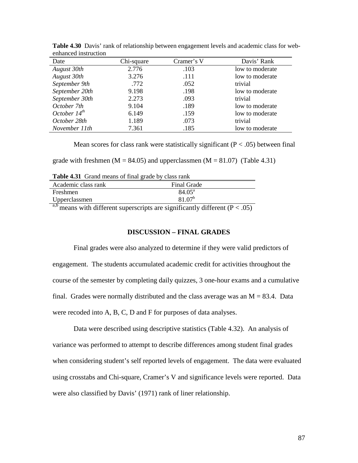| еннансса піза асабн |            |            |                 |
|---------------------|------------|------------|-----------------|
| Date                | Chi-square | Cramer's V | Davis' Rank     |
| August 30th         | 2.776      | .103       | low to moderate |
| August 30th         | 3.276      | .111       | low to moderate |
| September 9th       | .772       | .052       | trivial         |
| September 20th      | 9.198      | .198       | low to moderate |
| September 30th      | 2.273      | .093       | trivial         |
| October 7th         | 9.104      | .189       | low to moderate |
| October $14^{th}$   | 6.149      | .159       | low to moderate |
| October 28th        | 1.189      | .073       | trivial         |
| November 11th       | 7.361      | .185       | low to moderate |

**Table 4.30** Davis' rank of relationship between engagement levels and academic class for webenhanced instruction

Mean scores for class rank were statistically significant ( $P < .05$ ) between final

grade with freshmen ( $M = 84.05$ ) and upperclassmen ( $M = 81.07$ ) (Table 4.31)

| <b>THERE</b> IN THE CONSTRUCTED OF THE LIBRARY CAUSE FROM |                                                                                                                                                                                                                                                                                                                                    |                       |  |  |  |  |
|-----------------------------------------------------------|------------------------------------------------------------------------------------------------------------------------------------------------------------------------------------------------------------------------------------------------------------------------------------------------------------------------------------|-----------------------|--|--|--|--|
| Academic class rank                                       | Final Grade                                                                                                                                                                                                                                                                                                                        |                       |  |  |  |  |
| Freshmen                                                  | $84.05^{\circ}$                                                                                                                                                                                                                                                                                                                    |                       |  |  |  |  |
| Upperclassmen                                             | $81.07^{b}$                                                                                                                                                                                                                                                                                                                        |                       |  |  |  |  |
| a.b<br>$\cdot$ 1.00                                       | $\mathbf{1}$ $\mathbf{1}$ $\mathbf{1}$ $\mathbf{1}$ $\mathbf{1}$ $\mathbf{1}$ $\mathbf{1}$ $\mathbf{1}$ $\mathbf{1}$ $\mathbf{1}$ $\mathbf{1}$ $\mathbf{1}$ $\mathbf{1}$ $\mathbf{1}$ $\mathbf{1}$ $\mathbf{1}$ $\mathbf{1}$ $\mathbf{1}$ $\mathbf{1}$ $\mathbf{1}$ $\mathbf{1}$ $\mathbf{1}$ $\mathbf{1}$ $\mathbf{1}$ $\mathbf{$ | $\sqrt{D}$ $\sqrt{E}$ |  |  |  |  |

**Table 4.31** Grand means of final grade by class rank

<sup> $\mu$ b</sup> means with different superscripts are significantly different (P < .05)

## **DISCUSSION – FINAL GRADES**

 Final grades were also analyzed to determine if they were valid predictors of engagement. The students accumulated academic credit for activities throughout the course of the semester by completing daily quizzes, 3 one-hour exams and a cumulative final. Grades were normally distributed and the class average was an  $M = 83.4$ . Data were recoded into A, B, C, D and F for purposes of data analyses.

 Data were described using descriptive statistics (Table 4.32). An analysis of variance was performed to attempt to describe differences among student final grades when considering student's self reported levels of engagement. The data were evaluated using crosstabs and Chi-square, Cramer's V and significance levels were reported. Data were also classified by Davis' (1971) rank of liner relationship.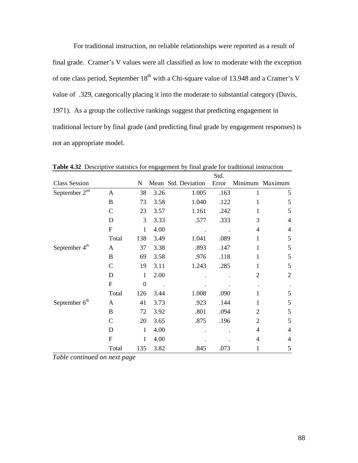For traditional instruction, no reliable relationships were reported as a result of final grade. Cramer's V values were all classified as low to moderate with the exception of one class period, September 18<sup>th</sup> with a Chi-square value of 13.948 and a Cramer's V value of .329, categorically placing it into the moderate to substantial category (Davis, 1971). As a group the collective rankings suggest that predicting engagement in traditional lecture by final grade (and predicting final grade by engagement responses) is not an appropriate model.

|                           |               |              |      |                     | Std.  |                |                 |
|---------------------------|---------------|--------------|------|---------------------|-------|----------------|-----------------|
| <b>Class Session</b>      |               | N            |      | Mean Std. Deviation | Error |                | Minimum Maximum |
| September 2 <sup>nd</sup> | A             | 38           | 3.26 | 1.005               | .163  | 1              | 5               |
|                           | B             | 73           | 3.58 | 1.040               | .122  | 1              | 5               |
|                           | $\mathbf C$   | 23           | 3.57 | 1.161               | .242  | 1              | 5               |
|                           | D             | 3            | 3.33 | .577                | .333  | 3              | $\overline{4}$  |
|                           | $\mathbf F$   | 1            | 4.00 |                     |       | 4              | $\overline{4}$  |
|                           | Total         | 138          | 3.49 | 1.041               | .089  | 1              | 5               |
| September 4 <sup>th</sup> | A             | 37           | 3.38 | .893                | .147  | 1              | 5               |
|                           | B             | 69           | 3.58 | .976                | .118  | 1              | 5               |
|                           | C             | 19           | 3.11 | 1.243               | .285  | 1              | 5               |
|                           | D             | 1            | 2.00 |                     |       | 2              | $\overline{2}$  |
|                           | $\mathbf F$   | $\mathbf{0}$ |      |                     |       |                |                 |
|                           | Total         | 126          | 3.44 | 1.008               | .090  | 1              | 5               |
| September 6 <sup>th</sup> | A             | 41           | 3.73 | .923                | .144  | 1              | 5               |
|                           | B             | 72           | 3.92 | .801                | .094  | $\overline{2}$ | 5               |
|                           | $\mathcal{C}$ | 20           | 3.65 | .875                | .196  | $\overline{2}$ | 5               |
|                           | D             | $\mathbf{1}$ | 4.00 |                     |       | 4              | $\overline{4}$  |
|                           | $\mathbf F$   | 1            | 4.00 |                     |       | 4              | 4               |
|                           | Total         | 135          | 3.82 | .845                | .073  | 1              | 5               |

Table 4.32 Descriptive statistics for engagement by final grade for traditional instruction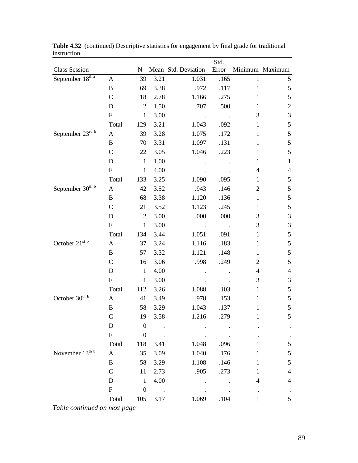|                               |                           |                  |                 |                     | Std.  |                          |                          |
|-------------------------------|---------------------------|------------------|-----------------|---------------------|-------|--------------------------|--------------------------|
| <b>Class Session</b>          |                           | ${\bf N}$        |                 | Mean Std. Deviation | Error |                          | Minimum Maximum          |
| September $18^{\text{th} a}$  | A                         | 39               | 3.21            | 1.031               | .165  | $\mathbf{1}$             | $\mathfrak{S}$           |
|                               | B                         | 69               | 3.38            | .972                | .117  | $\mathbf{1}$             | $\mathfrak s$            |
|                               | $\mathcal{C}$             | 18               | 2.78            | 1.166               | .275  | $\mathbf{1}$             | $\mathfrak s$            |
|                               | D                         | $\overline{2}$   | 1.50            | .707                | .500  | 1                        | $\overline{c}$           |
|                               | ${\bf F}$                 | $\mathbf{1}$     | 3.00            |                     |       | 3                        | 3                        |
|                               | Total                     | 129              | 3.21            | 1.043               | .092  | $\mathbf{1}$             | 5                        |
| September $23^{\text{rd b}}$  | A                         | 39               | 3.28            | 1.075               | .172  | $\mathbf{1}$             | $\sqrt{5}$               |
|                               | B                         | 70               | 3.31            | 1.097               | .131  | $\mathbf{1}$             | 5                        |
|                               | $\mathcal{C}$             | 22               | 3.05            | 1.046               | .223  | $\mathbf{1}$             | $\mathfrak{S}$           |
|                               | D                         | $\mathbf{1}$     | 1.00            |                     |       | $\mathbf{1}$             | $\mathbf{1}$             |
|                               | $\boldsymbol{\mathrm{F}}$ | $\mathbf{1}$     | 4.00            |                     |       | $\overline{4}$           | $\overline{\mathcal{A}}$ |
|                               | Total                     | 133              | 3.25            | 1.090               | .095  | $\mathbf{1}$             | $\mathfrak s$            |
| September 30th b              | $\mathbf{A}$              | 42               | 3.52            | .943                | .146  | $\mathbf{2}$             | 5                        |
|                               | B                         | 68               | 3.38            | 1.120               | .136  | $\mathbf{1}$             | 5                        |
|                               | $\mathcal{C}$             | 21               | 3.52            | 1.123               | .245  | $\mathbf{1}$             | 5                        |
|                               | D                         | $\overline{2}$   | 3.00            | .000                | .000  | $\mathfrak{Z}$           | $\mathfrak 3$            |
|                               | $\boldsymbol{\mathrm{F}}$ | $\mathbf{1}$     | 3.00            |                     |       | $\mathfrak{Z}$           | $\mathfrak{Z}$           |
|                               | Total                     | 134              | 3.44            | 1.051               | .091  | $\mathbf{1}$             | 5                        |
| October 21 $\mathrm{^{st}}$ b | $\mathbf{A}$              | 37               | 3.24            | 1.116               | .183  | $\mathbf{1}$             | $\mathfrak s$            |
|                               | B                         | 57               | 3.32            | 1.121               | .148  | $\mathbf{1}$             | 5                        |
|                               | $\mathcal{C}$             | 16               | 3.06            | .998                | .249  | $\overline{c}$           | 5                        |
|                               | D                         | $\mathbf{1}$     | 4.00            |                     |       | $\overline{\mathcal{L}}$ | $\overline{4}$           |
|                               | ${\bf F}$                 | $\mathbf{1}$     | 3.00            |                     |       | 3                        | $\sqrt{3}$               |
|                               | Total                     | 112              | 3.26            | 1.088               | .103  | $\mathbf{1}$             | 5                        |
| October $30^{\text{th}}$ b    | $\mathbf{A}$              | 41               | 3.49            | .978                | .153  | $\mathbf{1}$             | $\mathfrak s$            |
|                               | B                         | 58               | 3.29            | 1.043               | .137  | $\mathbf{1}$             | $\mathfrak s$            |
|                               | $\mathsf{C}$              | 19               | 3.58            | 1.216               | .279  | $\mathbf 1$              | 5                        |
|                               | $\mathbf D$               | $\boldsymbol{0}$ |                 |                     |       |                          |                          |
|                               | $\mathbf F$               | $\boldsymbol{0}$ |                 |                     |       |                          |                          |
|                               | Total                     | 118              | 3.41            | 1.048               | .096  |                          | $\mathfrak s$            |
| November 13th b               | $\mathbf{A}$              | 35               | 3.09            | 1.040               | .176  |                          | $\mathfrak s$            |
|                               | B                         | 58               | 3.29            | 1.108               | .146  | 1                        | $\mathfrak s$            |
|                               | $\mathbf C$               | 11               | 2.73            | .905                | .273  | 1                        | $\overline{4}$           |
|                               | D                         | $\mathbf{1}$     | 4.00            |                     |       | 4                        | $\overline{4}$           |
|                               | $\boldsymbol{\mathrm{F}}$ | $\boldsymbol{0}$ | $\sim 10$ $\mu$ |                     |       | $\bullet$                |                          |
|                               | Total                     | 105              | 3.17            | 1.069               | .104  | $\mathbf{1}$             | 5                        |
|                               |                           |                  |                 |                     |       |                          |                          |

Table 4.32 (continued) Descriptive statistics for engagement by final grade for traditional instruction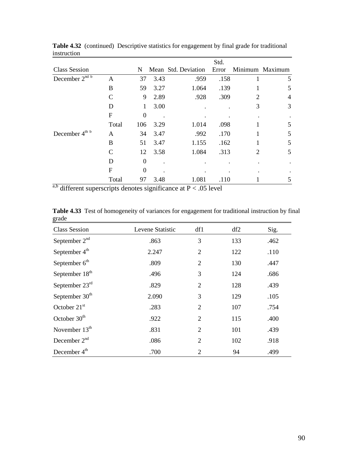|                                |       |                  |      |                     | Std.  |   |                 |
|--------------------------------|-------|------------------|------|---------------------|-------|---|-----------------|
| <b>Class Session</b>           |       | N                |      | Mean Std. Deviation | Error |   | Minimum Maximum |
| December $2^{nd \overline{b}}$ | A     | 37               | 3.43 | .959                | .158  |   | 5               |
|                                | B     | 59               | 3.27 | 1.064               | .139  |   | 5               |
|                                | C     | 9                | 2.89 | .928                | .309  | 2 | $\overline{4}$  |
|                                | D     | 1                | 3.00 |                     |       | 3 | 3               |
|                                | F     | $\boldsymbol{0}$ |      |                     |       |   |                 |
|                                | Total | 106              | 3.29 | 1.014               | .098  |   | 5               |
| December 4 <sup>th b</sup>     | A     | 34               | 3.47 | .992                | .170  |   | 5               |
|                                | B     | 51               | 3.47 | 1.155               | .162  |   | 5               |
|                                | C     | 12               | 3.58 | 1.084               | .313  | 2 | 5               |
|                                | Ð     | $\Omega$         |      |                     |       |   |                 |
|                                | F     | $\theta$         |      |                     |       |   |                 |
|                                | Total | 97               | 3.48 | 1.081               | .110  |   | 5               |

**Table 4.32** (continued) Descriptive statistics for engagement by final grade for traditional instruction

 $a,b$  different superscripts denotes significance at P < .05 level

Table 4.33 Test of homogeneity of variances for engagement for traditional instruction by final grade

| <b>Class Session</b>       | Levene Statistic | df1            | df2 | Sig. |
|----------------------------|------------------|----------------|-----|------|
| September $2nd$            | .863             | 3              | 133 | .462 |
| September 4 <sup>th</sup>  | 2.247            | $\overline{2}$ | 122 | .110 |
| September $6th$            | .809             | $\overline{2}$ | 130 | .447 |
| September 18 <sup>th</sup> | .496             | 3              | 124 | .686 |
| September 23rd             | .829             | $\overline{2}$ | 128 | .439 |
| September 30 <sup>th</sup> | 2.090            | 3              | 129 | .105 |
| October $21st$             | .283             | $\overline{2}$ | 107 | .754 |
| October $30th$             | .922             | $\overline{2}$ | 115 | .400 |
| November $13th$            | .831             | $\overline{2}$ | 101 | .439 |
| December $2nd$             | .086             | $\overline{2}$ | 102 | .918 |
| December 4 <sup>th</sup>   | .700             | 2              | 94  | .499 |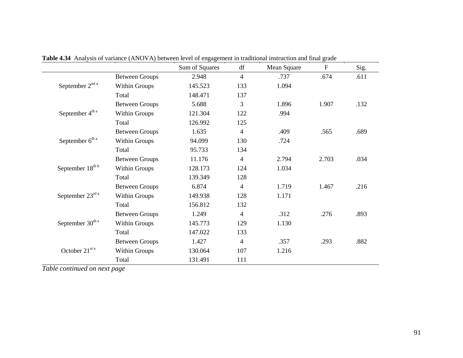|                              |                       | Sum of Squares | df             | Mean Square | $\mathbf{F}$ | Sig. |
|------------------------------|-----------------------|----------------|----------------|-------------|--------------|------|
|                              | <b>Between Groups</b> | 2.948          | $\overline{4}$ | .737        | .674         | .611 |
| September 2 <sup>nd a</sup>  | Within Groups         | 145.523        | 133            | 1.094       |              |      |
|                              | Total                 | 148.471        | 137            |             |              |      |
|                              | <b>Between Groups</b> | 5.688          | 3              | 1.896       | 1.907        | .132 |
| September 4 <sup>th a</sup>  | Within Groups         | 121.304        | 122            | .994        |              |      |
|                              | Total                 | 126.992        | 125            |             |              |      |
|                              | <b>Between Groups</b> | 1.635          | $\overline{4}$ | .409        | .565         | .689 |
| September 6 <sup>th a</sup>  | Within Groups         | 94.099         | 130            | .724        |              |      |
|                              | Total                 | 95.733         | 134            |             |              |      |
|                              | <b>Between Groups</b> | 11.176         | $\overline{4}$ | 2.794       | 2.703        | .034 |
| September 18th b             | Within Groups         | 128.173        | 124            | 1.034       |              |      |
|                              | Total                 | 139.349        | 128            |             |              |      |
|                              | <b>Between Groups</b> | 6.874          | $\overline{4}$ | 1.719       | 1.467        | .216 |
| September 23rd a             | Within Groups         | 149.938        | 128            | 1.171       |              |      |
|                              | Total                 | 156.812        | 132            |             |              |      |
|                              | <b>Between Groups</b> | 1.249          | 4              | .312        | .276         | .893 |
| September 30 <sup>th a</sup> | Within Groups         | 145.773        | 129            | 1.130       |              |      |
|                              | Total                 | 147.022        | 133            |             |              |      |
|                              | <b>Between Groups</b> | 1.427          | $\overline{4}$ | .357        | .293         | .882 |
| October 21st a               | Within Groups         | 130.064        | 107            | 1.216       |              |      |
|                              | Total                 | 131.491        | 111            |             |              |      |

**Table 4.34** Analysis of variance (ANOVA) between level of engagement in traditional instruction and final grade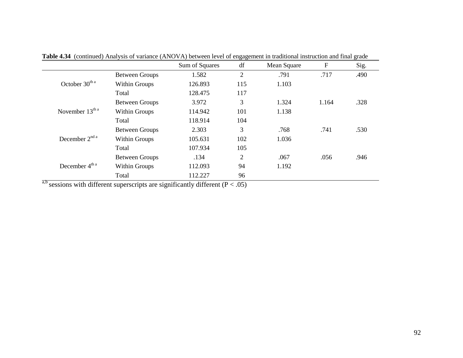|                                |                       |                | ے ت            |             |             |      |
|--------------------------------|-----------------------|----------------|----------------|-------------|-------------|------|
|                                |                       | Sum of Squares | df             | Mean Square | $\mathbf F$ | Sig. |
|                                | <b>Between Groups</b> | 1.582          | $\overline{2}$ | .791        | .717        | .490 |
| October $30th a$               | Within Groups         | 126.893        | 115            | 1.103       |             |      |
|                                | Total                 | 128.475        | 117            |             |             |      |
|                                | <b>Between Groups</b> | 3.972          | 3              | 1.324       | 1.164       | .328 |
| November $13th a$              | <b>Within Groups</b>  | 114.942        | 101            | 1.138       |             |      |
|                                | Total                 | 118.914        | 104            |             |             |      |
|                                | <b>Between Groups</b> | 2.303          | 3              | .768        | .741        | .530 |
| December $2^{nd}$ <sup>a</sup> | Within Groups         | 105.631        | 102            | 1.036       |             |      |
|                                | Total                 | 107.934        | 105            |             |             |      |
|                                | <b>Between Groups</b> | .134           | 2              | .067        | .056        | .946 |
| December 4 <sup>th a</sup>     | <b>Within Groups</b>  | 112.093        | 94             | 1.192       |             |      |
|                                | Total                 | 112.227        | 96             |             |             |      |

**Table 4.34** (continued) Analysis of variance (ANOVA) between level of engagement in traditional instruction and final grade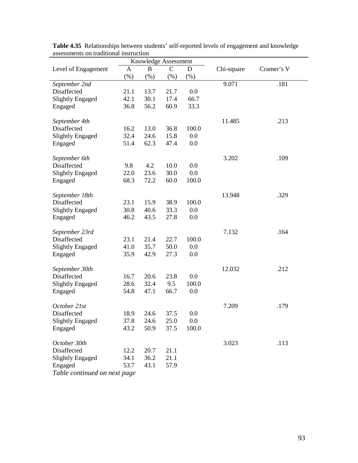| assessinems on traditional mstruction |      |                      |              |             |            |            |  |  |  |
|---------------------------------------|------|----------------------|--------------|-------------|------------|------------|--|--|--|
|                                       |      | Knowledge Assessment |              |             |            |            |  |  |  |
| Level of Engagement                   | A    | B                    | $\mathsf{C}$ | $\mathbf D$ | Chi-square | Cramer's V |  |  |  |
|                                       | (% ) | (% )                 | (%)          | (%)         |            |            |  |  |  |
| September 2nd                         |      |                      |              |             | 9.071      | .181       |  |  |  |
| Disaffected                           | 21.1 | 13.7                 | 21.7         | 0.0         |            |            |  |  |  |
| <b>Slightly Engaged</b>               | 42.1 | 30.1                 | 17.4         | 66.7        |            |            |  |  |  |
| Engaged                               | 36.8 | 56.2                 | 60.9         | 33.3        |            |            |  |  |  |
|                                       |      |                      |              |             |            |            |  |  |  |
| September 4th                         |      |                      |              |             | 11.485     | .213       |  |  |  |
| Disaffected                           | 16.2 | 13.0                 | 36.8         | 100.0       |            |            |  |  |  |
| <b>Slightly Engaged</b>               | 32.4 | 24.6                 | 15.8         | 0.0         |            |            |  |  |  |
| Engaged                               | 51.4 | 62.3                 | 47.4         | 0.0         |            |            |  |  |  |
|                                       |      |                      |              |             |            |            |  |  |  |
| September 6th                         |      |                      |              |             | 3.202      | .109       |  |  |  |
| Disaffected                           | 9.8  | 4.2                  | 10.0         | 0.0         |            |            |  |  |  |
| <b>Slightly Engaged</b>               | 22.0 | 23.6                 | 30.0         | 0.0         |            |            |  |  |  |
| Engaged                               | 68.3 | 72.2                 | 60.0         | 100.0       |            |            |  |  |  |
|                                       |      |                      |              |             |            |            |  |  |  |
| September 18th                        |      |                      |              |             | 13.948     | .329       |  |  |  |
| Disaffected                           | 23.1 | 15.9                 | 38.9         | 100.0       |            |            |  |  |  |
| <b>Slightly Engaged</b>               | 30.8 | 40.6                 | 33.3         | 0.0         |            |            |  |  |  |
| Engaged                               | 46.2 | 43.5                 | 27.8         | 0.0         |            |            |  |  |  |
|                                       |      |                      |              |             |            |            |  |  |  |
| September 23rd                        |      |                      |              |             | 7.132      | .164       |  |  |  |
| Disaffected                           | 23.1 | 21.4                 | 22.7         | 100.0       |            |            |  |  |  |
| <b>Slightly Engaged</b>               | 41.0 | 35.7                 | 50.0         | 0.0         |            |            |  |  |  |
| Engaged                               | 35.9 | 42.9                 | 27.3         | 0.0         |            |            |  |  |  |
|                                       |      |                      |              |             |            |            |  |  |  |
| September 30th                        |      |                      |              |             | 12.032     | .212       |  |  |  |
| Disaffected                           | 16.7 | 20.6                 | 23.8         | 0.0         |            |            |  |  |  |
| <b>Slightly Engaged</b>               | 28.6 | 32.4                 | 9.5          | 100.0       |            |            |  |  |  |
| Engaged                               | 54.8 | 47.1                 | 66.7         | 0.0         |            |            |  |  |  |
|                                       |      |                      |              |             |            |            |  |  |  |
| October 21st                          |      |                      |              |             | 7.209      | .179       |  |  |  |
| Disaffected                           | 18.9 | 24.6                 | 37.5         | 0.0         |            |            |  |  |  |
| <b>Slightly Engaged</b>               | 37.8 | 24.6                 | 25.0         | 0.0         |            |            |  |  |  |
| Engaged                               | 43.2 | 50.9                 | 37.5         | 100.0       |            |            |  |  |  |
|                                       |      |                      |              |             |            |            |  |  |  |
| October 30th                          |      |                      |              |             | 3.023      | .113       |  |  |  |
| Disaffected                           | 12.2 | 20.7                 | 21.1         |             |            |            |  |  |  |
| <b>Slightly Engaged</b>               | 34.1 | 36.2                 | 21.1         |             |            |            |  |  |  |
| Engaged                               | 53.7 | 43.1                 | 57.9         |             |            |            |  |  |  |
| Table continued on next page          |      |                      |              |             |            |            |  |  |  |
|                                       |      |                      |              |             |            |            |  |  |  |

**Table 4.35** Relationships between students' self-reported levels of engagement and knowledge assessments on traditional instruction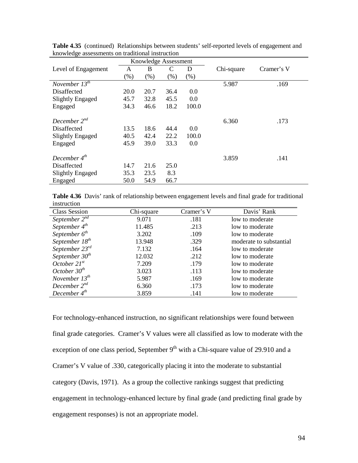|                               |      | Knowledge Assessment |         |       |            |            |
|-------------------------------|------|----------------------|---------|-------|------------|------------|
| Level of Engagement           | A    | B                    | C       | D     | Chi-square | Cramer's V |
|                               | (% ) | (% )                 | $(\% )$ | (% )  |            |            |
| November $13^{\overline{th}}$ |      |                      |         |       | 5.987      | .169       |
| Disaffected                   | 20.0 | 20.7                 | 36.4    | 0.0   |            |            |
| Slightly Engaged              | 45.7 | 32.8                 | 45.5    | 0.0   |            |            |
| Engaged                       | 34.3 | 46.6                 | 18.2    | 100.0 |            |            |
|                               |      |                      |         |       |            |            |
| December $2^{nd}$             |      |                      |         |       | 6.360      | .173       |
| Disaffected                   | 13.5 | 18.6                 | 44.4    | 0.0   |            |            |
| <b>Slightly Engaged</b>       | 40.5 | 42.4                 | 22.2    | 100.0 |            |            |
| Engaged                       | 45.9 | 39.0                 | 33.3    | 0.0   |            |            |
|                               |      |                      |         |       |            |            |
| December $4^{th}$             |      |                      |         |       | 3.859      | .141       |
| Disaffected                   | 14.7 | 21.6                 | 25.0    |       |            |            |
| Slightly Engaged              | 35.3 | 23.5                 | 8.3     |       |            |            |
| Engaged                       | 50.0 | 54.9                 | 66.7    |       |            |            |

**Table 4.35** (continued) Relationships between students' self-reported levels of engagement and knowledge assessments on traditional instruction

**Table 4.36** Davis' rank of relationship between engagement levels and final grade for traditional instruction

| <b>Class Session</b> | Chi-square | Cramer's V | Davis' Rank             |
|----------------------|------------|------------|-------------------------|
| September $2^{nd}$   | 9.071      | .181       | low to moderate         |
| September $4^{th}$   | 11.485     | .213       | low to moderate         |
| September $6^{th}$   | 3.202      | .109       | low to moderate         |
| September $18^{th}$  | 13.948     | .329       | moderate to substantial |
| September $23^{rd}$  | 7.132      | .164       | low to moderate         |
| September $30^{th}$  | 12.032     | .212       | low to moderate         |
| October $21^{st}$    | 7.209      | .179       | low to moderate         |
| October $30^{th}$    | 3.023      | .113       | low to moderate         |
| November $13^{th}$   | 5.987      | .169       | low to moderate         |
| December $2^{nd}$    | 6.360      | .173       | low to moderate         |
| December $4^{th}$    | 3.859      | .141       | low to moderate         |

For technology-enhanced instruction, no significant relationships were found between final grade categories. Cramer's V values were all classified as low to moderate with the exception of one class period, September  $9<sup>th</sup>$  with a Chi-square value of 29.910 and a Cramer's V value of .330, categorically placing it into the moderate to substantial category (Davis, 1971). As a group the collective rankings suggest that predicting engagement in technology-enhanced lecture by final grade (and predicting final grade by engagement responses) is not an appropriate model.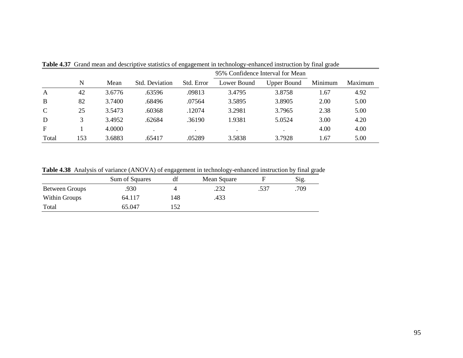|               |     |        |                |            |             | 95% Confidence Interval for Mean |         |         |
|---------------|-----|--------|----------------|------------|-------------|----------------------------------|---------|---------|
|               | N   | Mean   | Std. Deviation | Std. Error | Lower Bound | <b>Upper Bound</b>               | Minimum | Maximum |
| $\mathbf{A}$  | 42  | 3.6776 | .63596         | .09813     | 3.4795      | 3.8758                           | 1.67    | 4.92    |
| B             | 82  | 3.7400 | .68496         | .07564     | 3.5895      | 3.8905                           | 2.00    | 5.00    |
| $\mathcal{C}$ | 25  | 3.5473 | .60368         | .12074     | 3.2981      | 3.7965                           | 2.38    | 5.00    |
| D             |     | 3.4952 | .62684         | .36190     | 1.9381      | 5.0524                           | 3.00    | 4.20    |
| F             |     | 4.0000 |                | $\bullet$  |             |                                  | 4.00    | 4.00    |
| Total         | 153 | 3.6883 | .65417         | .05289     | 3.5838      | 3.7928                           | 1.67    | 5.00    |

**Table 4.37** Grand mean and descriptive statistics of engagement in technology-enhanced instruction by final grade

**Table 4.38** Analysis of variance (ANOVA) of engagement in technology-enhanced instruction by final grade

|                       | Sum of Squares | df  | Mean Square |      | Sig. |
|-----------------------|----------------|-----|-------------|------|------|
| <b>Between Groups</b> | .930           |     | .232        | .537 | .709 |
| Within Groups         | 64.117         | 148 | .433        |      |      |
| Total                 | 65.047         | 152 |             |      |      |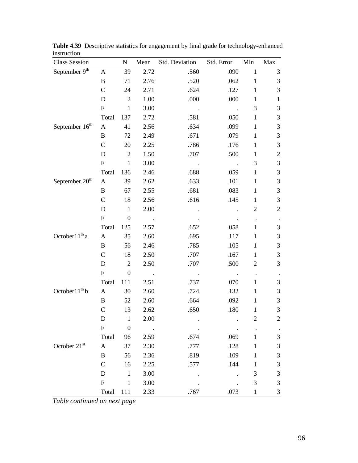| <b>Class Session</b>       |                           | ${\bf N}$        | Mean   | Std. Deviation | Std. Error | Min                     | Max            |
|----------------------------|---------------------------|------------------|--------|----------------|------------|-------------------------|----------------|
| September 9th              | $\mathbf{A}$              | 39               | 2.72   | .560           | .090       | $\mathbf{1}$            | $\mathfrak{Z}$ |
|                            | $\, {\bf B}$              | 71               | 2.76   | .520           | .062       | $\mathbf{1}$            | $\mathfrak{Z}$ |
|                            | $\mathcal{C}$             | 24               | 2.71   | .624           | .127       | $\mathbf{1}$            | $\mathfrak{Z}$ |
|                            | D                         | $\overline{2}$   | 1.00   | .000           | .000       | $\mathbf{1}$            | $\mathbf{1}$   |
|                            | ${\bf F}$                 | $\mathbf{1}$     | 3.00   |                |            | 3                       | $\mathfrak{Z}$ |
|                            | Total                     | 137              | 2.72   | .581           | .050       | $\mathbf{1}$            | $\mathfrak 3$  |
| September 16 <sup>th</sup> | A                         | 41               | 2.56   | .634           | .099       | $\mathbf{1}$            | $\mathfrak{Z}$ |
|                            | B                         | 72               | 2.49   | .671           | .079       | $\mathbf{1}$            | $\mathfrak{Z}$ |
|                            | $\mathcal{C}$             | 20               | 2.25   | .786           | .176       | $\mathbf{1}$            | $\mathfrak 3$  |
|                            | D                         | $\sqrt{2}$       | 1.50   | .707           | .500       | $\mathbf{1}$            | $\overline{c}$ |
|                            | ${\bf F}$                 | $\mathbf{1}$     | 3.00   |                |            | 3                       | $\mathfrak{Z}$ |
|                            | Total                     | 136              | 2.46   | .688           | .059       | $\mathbf{1}$            | $\mathfrak{Z}$ |
| September 20 <sup>th</sup> | A                         | 39               | 2.62   | .633           | .101       | $\mathbf{1}$            | $\mathfrak{Z}$ |
|                            | B                         | 67               | 2.55   | .681           | .083       | $\mathbf{1}$            | $\mathfrak{Z}$ |
|                            | $\mathcal{C}$             | 18               | 2.56   | .616           | .145       | $\mathbf{1}$            | $\mathfrak{Z}$ |
|                            | D                         | $\mathbf{1}$     | 2.00   |                |            | $\overline{c}$          | $\sqrt{2}$     |
|                            | $\boldsymbol{\mathrm{F}}$ | $\boldsymbol{0}$ |        |                |            |                         |                |
|                            | Total                     | 125              | 2.57   | .652           | .058       | $\mathbf{1}$            | 3              |
| October $11^{th}$ a        | $\mathbf{A}$              | 35               | 2.60   | .695           | .117       | $\mathbf{1}$            | $\mathfrak 3$  |
|                            | $\bf{B}$                  | 56               | 2.46   | .785           | .105       | $\mathbf{1}$            | $\mathfrak{Z}$ |
|                            | $\mathcal{C}$             | 18               | 2.50   | .707           | .167       | $\mathbf{1}$            | $\mathfrak{Z}$ |
|                            | D                         | $\overline{c}$   | 2.50   | .707           | .500       | $\overline{c}$          | $\mathfrak{Z}$ |
|                            | ${\bf F}$                 | $\boldsymbol{0}$ |        |                |            | $\bullet$               |                |
|                            | Total                     | 111              | 2.51   | .737           | .070       | $\mathbf{1}$            | 3              |
| October $11^{th}$ b        | $\mathbf{A}$              | 30               | 2.60   | .724           | .132       | $\mathbf{1}$            | $\mathfrak{Z}$ |
|                            | $\, {\bf B}$              | 52               | 2.60   | .664           | .092       | $\mathbf{1}$            | $\mathfrak 3$  |
|                            | $\mathsf{C}$              | 13               | 2.62   | .650           | .180       | $\mathbf{1}$            | $\mathfrak{Z}$ |
|                            | ${\rm D}$                 | $\,1$            | 2.00   |                |            | $\overline{\mathbf{c}}$ | $\overline{2}$ |
|                            | ${\bf F}$                 | $\boldsymbol{0}$ | $\sim$ |                |            |                         |                |
|                            | Total                     | 96               | 2.59   | .674           | .069       | 1                       | $\mathfrak{Z}$ |
| October 21st               | $\mathbf{A}$              | 37               | 2.30   | .777           | .128       | 1                       | $\mathfrak{Z}$ |
|                            | $\bf{B}$                  | 56               | 2.36   | .819           | .109       | 1                       | $\mathfrak{Z}$ |
|                            | $\mathbf C$               | 16               | 2.25   | .577           | .144       | 1                       | $\mathfrak{Z}$ |
|                            | D                         | $\mathbf{1}$     | 3.00   |                |            | 3                       | $\mathfrak{Z}$ |
|                            | ${\bf F}$                 | $\mathbf{1}$     | 3.00   |                |            | 3                       | $\mathfrak{Z}$ |
|                            | Total                     | 111              | 2.33   | .767           | .073       | $\mathbf{1}$            | 3              |

**Table 4.39** Descriptive statistics for engagement by final grade for technology-enhanced instruction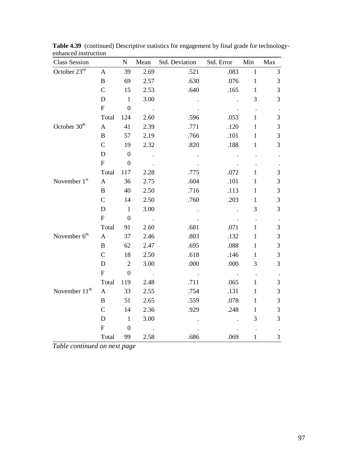| <b>Class Session</b>     |                           | $\mathbf N$      | Mean                   | Std. Deviation | Std. Error | Min          | Max            |
|--------------------------|---------------------------|------------------|------------------------|----------------|------------|--------------|----------------|
| October 23rd             | $\mathbf{A}$              | 39               | 2.69                   | .521           | .083       | $\mathbf{1}$ | 3              |
|                          | $\, {\bf B}$              | 69               | 2.57                   | .630           | .076       | $\mathbf{1}$ | $\mathfrak{Z}$ |
|                          | $\mathcal{C}$             | 15               | 2.53                   | .640           | .165       | $\mathbf{1}$ | 3              |
|                          | D                         | $\mathbf{1}$     | 3.00                   |                |            | 3            | 3              |
|                          | ${\bf F}$                 | $\overline{0}$   | $\sim 10$              |                |            |              |                |
|                          | Total                     | 124              | 2.60                   | .596           | .053       | $\mathbf{1}$ | 3              |
| October 30 <sup>th</sup> | $\mathbf{A}$              | 41               | 2.39                   | .771           | .120       | $\mathbf{1}$ | $\mathfrak{Z}$ |
|                          | $\bf{B}$                  | 57               | 2.19                   | .766           | .101       | $\mathbf{1}$ | 3              |
|                          | $\mathcal{C}$             | 19               | 2.32                   | .820           | .188       | $\mathbf{1}$ | 3              |
|                          | D                         | $\boldsymbol{0}$ | $\ddot{\phantom{a}}$ . |                |            |              |                |
|                          | ${\bf F}$                 | $\overline{0}$   |                        |                |            |              |                |
|                          | Total                     | 117              | 2.28                   | .775           | .072       | $\mathbf{1}$ | 3              |
| November 1st             | $\mathbf{A}$              | 36               | 2.75                   | .604           | .101       | $\mathbf{1}$ | 3              |
|                          | $\bf{B}$                  | 40               | 2.50                   | .716           | .113       | $\mathbf{1}$ | 3              |
|                          | $\overline{C}$            | 14               | 2.50                   | .760           | .203       | $\mathbf{1}$ | 3              |
|                          | D                         | $\mathbf{1}$     | 3.00                   |                |            | 3            | 3              |
|                          | ${\bf F}$                 | $\overline{0}$   | $\sim$                 |                |            |              |                |
|                          | Total                     | 91               | 2.60                   | .681           | .071       | 1            | $\mathfrak{Z}$ |
| November 6 <sup>th</sup> | $\mathbf{A}$              | 37               | 2.46                   | .803           | .132       | $\mathbf{1}$ | 3              |
|                          | B                         | 62               | 2.47                   | .695           | .088       | $\mathbf{1}$ | $\mathfrak{Z}$ |
|                          | $\overline{C}$            | 18               | 2.50                   | .618           | .146       | $\mathbf{1}$ | 3              |
|                          | D                         | $\overline{2}$   | 3.00                   | .000           | .000       | 3            | 3              |
|                          | $\boldsymbol{\mathrm{F}}$ | $\mathbf{0}$     |                        |                |            |              |                |
|                          | Total                     | 119              | 2.48                   | .711           | .065       | $\mathbf{1}$ | 3              |
| November $11th$          | $\mathbf{A}$              | 33               | 2.55                   | .754           | .131       | $\mathbf{1}$ | 3              |
|                          | B                         | 51               | 2.65                   | .559           | .078       | $\mathbf{1}$ | 3              |
|                          | $\mathsf{C}$              | 14               | 2.36                   | .929           | .248       | $\mathbf{1}$ | 3              |
|                          | D                         | $\mathbf{1}$     | 3.00                   |                |            | 3            | 3              |
|                          | ${\bf F}$                 | $\overline{0}$   |                        |                |            |              |                |
|                          | Total                     | 99               | 2.58                   | .686           | .069       | $\mathbf{1}$ | 3              |

Table 4.39 (continued) Descriptive statistics for engagement by final grade for technologyenhanced instruction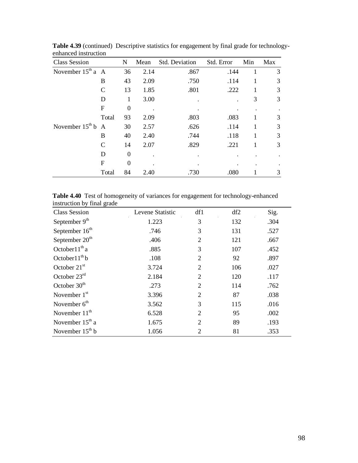| <b>Class Session</b>   |                  | N        | Mean | Std. Deviation | Std. Error | Min | Max |
|------------------------|------------------|----------|------|----------------|------------|-----|-----|
| November $15th$ a A    |                  | 36       | 2.14 | .867           | .144       | 1   | 3   |
|                        | B                | 43       | 2.09 | .750           | .114       |     | 3   |
|                        | C                | 13       | 1.85 | .801           | .222       |     | 3   |
|                        | D                | 1        | 3.00 |                |            | 3   | 3   |
|                        | $\boldsymbol{F}$ | $\Omega$ |      |                |            |     |     |
|                        | Total            | 93       | 2.09 | .803           | .083       |     | 3   |
| November $15^{th}$ b A |                  | 30       | 2.57 | .626           | .114       |     | 3   |
|                        | B                | 40       | 2.40 | .744           | .118       |     | 3   |
|                        | $\mathcal{C}$    | 14       | 2.07 | .829           | .221       |     | 3   |
|                        | D                | $\Omega$ |      |                |            |     |     |
|                        | $\mathbf F$      | $\Omega$ |      |                |            |     |     |
|                        | Total            | 84       | 2.40 | .730           | .080       |     | 3   |

**Table 4.39** (continued)Descriptive statistics for engagement by final grade for technologyenhanced instruction

**Table 4.40** Test of homogeneity of variances for engagement for technology-enhanced instruction by final grade

| <b>Class Session</b>       | Levene Statistic | df1 | df2 | Sig. |
|----------------------------|------------------|-----|-----|------|
| September 9 <sup>th</sup>  | 1.223            | 3   | 132 | .304 |
| September 16 <sup>th</sup> | .746             | 3   | 131 | .527 |
| September $20th$           | .406             | 2   | 121 | .667 |
| October $11th$ a           | .885             | 3   | 107 | .452 |
| October $11^{th}$ b        | .108             | 2   | 92  | .897 |
| October $21st$             | 3.724            | 2   | 106 | .027 |
| October $23rd$             | 2.184            | 2   | 120 | .117 |
| October $30th$             | .273             | 2   | 114 | .762 |
| November $1st$             | 3.396            | 2   | 87  | .038 |
| November $6th$             | 3.562            | 3   | 115 | .016 |
| November 11 <sup>th</sup>  | 6.528            | 2   | 95  | .002 |
| November $15th$ a          | 1.675            | 2   | 89  | .193 |
| November $15th b$          | 1.056            | 2   | 81  | .353 |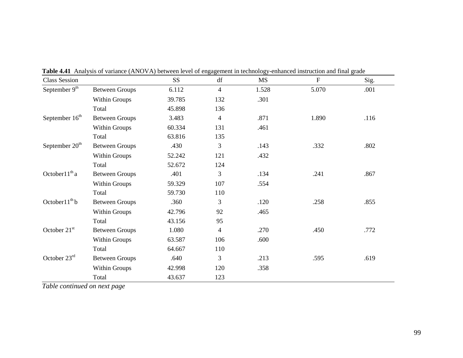| <b>Class Session</b>       |                       | SS <sub>1</sub> | df             | <b>MS</b> | $\boldsymbol{\mathrm{F}}$ | Sig. |
|----------------------------|-----------------------|-----------------|----------------|-----------|---------------------------|------|
| September 9 <sup>th</sup>  | <b>Between Groups</b> | 6.112           | $\overline{4}$ | 1.528     | 5.070                     | .001 |
|                            | <b>Within Groups</b>  | 39.785          | 132            | .301      |                           |      |
|                            | Total                 | 45.898          | 136            |           |                           |      |
| September 16 <sup>th</sup> | <b>Between Groups</b> | 3.483           | $\overline{4}$ | .871      | 1.890                     | .116 |
|                            | <b>Within Groups</b>  | 60.334          | 131            | .461      |                           |      |
|                            | Total                 | 63.816          | 135            |           |                           |      |
| September 20 <sup>th</sup> | <b>Between Groups</b> | .430            | 3              | .143      | .332                      | .802 |
|                            | <b>Within Groups</b>  | 52.242          | 121            | .432      |                           |      |
|                            | Total                 | 52.672          | 124            |           |                           |      |
| October $11^{th}$ a        | <b>Between Groups</b> | .401            | 3              | .134      | .241                      | .867 |
|                            | Within Groups         | 59.329          | 107            | .554      |                           |      |
|                            | Total                 | 59.730          | 110            |           |                           |      |
| October $11^{th}$ b        | <b>Between Groups</b> | .360            | 3              | .120      | .258                      | .855 |
|                            | <b>Within Groups</b>  | 42.796          | 92             | .465      |                           |      |
|                            | Total                 | 43.156          | 95             |           |                           |      |
| October $21st$             | <b>Between Groups</b> | 1.080           | $\overline{4}$ | .270      | .450                      | .772 |
|                            | <b>Within Groups</b>  | 63.587          | 106            | .600      |                           |      |
|                            | Total                 | 64.667          | 110            |           |                           |      |
| October 23rd               | <b>Between Groups</b> | .640            | 3              | .213      | .595                      | .619 |
|                            | Within Groups         | 42.998          | 120            | .358      |                           |      |
|                            | Total                 | 43.637          | 123            |           |                           |      |

**Table 4.41** Analysis of variance (ANOVA) between level of engagement in technology-enhanced instruction and final grade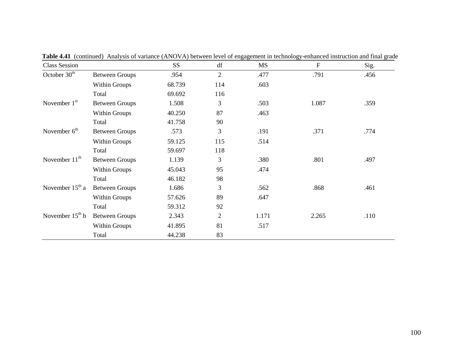| <b>Class Session</b>     |                       | SS <sub>1</sub> | df             | MS    | $\mathbf F$ | Sig. |
|--------------------------|-----------------------|-----------------|----------------|-------|-------------|------|
| October 30 <sup>th</sup> | <b>Between Groups</b> | .954            | $\overline{2}$ | .477  | .791        | .456 |
|                          | <b>Within Groups</b>  | 68.739          | 114            | .603  |             |      |
|                          | Total                 | 69.692          | 116            |       |             |      |
| November $1st$           | <b>Between Groups</b> | 1.508           | 3              | .503  | 1.087       | .359 |
|                          | <b>Within Groups</b>  | 40.250          | 87             | .463  |             |      |
|                          | Total                 | 41.758          | 90             |       |             |      |
| November $6th$           | <b>Between Groups</b> | .573            | 3              | .191  | .371        | .774 |
|                          | Within Groups         | 59.125          | 115            | .514  |             |      |
|                          | Total                 | 59.697          | 118            |       |             |      |
| November $11th$          | <b>Between Groups</b> | 1.139           | 3              | .380  | .801        | .497 |
|                          | <b>Within Groups</b>  | 45.043          | 95             | .474  |             |      |
|                          | Total                 | 46.182          | 98             |       |             |      |
| November $15th$ a        | <b>Between Groups</b> | 1.686           | 3              | .562  | .868        | .461 |
|                          | <b>Within Groups</b>  | 57.626          | 89             | .647  |             |      |
|                          | Total                 | 59.312          | 92             |       |             |      |
| November $15th b$        | <b>Between Groups</b> | 2.343           | $\overline{2}$ | 1.171 | 2.265       | .110 |
|                          | <b>Within Groups</b>  | 41.895          | 81             | .517  |             |      |
|                          | Total                 | 44.238          | 83             |       |             |      |

**Table 4.41** (continued) Analysis of variance (ANOVA) between level of engagement in technology-enhanced instruction and final grade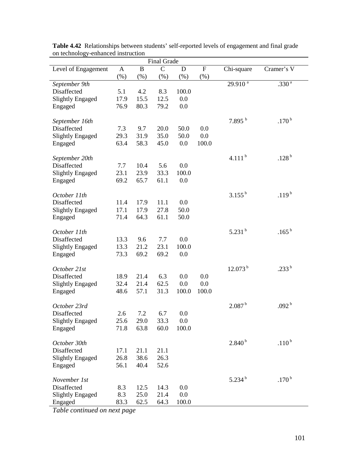| <b>Final Grade</b>            |              |              |               |        |           |                    |                   |  |  |
|-------------------------------|--------------|--------------|---------------|--------|-----------|--------------------|-------------------|--|--|
| Level of Engagement           | $\mathbf{A}$ | $\, {\bf B}$ | $\mathcal{C}$ | D      | ${\bf F}$ | Chi-square         | Cramer's V        |  |  |
|                               | $(\% )$      | (%)          | $(\%)$        | $(\%)$ | (%)       |                    |                   |  |  |
| September 9th                 |              |              |               |        |           | $29.910^{a}$       | $.330^{a}$        |  |  |
| Disaffected                   | 5.1          | 4.2          | 8.3           | 100.0  |           |                    |                   |  |  |
| <b>Slightly Engaged</b>       | 17.9         | 15.5         | 12.5          | 0.0    |           |                    |                   |  |  |
| Engaged                       | 76.9         | 80.3         | 79.2          | 0.0    |           |                    |                   |  |  |
|                               |              |              |               |        |           |                    |                   |  |  |
| September 16th                |              |              |               |        |           | $7.895^{b}$        | .170 <sup>b</sup> |  |  |
| Disaffected                   | 7.3          | 9.7          | 20.0          | 50.0   | 0.0       |                    |                   |  |  |
| <b>Slightly Engaged</b>       | 29.3         | 31.9         | 35.0          | 50.0   | 0.0       |                    |                   |  |  |
| Engaged                       | 63.4         | 58.3         | 45.0          | 0.0    | 100.0     |                    |                   |  |  |
|                               |              |              |               |        |           |                    |                   |  |  |
|                               |              |              |               |        |           | 4.111 $b$          | .128 $^{\rm b}$   |  |  |
| September 20th<br>Disaffected | 7.7          | 10.4         | 5.6           | 0.0    |           |                    |                   |  |  |
|                               |              |              |               |        |           |                    |                   |  |  |
| <b>Slightly Engaged</b>       | 23.1         | 23.9         | 33.3          | 100.0  |           |                    |                   |  |  |
| Engaged                       | 69.2         | 65.7         | 61.1          | 0.0    |           |                    |                   |  |  |
|                               |              |              |               |        |           |                    |                   |  |  |
| October 11th                  |              |              |               |        |           | $3.155^{b}$        | .119 <sup>b</sup> |  |  |
| Disaffected                   | 11.4         | 17.9         | 11.1          | 0.0    |           |                    |                   |  |  |
| <b>Slightly Engaged</b>       | 17.1         | 17.9         | 27.8          | 50.0   |           |                    |                   |  |  |
| Engaged                       | 71.4         | 64.3         | 61.1          | 50.0   |           |                    |                   |  |  |
|                               |              |              |               |        |           |                    |                   |  |  |
| October 11th                  |              |              |               |        |           | $5.231^{b}$        | .165 $^{b}$       |  |  |
| Disaffected                   | 13.3         | 9.6          | 7.7           | 0.0    |           |                    |                   |  |  |
| <b>Slightly Engaged</b>       | 13.3         | 21.2         | 23.1          | 100.0  |           |                    |                   |  |  |
| Engaged                       | 73.3         | 69.2         | 69.2          | 0.0    |           |                    |                   |  |  |
|                               |              |              |               |        |           |                    |                   |  |  |
| October 21st                  |              |              |               |        |           | $12.073^{b}$       | .233 $^{\rm b}$   |  |  |
| Disaffected                   | 18.9         | 21.4         | 6.3           | 0.0    | 0.0       |                    |                   |  |  |
| <b>Slightly Engaged</b>       | 32.4         | 21.4         | 62.5          | 0.0    | 0.0       |                    |                   |  |  |
| Engaged                       | 48.6         | 57.1         | 31.3          | 100.0  | 100.0     |                    |                   |  |  |
|                               |              |              |               |        |           |                    |                   |  |  |
| October 23rd                  |              |              |               |        |           | 2.087 <sup>b</sup> | .092 <sup>b</sup> |  |  |
| Disaffected                   | 2.6          | 7.2          | 6.7           | 0.0    |           |                    |                   |  |  |
| <b>Slightly Engaged</b>       | 25.6         | 29.0         | 33.3          | 0.0    |           |                    |                   |  |  |
| Engaged                       | 71.8         | 63.8         | 60.0          | 100.0  |           |                    |                   |  |  |
|                               |              |              |               |        |           |                    |                   |  |  |
| October 30th                  |              |              |               |        |           | $2.840^{b}$        | .110 <sup>b</sup> |  |  |
| Disaffected                   | 17.1         | 21.1         | 21.1          |        |           |                    |                   |  |  |
| <b>Slightly Engaged</b>       | 26.8         | 38.6         | 26.3          |        |           |                    |                   |  |  |
| Engaged                       | 56.1         | 40.4         | 52.6          |        |           |                    |                   |  |  |
|                               |              |              |               |        |           |                    |                   |  |  |
| November 1st                  |              |              |               |        |           | $5.234^{b}$        | .170 <sup>b</sup> |  |  |
| Disaffected                   | 8.3          | 12.5         | 14.3          | 0.0    |           |                    |                   |  |  |
| <b>Slightly Engaged</b>       | 8.3          | 25.0         | 21.4          | 0.0    |           |                    |                   |  |  |
| Engaged                       | 83.3         | 62.5         | 64.3          | 100.0  |           |                    |                   |  |  |
|                               |              |              |               |        |           |                    |                   |  |  |

**Table 4.42** Relationships between students' self-reported levels of engagement and final grade on technology-enhanced instruction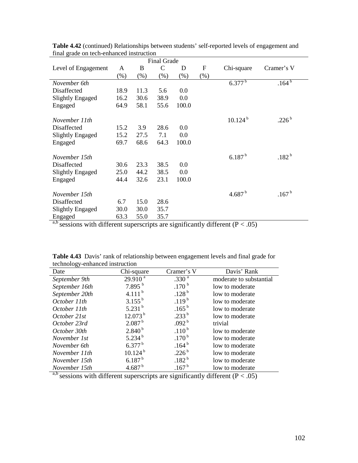| Thiat grade on teen-emianced modulum |        |        |               |                |                   |                                          |                   |
|--------------------------------------|--------|--------|---------------|----------------|-------------------|------------------------------------------|-------------------|
| Level of Engagement                  | A      | B      | $\mathcal{C}$ | D              | $\mathbf F$       | Chi-square                               | Cramer's V        |
|                                      | $(\%)$ | $(\%)$ | (% )          | $(\%)$         | $(\%)$            |                                          |                   |
| November 6th                         |        |        |               |                |                   | $6.377^{b}$                              | $.164^{b}$        |
| Disaffected                          | 18.9   | 11.3   | 5.6           | 0.0            |                   |                                          |                   |
| Slightly Engaged                     | 16.2   | 30.6   | 38.9          | 0.0            |                   |                                          |                   |
| Engaged                              | 64.9   | 58.1   | 55.6          | 100.0          |                   |                                          |                   |
|                                      |        |        |               |                |                   |                                          |                   |
| November 11th                        |        |        |               |                |                   | $10.124^{b}$                             | .226 $^{\rm b}$   |
| Disaffected                          | 15.2   | 3.9    | 28.6          | 0.0            |                   |                                          |                   |
| Slightly Engaged                     | 15.2   | 27.5   | 7.1           | 0.0            |                   |                                          |                   |
| Engaged                              | 69.7   | 68.6   | 64.3          | 100.0          |                   |                                          |                   |
|                                      |        |        |               |                |                   |                                          |                   |
| November 15th                        |        |        |               |                |                   | 6.187 <sup>b</sup>                       | .182 <sup>b</sup> |
| Disaffected                          | 30.6   | 23.3   | 38.5          | 0.0            |                   |                                          |                   |
| Slightly Engaged                     | 25.0   | 44.2   | 38.5          | 0.0            |                   |                                          |                   |
| Engaged                              | 44.4   | 32.6   | 23.1          | 100.0          |                   |                                          |                   |
|                                      |        |        |               |                |                   |                                          |                   |
| November 15th                        |        |        |               |                |                   | 4.687 $^{\rm b}$                         | .167 <sup>b</sup> |
| Disaffected                          | 6.7    | 15.0   | 28.6          |                |                   |                                          |                   |
| Slightly Engaged                     | 30.0   | 30.0   | 35.7          |                |                   |                                          |                   |
| Engaged                              | 63.3   | 55.0   | 35.7          |                |                   |                                          |                   |
| a h-<br>$\ddotsc$<br>1.00            |        |        |               | $\cdot$ $\sim$ | 1.00<br>$\cdot$ 1 | $\sqrt{D}$<br>$\bigcap_{n\in\mathbb{N}}$ |                   |

**Table 4.42** (continued) Relationships between students' self-reported levels of engagement and final grade on tech-enhanced instruction

| technology-enhanced instruction |                     |                   |                         |  |  |  |  |  |  |
|---------------------------------|---------------------|-------------------|-------------------------|--|--|--|--|--|--|
| Date                            | Chi-square          | Cramer's V        | Davis' Rank             |  |  |  |  |  |  |
| September 9th                   | 29.910 <sup>a</sup> | .330 <sup>a</sup> | moderate to substantial |  |  |  |  |  |  |
| September 16th                  | $7.895^{b}$         | .170 <sup>b</sup> | low to moderate         |  |  |  |  |  |  |
| September 20th                  | 4.111 $^{\rm b}$    | .128 <sup>b</sup> | low to moderate         |  |  |  |  |  |  |
| October 11th                    | $3.155^{b}$         | $.119^{b}$        | low to moderate         |  |  |  |  |  |  |
| October 11th                    | 5.231 $^{\rm b}$    | $.165^{b}$        | low to moderate         |  |  |  |  |  |  |
| October 21st                    | $12.073^{b}$        | $.233^{b}$        | low to moderate         |  |  |  |  |  |  |
| October 23rd                    | 2.087 <sup>b</sup>  | .092 <sup>b</sup> | trivial                 |  |  |  |  |  |  |
| October 30th                    | $2.840^{b}$         | $.110^{b}$        | low to moderate         |  |  |  |  |  |  |
| November 1st                    | 5.234 $^{\rm b}$    | .170 <sup>b</sup> | low to moderate         |  |  |  |  |  |  |
| November 6th                    | $6.377^{b}$         | .164 <sup>b</sup> | low to moderate         |  |  |  |  |  |  |
| November 11th                   | 10.124 <sup>b</sup> | .226 $^{\rm b}$   | low to moderate         |  |  |  |  |  |  |
| November 15th                   | $6.187^{b}$         | .182 <sup>b</sup> | low to moderate         |  |  |  |  |  |  |
| November 15th                   | 4.687 $^{\rm b}$    | .167 <sup>b</sup> | low to moderate         |  |  |  |  |  |  |

**Table 4.43** Davis' rank of relationship between engagement levels and final grade for technology-enhanced instruction

a,b sessions with different superscripts are significantly different ( $P < .05$ )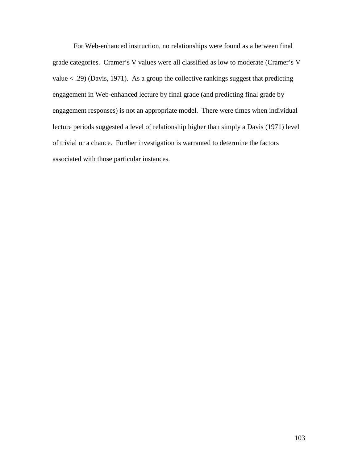For Web-enhanced instruction, no relationships were found as a between final grade categories. Cramer's V values were all classified as low to moderate (Cramer's V value  $\langle .29 \rangle$  (Davis, 1971). As a group the collective rankings suggest that predicting engagement in Web-enhanced lecture by final grade (and predicting final grade by engagement responses) is not an appropriate model. There were times when individual lecture periods suggested a level of relationship higher than simply a Davis (1971) level of trivial or a chance. Further investigation is warranted to determine the factors associated with those particular instances.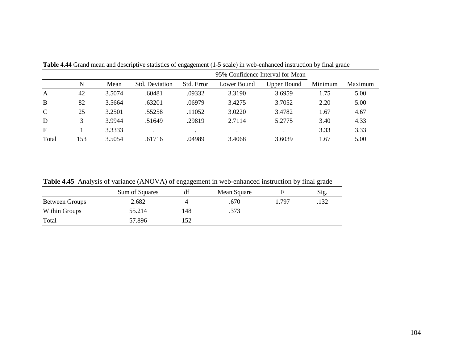|               |     |        |                       |            |             | 95% Confidence Interval for Mean |         |         |
|---------------|-----|--------|-----------------------|------------|-------------|----------------------------------|---------|---------|
|               | N   | Mean   | <b>Std.</b> Deviation | Std. Error | Lower Bound | <b>Upper Bound</b>               | Minimum | Maximum |
| A             | 42  | 3.5074 | .60481                | .09332     | 3.3190      | 3.6959                           | 1.75    | 5.00    |
| B             | 82  | 3.5664 | .63201                | .06979     | 3.4275      | 3.7052                           | 2.20    | 5.00    |
| $\mathcal{C}$ | 25  | 3.2501 | .55258                | .11052     | 3.0220      | 3.4782                           | 1.67    | 4.67    |
| D             |     | 3.9944 | .51649                | .29819     | 2.7114      | 5.2775                           | 3.40    | 4.33    |
| $\mathbf{F}$  |     | 3.3333 |                       | $\bullet$  |             |                                  | 3.33    | 3.33    |
| Total         | 153 | 3.5054 | .61716                | .04989     | 3.4068      | 3.6039                           | 1.67    | 5.00    |

**Table 4.44** Grand mean and descriptive statistics of engagement (1-5 scale) in web-enhanced instruction by final grade

**Table 4.45** Analysis of variance (ANOVA) of engagement in web-enhanced instruction by final grade

| <b>THEN</b> THIS POST OF TRIBULE (THAO TILE) OF CHERE CHICAGO CHIRAGEOR HISTORICO P THIS ETHIC |                |     |             |       |      |  |  |  |  |
|------------------------------------------------------------------------------------------------|----------------|-----|-------------|-------|------|--|--|--|--|
|                                                                                                | Sum of Squares |     | Mean Square |       | Sig. |  |  |  |  |
| <b>Between Groups</b>                                                                          | 2.682          |     | .670        | . 797 | .132 |  |  |  |  |
| Within Groups                                                                                  | 55.214         | 148 | .373        |       |      |  |  |  |  |
| Total                                                                                          | 57.896         | .52 |             |       |      |  |  |  |  |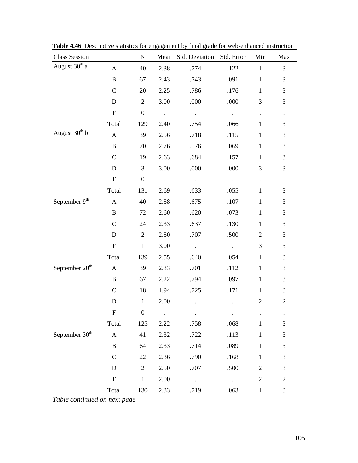| <b>Class Session</b>       |                           | ${\bf N}$        | Mean   | Std. Deviation Std. Error |                      | Min                  | Max                  |
|----------------------------|---------------------------|------------------|--------|---------------------------|----------------------|----------------------|----------------------|
| August 30 <sup>th</sup> a  | $\mathbf{A}$              | 40               | 2.38   | .774                      | .122                 | $\mathbf{1}$         | $\mathfrak{Z}$       |
|                            | $\, {\bf B}$              | 67               | 2.43   | .743                      | .091                 | $\mathbf{1}$         | 3                    |
|                            | $\mathbf C$               | 20               | 2.25   | .786                      | .176                 | $\mathbf{1}$         | 3                    |
|                            | D                         | $\mathfrak{2}$   | 3.00   | .000                      | .000                 | 3                    | 3                    |
|                            | ${\bf F}$                 | $\boldsymbol{0}$ | $\sim$ | $\sim$                    | $\langle \rangle$    | $\ddot{\phantom{a}}$ | $\bullet$            |
|                            | Total                     | 129              | 2.40   | .754                      | .066                 | $\mathbf{1}$         | 3                    |
| August 30 <sup>th</sup> b  | $\mathbf{A}$              | 39               | 2.56   | .718                      | .115                 | $\mathbf{1}$         | 3                    |
|                            | $\, {\bf B}$              | 70               | 2.76   | .576                      | .069                 | $\mathbf{1}$         | 3                    |
|                            | $\mathbf C$               | 19               | 2.63   | .684                      | .157                 | $\mathbf{1}$         | $\mathfrak{Z}$       |
|                            | D                         | 3                | 3.00   | .000                      | .000                 | 3                    | $\mathfrak{Z}$       |
|                            | ${\bf F}$                 | $\boldsymbol{0}$ | $\sim$ | $\mathcal{L}$             | $\ddot{\phantom{a}}$ | $\ddot{\phantom{0}}$ | $\ddot{\phantom{0}}$ |
|                            | Total                     | 131              | 2.69   | .633                      | .055                 | $\mathbf{1}$         | 3                    |
| September 9th              | $\mathbf{A}$              | 40               | 2.58   | .675                      | .107                 | $\mathbf{1}$         | $\mathfrak{Z}$       |
|                            | $\, {\bf B}$              | 72               | 2.60   | .620                      | .073                 | $\mathbf{1}$         | 3                    |
|                            | $\mathbf C$               | 24               | 2.33   | .637                      | .130                 | $\mathbf{1}$         | $\mathfrak{Z}$       |
|                            | D                         | $\overline{2}$   | 2.50   | .707                      | .500                 | $\mathbf{2}$         | $\mathfrak{Z}$       |
|                            | ${\bf F}$                 | $\mathbf{1}$     | 3.00   | $\langle \cdot \rangle$   | $\sim$               | 3                    | 3                    |
|                            | Total                     | 139              | 2.55   | .640                      | .054                 | $\mathbf{1}$         | 3                    |
| September 20 <sup>th</sup> | $\mathbf{A}$              | 39               | 2.33   | .701                      | .112                 | $\mathbf{1}$         | 3                    |
|                            | $\, {\bf B}$              | 67               | 2.22   | .794                      | .097                 | $\mathbf{1}$         | 3                    |
|                            | $\mathbf C$               | 18               | 1.94   | .725                      | .171                 | $\mathbf{1}$         | $\mathfrak{Z}$       |
|                            | $\mathbf D$               | $\mathbf{1}$     | 2.00   |                           |                      | $\overline{c}$       | $\overline{c}$       |
|                            | $\mathbf F$               | $\boldsymbol{0}$ | $\Box$ | $\ddot{\phantom{a}}$      | $\ddot{\phantom{0}}$ | $\ddot{\phantom{0}}$ |                      |
|                            | Total                     | 125              | 2.22   | .758                      | .068                 | $\mathbf{1}$         | $\mathfrak{Z}$       |
| September $30^{\text{th}}$ | $\mathbf{A}$              | 41               | 2.32   | .722                      | .113                 | $\mathbf 1$          | $\mathfrak{Z}$       |
|                            | $\, {\bf B}$              | 64               | 2.33   | .714                      | .089                 | $\mathbf{1}$         | $\mathfrak{Z}$       |
|                            | $\mathbf C$               | 22               | 2.36   | .790                      | .168                 | $\mathbf 1$          | $\mathfrak{Z}$       |
|                            | D                         | $\mathbf{2}$     | 2.50   | .707                      | .500                 | $\overline{2}$       | $\mathfrak{Z}$       |
|                            | $\boldsymbol{\mathrm{F}}$ | $\mathbf{1}$     | 2.00   | $\ddot{\phantom{a}}$      | $\ddot{\phantom{0}}$ | $\overline{2}$       | $\mathbf{2}$         |
|                            | Total                     | 130              | 2.33   | .719                      | .063                 | $\mathbf 1$          | $\mathfrak{Z}$       |

**Table 4.46** Descriptive statistics for engagement by final grade for web-enhanced instruction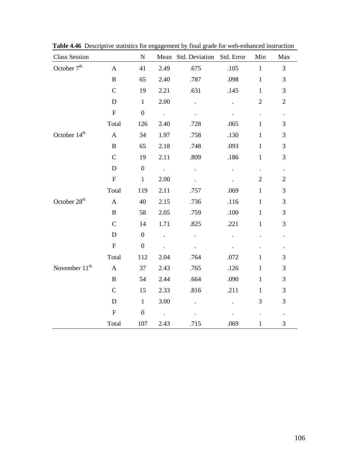| <b>Class Session</b>      |                           | ${\bf N}$        |                      | Mean Std. Deviation  | Std. Error           | Min                  | Max                  |
|---------------------------|---------------------------|------------------|----------------------|----------------------|----------------------|----------------------|----------------------|
| October 7 <sup>th</sup>   | $\mathbf{A}$              | 41               | 2.49                 | .675                 | .105                 | $\mathbf{1}$         | 3                    |
|                           | $\, {\bf B}$              | 65               | 2.40                 | .787                 | .098                 | $\mathbf{1}$         | 3                    |
|                           | $\overline{C}$            | 19               | 2.21                 | .631                 | .145                 | $\mathbf{1}$         | 3                    |
|                           | $\mathbf D$               | $\mathbf{1}$     | 2.00                 |                      | $\ddot{\phantom{a}}$ | $\mathbf{2}$         | $\sqrt{2}$           |
|                           | ${\bf F}$                 | $\boldsymbol{0}$ | $\sim$               |                      |                      | $\ddot{\phantom{0}}$ | $\ddot{\phantom{a}}$ |
|                           | Total                     | 126              | 2.40                 | .728                 | .065                 | $\mathbf{1}$         | 3                    |
| October 14 <sup>th</sup>  | $\boldsymbol{\mathsf{A}}$ | 34               | 1.97                 | .758                 | .130                 | $\mathbf{1}$         | 3                    |
|                           | $\, {\bf B}$              | 65               | 2.18                 | .748                 | .093                 | $\mathbf{1}$         | 3                    |
|                           | $\mathbf C$               | 19               | 2.11                 | .809                 | .186                 | $\mathbf{1}$         | 3                    |
|                           | ${\bf D}$                 | $\boldsymbol{0}$ | $\sim$               | $\ddot{\phantom{0}}$ | $\ddot{\phantom{0}}$ | $\ddot{\phantom{0}}$ | $\ddot{\phantom{a}}$ |
|                           | ${\bf F}$                 | $\mathbf{1}$     | 2.00                 |                      |                      | $\overline{2}$       | $\sqrt{2}$           |
|                           | Total                     | 119              | 2.11                 | .757                 | .069                 | $\mathbf{1}$         | 3                    |
| October 28 <sup>th</sup>  | $\boldsymbol{\mathsf{A}}$ | 40               | 2.15                 | .736                 | .116                 | $\mathbf{1}$         | 3                    |
|                           | $\, {\bf B}$              | 58               | 2.05                 | .759                 | $.100\,$             | $\mathbf{1}$         | 3                    |
|                           | $\mathcal{C}$             | 14               | 1.71                 | .825                 | .221                 | $\mathbf{1}$         | 3                    |
|                           | $\mathbf D$               | $\boldsymbol{0}$ | $\ddot{\phantom{a}}$ | $\ddot{\phantom{a}}$ |                      |                      | $\ddot{\phantom{0}}$ |
|                           | ${\bf F}$                 | $\boldsymbol{0}$ | $\ddot{\phantom{a}}$ |                      |                      |                      | $\ddot{\phantom{0}}$ |
|                           | Total                     | 112              | 2.04                 | .764                 | .072                 | $\mathbf{1}$         | 3                    |
| November 11 <sup>th</sup> | $\mathbf{A}$              | 37               | 2.43                 | .765                 | .126                 | $\mathbf{1}$         | 3                    |
|                           | $\bf{B}$                  | 54               | 2.44                 | .664                 | .090                 | $\mathbf{1}$         | 3                    |
|                           | $\mathbf C$               | 15               | 2.33                 | .816                 | .211                 | $\mathbf{1}$         | 3                    |
|                           | $\mathbf D$               | $\mathbf{1}$     | 3.00                 |                      | $\ddot{\phantom{0}}$ | 3                    | 3                    |
|                           | ${\bf F}$                 | $\boldsymbol{0}$ | $\mathcal{A}$        |                      |                      |                      | $\ddot{\phantom{0}}$ |
|                           | Total                     | 107              | 2.43                 | .715                 | .069                 | $\mathbf{1}$         | 3                    |

**Table 4.46** Descriptive statistics for engagement by final grade for web-enhanced instruction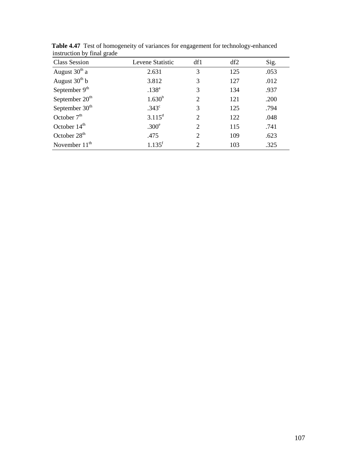| msu action by Tinai grade  |                      |                |     |      |
|----------------------------|----------------------|----------------|-----|------|
| <b>Class Session</b>       | Levene Statistic     | df1            | df2 | Sig. |
| August $30th$ a            | 2.631                | 3              | 125 | .053 |
| August $30^{\text{th}}$ b  | 3.812                | 3              | 127 | .012 |
| September $9th$            | $.138^{a}$           | 3              | 134 | .937 |
| September 20 <sup>th</sup> | $1.630^{b}$          | 2              | 121 | .200 |
| September $30th$           | .343 <sup>c</sup>    | 3              | 125 | .794 |
| October $7th$              | $3.115^d$            | 2              | 122 | .048 |
| October $14th$             | .300 <sup>e</sup>    | 2              | 115 | .741 |
| October 28 <sup>th</sup>   | .475                 | 2              | 109 | .623 |
| November $11th$            | $1.135$ <sup>f</sup> | $\overline{2}$ | 103 | .325 |

**Table 4.47** Test of homogeneity of variances for engagement for technology-enhanced instruction by final grade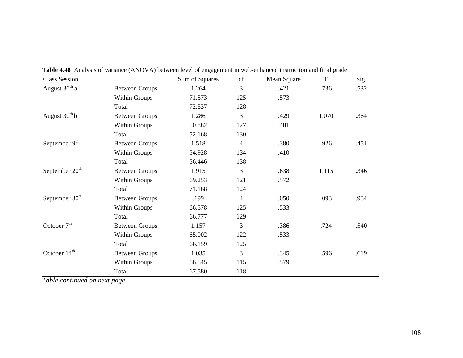| <b>Class Session</b>       |                       | Sum of Squares | df             | Mean Square | F     | Sig. |
|----------------------------|-----------------------|----------------|----------------|-------------|-------|------|
| August $30th$ a            | <b>Between Groups</b> | 1.264          | 3              | .421        | .736  | .532 |
|                            | Within Groups         | 71.573         | 125            | .573        |       |      |
|                            | Total                 | 72.837         | 128            |             |       |      |
| August $30th b$            | <b>Between Groups</b> | 1.286          | 3              | .429        | 1.070 | .364 |
|                            | Within Groups         | 50.882         | 127            | .401        |       |      |
|                            | Total                 | 52.168         | 130            |             |       |      |
| September 9 <sup>th</sup>  | <b>Between Groups</b> | 1.518          | $\overline{4}$ | .380        | .926  | .451 |
|                            | Within Groups         | 54.928         | 134            | .410        |       |      |
|                            | Total                 | 56.446         | 138            |             |       |      |
| September 20 <sup>th</sup> | <b>Between Groups</b> | 1.915          | 3              | .638        | 1.115 | .346 |
|                            | Within Groups         | 69.253         | 121            | .572        |       |      |
|                            | Total                 | 71.168         | 124            |             |       |      |
| September 30 <sup>th</sup> | <b>Between Groups</b> | .199           | $\overline{4}$ | .050        | .093  | .984 |
|                            | Within Groups         | 66.578         | 125            | .533        |       |      |
|                            | Total                 | 66.777         | 129            |             |       |      |
| October 7 <sup>th</sup>    | <b>Between Groups</b> | 1.157          | 3              | .386        | .724  | .540 |
|                            | Within Groups         | 65.002         | 122            | .533        |       |      |
|                            | Total                 | 66.159         | 125            |             |       |      |
| October 14 <sup>th</sup>   | <b>Between Groups</b> | 1.035          | 3              | .345        | .596  | .619 |
|                            | Within Groups         | 66.545         | 115            | .579        |       |      |
|                            | Total                 | 67.580         | 118            |             |       |      |

**Table 4.48** Analysis of variance (ANOVA) between level of engagement in web-enhanced instruction and final grade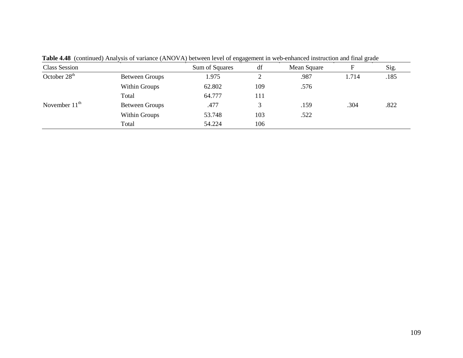| <b>Class Session</b> |                       | Sum of Squares | df  | Mean Square |       | Sig. |
|----------------------|-----------------------|----------------|-----|-------------|-------|------|
| October $28th$       | Between Groups        | 1.975          |     | .987        | 1.714 | .185 |
|                      | Within Groups         | 62.802         | 109 | .576        |       |      |
|                      | Total                 | 64.777         | 111 |             |       |      |
| November $11th$      | <b>Between Groups</b> | .477           | 3   | .159        | .304  | .822 |
|                      | Within Groups         | 53.748         | 103 | .522        |       |      |
|                      | Total                 | 54.224         | 106 |             |       |      |

**Table 4.48** (continued) Analysis of variance (ANOVA) between level of engagement in web-enhanced instruction and final grade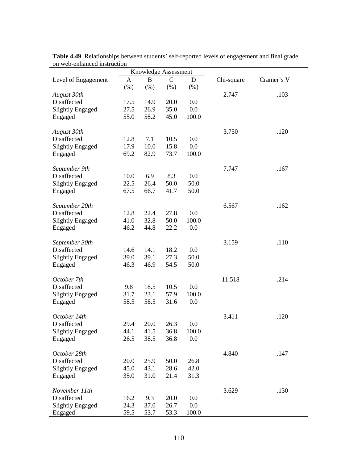| Knowledge Assessment    |              |                  |              |        |            |            |
|-------------------------|--------------|------------------|--------------|--------|------------|------------|
| Level of Engagement     | $\mathbf{A}$ | $\boldsymbol{B}$ | $\mathsf{C}$ | D      | Chi-square | Cramer's V |
|                         | $(\%)$       | $(\%)$           | $(\%)$       | $(\%)$ |            |            |
| August 30th             |              |                  |              |        | 2.747      | .103       |
| Disaffected             | 17.5         | 14.9             | 20.0         | 0.0    |            |            |
| <b>Slightly Engaged</b> | 27.5         | 26.9             | 35.0         | 0.0    |            |            |
| Engaged                 | 55.0         | 58.2             | 45.0         | 100.0  |            |            |
| August 30th             |              |                  |              |        | 3.750      | .120       |
| Disaffected             | 12.8         | 7.1              | 10.5         | 0.0    |            |            |
| <b>Slightly Engaged</b> | 17.9         | 10.0             | 15.8         | 0.0    |            |            |
| Engaged                 | 69.2         | 82.9             | 73.7         | 100.0  |            |            |
| September 9th           |              |                  |              |        | 7.747      | .167       |
| Disaffected             | 10.0         | 6.9              | 8.3          | 0.0    |            |            |
| <b>Slightly Engaged</b> | 22.5         | 26.4             | 50.0         | 50.0   |            |            |
| Engaged                 | 67.5         | 66.7             | 41.7         | 50.0   |            |            |
| September 20th          |              |                  |              |        | 6.567      | .162       |
| Disaffected             | 12.8         | 22.4             | 27.8         | 0.0    |            |            |
| <b>Slightly Engaged</b> | 41.0         | 32.8             | 50.0         | 100.0  |            |            |
| Engaged                 | 46.2         | 44.8             | 22.2         | 0.0    |            |            |
| September 30th          |              |                  |              |        | 3.159      | .110       |
| Disaffected             | 14.6         | 14.1             | 18.2         | 0.0    |            |            |
| <b>Slightly Engaged</b> | 39.0         | 39.1             | 27.3         | 50.0   |            |            |
| Engaged                 | 46.3         | 46.9             | 54.5         | 50.0   |            |            |
| October 7th             |              |                  |              |        | 11.518     | .214       |
| Disaffected             | 9.8          | 18.5             | 10.5         | 0.0    |            |            |
| <b>Slightly Engaged</b> | 31.7         | 23.1             | 57.9         | 100.0  |            |            |
| Engaged                 | 58.5         | 58.5             | 31.6         | 0.0    |            |            |
| October 14th            |              |                  |              |        | 3.411      | .120       |
| Disaffected             | 29.4         | 20.0             | 26.3         | 0.0    |            |            |
| <b>Slightly Engaged</b> | 44.1         | 41.5             | 36.8         | 100.0  |            |            |
| Engaged                 | 26.5         | 38.5             | 36.8         | 0.0    |            |            |
| October 28th            |              |                  |              |        | 4.840      | .147       |
| Disaffected             | 20.0         | 25.9             | 50.0         | 26.8   |            |            |
| <b>Slightly Engaged</b> | 45.0         | 43.1             | 28.6         | 42.0   |            |            |
| Engaged                 | 35.0         | 31.0             | 21.4         | 31.3   |            |            |
| November 11th           |              |                  |              |        | 3.629      | .130       |
| Disaffected             | 16.2         | 9.3              | 20.0         | 0.0    |            |            |
| <b>Slightly Engaged</b> | 24.3         | 37.0             | 26.7         | 0.0    |            |            |
| Engaged                 | 59.5         | 53.7             | 53.3         | 100.0  |            |            |

**Table 4.49** Relationships between students' self-reported levels of engagement and final grade on web-enhanced instruction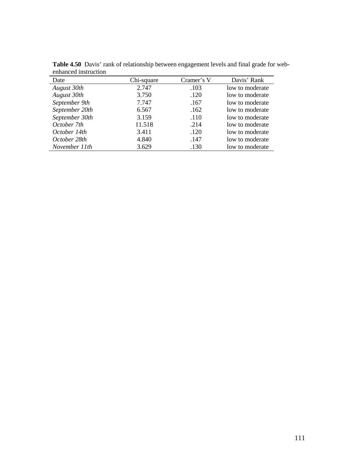| emmuseu mou aeuon |            |            |                 |
|-------------------|------------|------------|-----------------|
| Date              | Chi-square | Cramer's V | Davis' Rank     |
| August 30th       | 2.747      | .103       | low to moderate |
| August 30th       | 3.750      | .120       | low to moderate |
| September 9th     | 7.747      | .167       | low to moderate |
| September 20th    | 6.567      | .162       | low to moderate |
| September 30th    | 3.159      | .110       | low to moderate |
| October 7th       | 11.518     | .214       | low to moderate |
| October 14th      | 3.411      | .120       | low to moderate |
| October 28th      | 4.840      | .147       | low to moderate |
| November 11th     | 3.629      | .130       | low to moderate |

**Table 4.50** Davis' rank of relationship between engagement levels and final grade for webenhanced instruction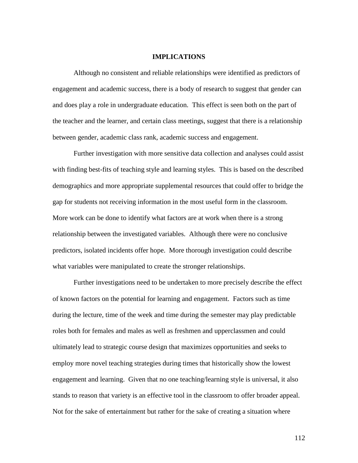#### **IMPLICATIONS**

Although no consistent and reliable relationships were identified as predictors of engagement and academic success, there is a body of research to suggest that gender can and does play a role in undergraduate education. This effect is seen both on the part of the teacher and the learner, and certain class meetings, suggest that there is a relationship between gender, academic class rank, academic success and engagement.

Further investigation with more sensitive data collection and analyses could assist with finding best-fits of teaching style and learning styles. This is based on the described demographics and more appropriate supplemental resources that could offer to bridge the gap for students not receiving information in the most useful form in the classroom. More work can be done to identify what factors are at work when there is a strong relationship between the investigated variables. Although there were no conclusive predictors, isolated incidents offer hope. More thorough investigation could describe what variables were manipulated to create the stronger relationships.

Further investigations need to be undertaken to more precisely describe the effect of known factors on the potential for learning and engagement. Factors such as time during the lecture, time of the week and time during the semester may play predictable roles both for females and males as well as freshmen and upperclassmen and could ultimately lead to strategic course design that maximizes opportunities and seeks to employ more novel teaching strategies during times that historically show the lowest engagement and learning. Given that no one teaching/learning style is universal, it also stands to reason that variety is an effective tool in the classroom to offer broader appeal. Not for the sake of entertainment but rather for the sake of creating a situation where

112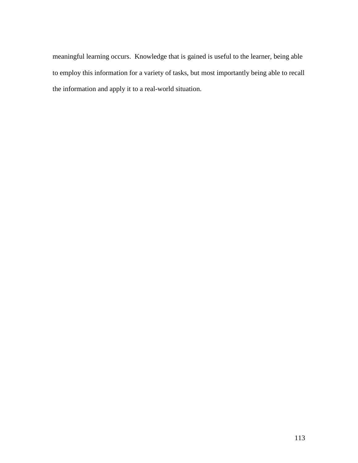meaningful learning occurs. Knowledge that is gained is useful to the learner, being able to employ this information for a variety of tasks, but most importantly being able to recall the information and apply it to a real-world situation.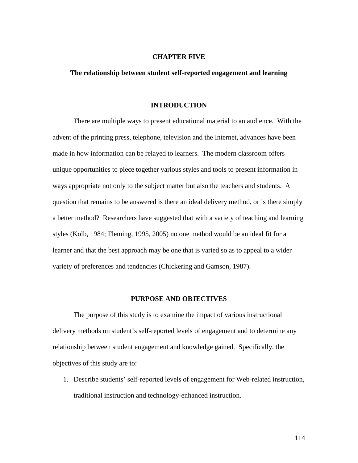#### **CHAPTER FIVE**

### **The relationship between student self-reported engagement and learning**

#### **INTRODUCTION**

 There are multiple ways to present educational material to an audience. With the advent of the printing press, telephone, television and the Internet, advances have been made in how information can be relayed to learners. The modern classroom offers unique opportunities to piece together various styles and tools to present information in ways appropriate not only to the subject matter but also the teachers and students. A question that remains to be answered is there an ideal delivery method, or is there simply a better method? Researchers have suggested that with a variety of teaching and learning styles (Kolb, 1984; Fleming, 1995, 2005) no one method would be an ideal fit for a learner and that the best approach may be one that is varied so as to appeal to a wider variety of preferences and tendencies (Chickering and Gamson, 1987).

# **PURPOSE AND OBJECTIVES**

 The purpose of this study is to examine the impact of various instructional delivery methods on student's self-reported levels of engagement and to determine any relationship between student engagement and knowledge gained. Specifically, the objectives of this study are to:

1. Describe students' self-reported levels of engagement for Web-related instruction, traditional instruction and technology-enhanced instruction.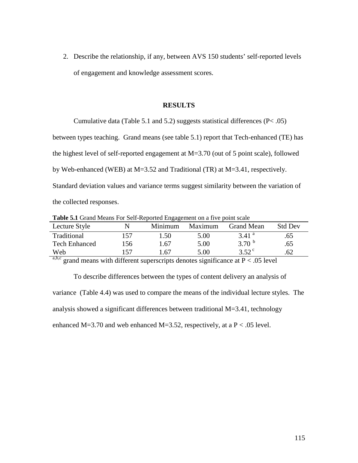2. Describe the relationship, if any, between AVS 150 students' self-reported levels of engagement and knowledge assessment scores.

### **RESULTS**

 Cumulative data (Table 5.1 and 5.2) suggests statistical differences (P< .05) between types teaching. Grand means (see table 5.1) report that Tech-enhanced (TE) has the highest level of self-reported engagement at M=3.70 (out of 5 point scale), followed by Web-enhanced (WEB) at M=3.52 and Traditional (TR) at M=3.41, respectively. Standard deviation values and variance terms suggest similarity between the variation of the collected responses.

**Table 5.1** Grand Means For Self-Reported Engagement on a five point scale

|                                                                                                                      |      | ິ       |         |                     |                |  |
|----------------------------------------------------------------------------------------------------------------------|------|---------|---------|---------------------|----------------|--|
| Lecture Style                                                                                                        |      | Minimum | Maximum | <b>Grand Mean</b>   | <b>Std Dev</b> |  |
| Traditional                                                                                                          | .57  | 1.50    | 5.00    | $3.41$ <sup>a</sup> | .65            |  |
| <b>Tech Enhanced</b>                                                                                                 | l 56 | 1.67    | 5.00    | 3.70 $^{\circ}$     | .65            |  |
| Web                                                                                                                  | 57   | -67     | 5.00    | 3.52 $^{\circ}$     | .62            |  |
| <u> Tanzania de Caractería de Caractería de Caractería de Caractería de Caractería de Caractería de Caractería d</u> |      |         |         |                     |                |  |

a,b,c grand means with different superscripts denotes significance at  $P < .05$  level

 To describe differences between the types of content delivery an analysis of variance (Table 4.4) was used to compare the means of the individual lecture styles. The analysis showed a significant differences between traditional M=3.41, technology enhanced M=3.70 and web enhanced M=3.52, respectively, at a P < .05 level.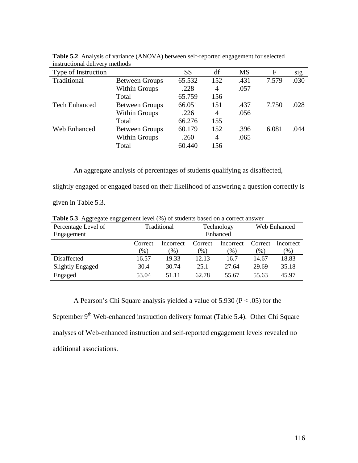| Type of Instruction  |                       | SS     | df  | <b>MS</b> | F     | sig  |
|----------------------|-----------------------|--------|-----|-----------|-------|------|
| Traditional          | <b>Between Groups</b> | 65.532 | 152 | .431      | 7.579 | .030 |
|                      | Within Groups         | .228   | 4   | .057      |       |      |
|                      | Total                 | 65.759 | 156 |           |       |      |
| <b>Tech Enhanced</b> | <b>Between Groups</b> | 66.051 | 151 | .437      | 7.750 | .028 |
|                      | <b>Within Groups</b>  | .226   | 4   | .056      |       |      |
|                      | Total                 | 66.276 | 155 |           |       |      |
| <b>Web Enhanced</b>  | <b>Between Groups</b> | 60.179 | 152 | .396      | 6.081 | .044 |
|                      | <b>Within Groups</b>  | .260   | 4   | .065      |       |      |
|                      | Total                 | 60.440 | 156 |           |       |      |
|                      |                       |        |     |           |       |      |

**Table 5.2** Analysis of variance (ANOVA) between self-reported engagement for selected instructional delivery methods

An aggregate analysis of percentages of students qualifying as disaffected,

slightly engaged or engaged based on their likelihood of answering a question correctly is

given in Table 5.3.

| -00- - 0<br>070     |             |           |            |           |                 |           |  |
|---------------------|-------------|-----------|------------|-----------|-----------------|-----------|--|
| Percentage Level of | Traditional |           | Technology |           | Web Enhanced    |           |  |
| Engagement          |             |           |            | Enhanced  |                 |           |  |
|                     | Correct     | Incorrect | Correct    | Incorrect | Correct         | Incorrect |  |
|                     | (96)        | $(\%)$    | $(\%)$     | $\%$ )    | $\mathcal{O}_0$ | $(\%)$    |  |
| Disaffected         | 16.57       | 19.33     | 12.13      | 16.7      | 14.67           | 18.83     |  |
| Slightly Engaged    | 30.4        | 30.74     | 25.1       | 27.64     | 29.69           | 35.18     |  |
| Engaged             | 53.04       | 51.11     | 62.78      | 55.67     | 55.63           | 45.97     |  |

**Table 5.3** Aggregate engagement level (%) of students based on a correct answer

A Pearson's Chi Square analysis yielded a value of 5.930 (P < .05) for the September 9<sup>th</sup> Web-enhanced instruction delivery format (Table 5.4). Other Chi Square analyses of Web-enhanced instruction and self-reported engagement levels revealed no

additional associations.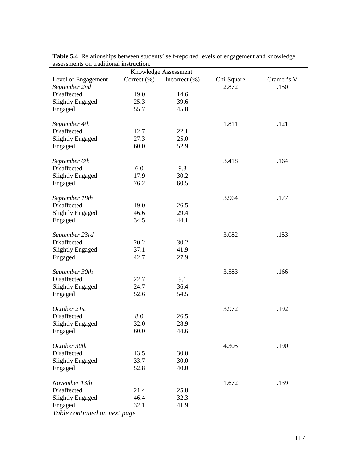| Knowledge Assessment    |             |                   |            |            |  |  |  |  |
|-------------------------|-------------|-------------------|------------|------------|--|--|--|--|
| Level of Engagement     | Correct (%) | Incorrect $(\% )$ | Chi-Square | Cramer's V |  |  |  |  |
| September 2nd           |             |                   | 2.872      | .150       |  |  |  |  |
| Disaffected             | 19.0        | 14.6              |            |            |  |  |  |  |
| <b>Slightly Engaged</b> | 25.3        | 39.6              |            |            |  |  |  |  |
| Engaged                 | 55.7        | 45.8              |            |            |  |  |  |  |
|                         |             |                   |            |            |  |  |  |  |
| September 4th           |             |                   | 1.811      | .121       |  |  |  |  |
| Disaffected             | 12.7        | 22.1              |            |            |  |  |  |  |
| <b>Slightly Engaged</b> | 27.3        | 25.0              |            |            |  |  |  |  |
| Engaged                 | 60.0        | 52.9              |            |            |  |  |  |  |
|                         |             |                   |            |            |  |  |  |  |
| September 6th           |             |                   | 3.418      | .164       |  |  |  |  |
| Disaffected             | 6.0         | 9.3               |            |            |  |  |  |  |
| <b>Slightly Engaged</b> | 17.9        | 30.2              |            |            |  |  |  |  |
| Engaged                 | 76.2        | 60.5              |            |            |  |  |  |  |
|                         |             |                   |            |            |  |  |  |  |
| September 18th          |             |                   | 3.964      | .177       |  |  |  |  |
| Disaffected             | 19.0        | 26.5              |            |            |  |  |  |  |
| <b>Slightly Engaged</b> | 46.6        | 29.4              |            |            |  |  |  |  |
| Engaged                 | 34.5        | 44.1              |            |            |  |  |  |  |
|                         |             |                   |            |            |  |  |  |  |
| September 23rd          |             |                   | 3.082      | .153       |  |  |  |  |
| Disaffected             | 20.2        | 30.2              |            |            |  |  |  |  |
|                         | 37.1        | 41.9              |            |            |  |  |  |  |
| <b>Slightly Engaged</b> | 42.7        |                   |            |            |  |  |  |  |
| Engaged                 |             | 27.9              |            |            |  |  |  |  |
| September 30th          |             |                   | 3.583      | .166       |  |  |  |  |
| Disaffected             | 22.7        | 9.1               |            |            |  |  |  |  |
| <b>Slightly Engaged</b> | 24.7        | 36.4              |            |            |  |  |  |  |
| Engaged                 | 52.6        | 54.5              |            |            |  |  |  |  |
|                         |             |                   |            |            |  |  |  |  |
| October 21st            |             |                   | 3.972      | .192       |  |  |  |  |
| Disaffected             | 8.0         | 26.5              |            |            |  |  |  |  |
|                         |             | 28.9              |            |            |  |  |  |  |
| <b>Slightly Engaged</b> | 32.0        |                   |            |            |  |  |  |  |
| Engaged                 | 60.0        | 44.6              |            |            |  |  |  |  |
| October 30th            |             |                   | 4.305      | .190       |  |  |  |  |
| Disaffected             | 13.5        | 30.0              |            |            |  |  |  |  |
|                         |             |                   |            |            |  |  |  |  |
| <b>Slightly Engaged</b> | 33.7        | 30.0              |            |            |  |  |  |  |
| Engaged                 | 52.8        | 40.0              |            |            |  |  |  |  |
|                         |             |                   |            |            |  |  |  |  |
| November 13th           |             |                   | 1.672      | .139       |  |  |  |  |
| Disaffected             | 21.4        | 25.8              |            |            |  |  |  |  |
| <b>Slightly Engaged</b> | 46.4        | 32.3              |            |            |  |  |  |  |
| Engaged                 | 32.1        | 41.9              |            |            |  |  |  |  |

**Table 5.4** Relationships between students' self-reported levels of engagement and knowledge assessments on traditional instruction.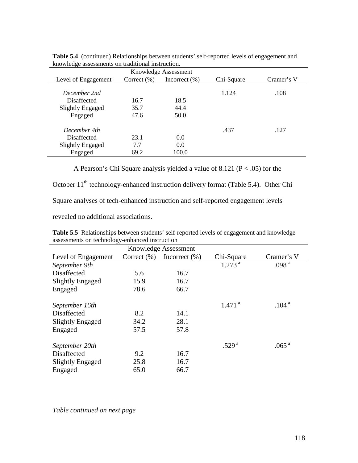| Knowledge Assessment    |                 |                   |            |            |  |  |  |  |
|-------------------------|-----------------|-------------------|------------|------------|--|--|--|--|
| Level of Engagement     | Correct $(\% )$ | Incorrect $(\% )$ | Chi-Square | Cramer's V |  |  |  |  |
|                         |                 |                   |            |            |  |  |  |  |
| December 2nd            |                 |                   | 1.124      | .108       |  |  |  |  |
| Disaffected             | 16.7            | 18.5              |            |            |  |  |  |  |
| <b>Slightly Engaged</b> | 35.7            | 44.4              |            |            |  |  |  |  |
| Engaged                 | 47.6            | 50.0              |            |            |  |  |  |  |
| December 4th            |                 |                   | .437       | .127       |  |  |  |  |
| Disaffected             | 23.1            | 0.0               |            |            |  |  |  |  |
| <b>Slightly Engaged</b> | 7.7             | 0.0               |            |            |  |  |  |  |
| Engaged                 | 69.2            | 100.0             |            |            |  |  |  |  |

**Table 5.4** (continued) Relationships between students' self-reported levels of engagement and knowledge assessments on traditional instruction.

A Pearson's Chi Square analysis yielded a value of 8.121 (P < .05) for the

October 11<sup>th</sup> technology-enhanced instruction delivery format (Table 5.4). Other Chi

Square analyses of tech-enhanced instruction and self-reported engagement levels

revealed no additional associations.

| assessments on technology-enhanced instruction |                 |                   |                      |                   |  |  |  |  |
|------------------------------------------------|-----------------|-------------------|----------------------|-------------------|--|--|--|--|
| Knowledge Assessment                           |                 |                   |                      |                   |  |  |  |  |
| Level of Engagement                            | Correct $(\% )$ | Incorrect $(\% )$ | Chi-Square           | Cramer's V        |  |  |  |  |
| September 9th                                  |                 |                   | 1.273 <sup>a</sup>   | .098 <sup>a</sup> |  |  |  |  |
| Disaffected                                    | 5.6             | 16.7              |                      |                   |  |  |  |  |
| Slightly Engaged                               | 15.9            | 16.7              |                      |                   |  |  |  |  |
| Engaged                                        | 78.6            | 66.7              |                      |                   |  |  |  |  |
|                                                |                 |                   |                      |                   |  |  |  |  |
| September 16th                                 |                 |                   | $1.471$ <sup>a</sup> | .104 <sup>a</sup> |  |  |  |  |
| Disaffected                                    | 8.2             | 14.1              |                      |                   |  |  |  |  |
| <b>Slightly Engaged</b>                        | 34.2            | 28.1              |                      |                   |  |  |  |  |
| Engaged                                        | 57.5            | 57.8              |                      |                   |  |  |  |  |
|                                                |                 |                   |                      |                   |  |  |  |  |
| September 20th                                 |                 |                   | .529 <sup>a</sup>    | .065 <sup>a</sup> |  |  |  |  |
| Disaffected                                    | 9.2             | 16.7              |                      |                   |  |  |  |  |
| Slightly Engaged                               | 25.8            | 16.7              |                      |                   |  |  |  |  |
| Engaged                                        | 65.0            | 66.7              |                      |                   |  |  |  |  |

**Table 5.5** Relationships between students' self-reported levels of engagement and knowledge assessments on technology-enhanced instruction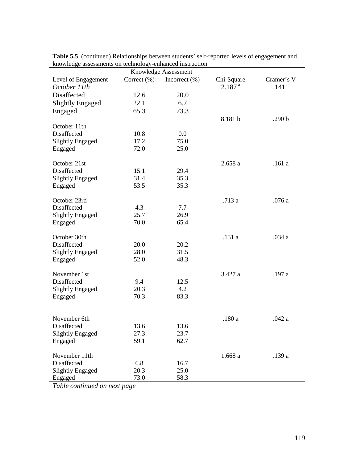| Knowledge Assessment                |                 |                   |                                  |                                 |  |  |  |
|-------------------------------------|-----------------|-------------------|----------------------------------|---------------------------------|--|--|--|
| Level of Engagement<br>October 11th | Correct $(\% )$ | Incorrect $(\% )$ | Chi-Square<br>2.187 <sup>a</sup> | Cramer's V<br>.141 <sup>a</sup> |  |  |  |
| Disaffected                         | 12.6            | 20.0              |                                  |                                 |  |  |  |
| <b>Slightly Engaged</b>             | 22.1            | 6.7               |                                  |                                 |  |  |  |
| Engaged                             | 65.3            | 73.3              |                                  |                                 |  |  |  |
|                                     |                 |                   |                                  |                                 |  |  |  |
| October 11th                        |                 |                   | 8.181 b                          | .290 <sub>b</sub>               |  |  |  |
| Disaffected                         | 10.8            | 0.0               |                                  |                                 |  |  |  |
| <b>Slightly Engaged</b>             | 17.2            | 75.0              |                                  |                                 |  |  |  |
| Engaged                             | 72.0            | 25.0              |                                  |                                 |  |  |  |
|                                     |                 |                   |                                  |                                 |  |  |  |
| October 21st                        |                 |                   | 2.658a                           | .161a                           |  |  |  |
| Disaffected                         | 15.1            | 29.4              |                                  |                                 |  |  |  |
| <b>Slightly Engaged</b>             | 31.4            | 35.3              |                                  |                                 |  |  |  |
| Engaged                             | 53.5            | 35.3              |                                  |                                 |  |  |  |
|                                     |                 |                   |                                  |                                 |  |  |  |
| October 23rd                        |                 |                   | .713 a                           | .076 a                          |  |  |  |
| Disaffected                         | 4.3             | 7.7               |                                  |                                 |  |  |  |
| <b>Slightly Engaged</b>             | 25.7            | 26.9              |                                  |                                 |  |  |  |
| Engaged                             | 70.0            | 65.4              |                                  |                                 |  |  |  |
| October 30th                        |                 |                   | .131 a                           | .034 a                          |  |  |  |
| Disaffected                         | 20.0            | 20.2              |                                  |                                 |  |  |  |
| <b>Slightly Engaged</b>             | 28.0            | 31.5              |                                  |                                 |  |  |  |
| Engaged                             | 52.0            | 48.3              |                                  |                                 |  |  |  |
|                                     |                 |                   |                                  |                                 |  |  |  |
| November 1st                        |                 |                   | 3.427 a                          | .197 a                          |  |  |  |
| Disaffected                         | 9.4             | 12.5              |                                  |                                 |  |  |  |
| <b>Slightly Engaged</b>             | 20.3            | 4.2               |                                  |                                 |  |  |  |
| Engaged                             | 70.3            | 83.3              |                                  |                                 |  |  |  |
|                                     |                 |                   |                                  |                                 |  |  |  |
| November 6th                        |                 |                   | .180 a                           | .042 a                          |  |  |  |
| Disaffected                         | 13.6            | 13.6              |                                  |                                 |  |  |  |
| <b>Slightly Engaged</b>             | 27.3            | 23.7              |                                  |                                 |  |  |  |
| Engaged                             | 59.1            | 62.7              |                                  |                                 |  |  |  |
|                                     |                 |                   |                                  |                                 |  |  |  |
| November 11th                       |                 |                   | 1.668a                           | .139 a                          |  |  |  |
| Disaffected                         | 6.8             | 16.7              |                                  |                                 |  |  |  |
| <b>Slightly Engaged</b>             | 20.3            | 25.0              |                                  |                                 |  |  |  |
| Engaged                             | 73.0            | 58.3              |                                  |                                 |  |  |  |
|                                     |                 |                   |                                  |                                 |  |  |  |

**Table 5.5** (continued) Relationships between students' self-reported levels of engagement and knowledge assessments on technology-enhanced instruction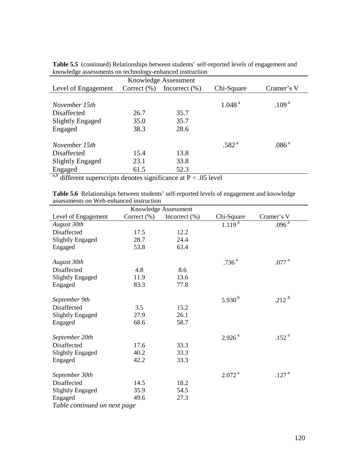| Knowledge assessments on teemforogy emianeed mstraction |                 |                   |                    |                   |  |  |  |  |
|---------------------------------------------------------|-----------------|-------------------|--------------------|-------------------|--|--|--|--|
| Knowledge Assessment                                    |                 |                   |                    |                   |  |  |  |  |
| Level of Engagement                                     | Correct $(\% )$ | Incorrect $(\% )$ | Chi-Square         | Cramer's V        |  |  |  |  |
|                                                         |                 |                   |                    |                   |  |  |  |  |
| November 15th                                           |                 |                   | 1.048 <sup>a</sup> | .109 <sup>a</sup> |  |  |  |  |
| Disaffected                                             | 26.7            | 35.7              |                    |                   |  |  |  |  |
| Slightly Engaged                                        | 35.0            | 35.7              |                    |                   |  |  |  |  |
| Engaged                                                 | 38.3            | 28.6              |                    |                   |  |  |  |  |
|                                                         |                 |                   |                    |                   |  |  |  |  |
| November 15th                                           |                 |                   | .582 <sup>a</sup>  | .086 <sup>a</sup> |  |  |  |  |
| Disaffected                                             | 15.4            | 13.8              |                    |                   |  |  |  |  |
| Slightly Engaged                                        | 23.1            | 33.8              |                    |                   |  |  |  |  |
| Engaged                                                 | 61.5            | 52.3              |                    |                   |  |  |  |  |

**Table 5.5** (continued) Relationships between students' self-reported levels of engagement and knowledge assessments on technology-enhanced instruction

a,b different superscripts denotes significance at  $P < .05$  level

**Table 5.6** Relationships between students' self-reported levels of engagement and knowledge assessments on Web-enhanced instruction

| Knowledge Assessment         |                 |                   |                    |                       |
|------------------------------|-----------------|-------------------|--------------------|-----------------------|
| Level of Engagement          | Correct $(\% )$ | Incorrect $(\% )$ | Chi-Square         | Cramer's V            |
| August 30th                  |                 |                   | $1.119^{a}$        | $.096^{\overline{a}}$ |
| Disaffected                  | 17.5            | 12.2              |                    |                       |
| <b>Slightly Engaged</b>      | 28.7            | 24.4              |                    |                       |
| Engaged                      | 53.8            | 63.4              |                    |                       |
|                              |                 |                   |                    |                       |
| August 30th                  |                 |                   | .736 <sup>a</sup>  | .077 <sup>a</sup>     |
| Disaffected                  | 4.8             | 8.6               |                    |                       |
| <b>Slightly Engaged</b>      | 11.9            | 13.6              |                    |                       |
| Engaged                      | 83.3            | 77.8              |                    |                       |
|                              |                 |                   |                    |                       |
| September 9th                |                 |                   | 5.930 $^{\rm b}$   | $.212^{b}$            |
| Disaffected                  | 3.5             | 15.2              |                    |                       |
| <b>Slightly Engaged</b>      | 27.9            | 26.1              |                    |                       |
| Engaged                      | 68.6            | 58.7              |                    |                       |
|                              |                 |                   |                    |                       |
| September 20th               |                 |                   | 2.926 <sup>a</sup> | .152 <sup>a</sup>     |
| Disaffected                  | 17.6            | 33.3              |                    |                       |
| <b>Slightly Engaged</b>      | 40.2            | 33.3              |                    |                       |
| Engaged                      | 42.2            | 33.3              |                    |                       |
|                              |                 |                   |                    |                       |
| September 30th               |                 |                   | 2.072 <sup>a</sup> | .127 <sup>a</sup>     |
| Disaffected                  | 14.5            | 18.2              |                    |                       |
| <b>Slightly Engaged</b>      | 35.9            | 54.5              |                    |                       |
| Engaged                      | 49.6            | 27.3              |                    |                       |
| Table continued on next page |                 |                   |                    |                       |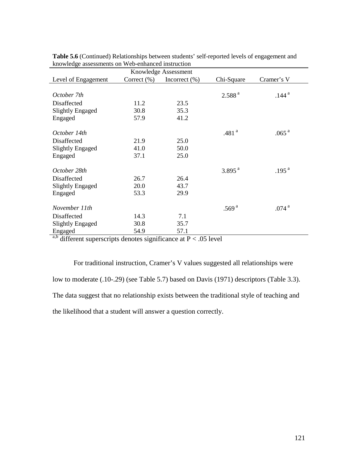| Knowledge assessments on web emittieed motiu<br>Knowledge Assessment |                 |                   |                      |                   |
|----------------------------------------------------------------------|-----------------|-------------------|----------------------|-------------------|
| Level of Engagement                                                  | Correct $(\% )$ | Incorrect $(\% )$ | Chi-Square           | Cramer's V        |
|                                                                      |                 |                   |                      |                   |
| October 7th                                                          |                 |                   | 2.588 <sup>a</sup>   | .144 <sup>a</sup> |
| Disaffected                                                          | 11.2            | 23.5              |                      |                   |
| <b>Slightly Engaged</b>                                              | 30.8            | 35.3              |                      |                   |
| Engaged                                                              | 57.9            | 41.2              |                      |                   |
|                                                                      |                 |                   |                      |                   |
| October 14th                                                         |                 |                   | .481 $^{a}$          | .065 $^{\rm a}$   |
| Disaffected                                                          | 21.9            | 25.0              |                      |                   |
| Slightly Engaged                                                     | 41.0            | 50.0              |                      |                   |
| Engaged                                                              | 37.1            | 25.0              |                      |                   |
|                                                                      |                 |                   |                      |                   |
| October 28th                                                         |                 |                   | $3.895$ <sup>a</sup> | .195 <sup>a</sup> |
| Disaffected                                                          | 26.7            | 26.4              |                      |                   |
| Slightly Engaged                                                     | 20.0            | 43.7              |                      |                   |
| Engaged                                                              | 53.3            | 29.9              |                      |                   |
|                                                                      |                 |                   |                      |                   |
| November 11th                                                        |                 |                   | .569 $^{a}$          | .074 <sup>a</sup> |
| Disaffected                                                          | 14.3            | 7.1               |                      |                   |
| <b>Slightly Engaged</b>                                              | 30.8            | 35.7              |                      |                   |
| Engaged                                                              | 54.9            | 57.1              |                      |                   |

| Table 5.6 (Continued) Relationships between students' self-reported levels of engagement and |  |
|----------------------------------------------------------------------------------------------|--|
| knowledge assessments on Web-enhanced instruction                                            |  |

a,b different superscripts denotes significance at  $P < .05$  level

For traditional instruction, Cramer's V values suggested all relationships were low to moderate (.10-.29) (see Table 5.7) based on Davis (1971) descriptors (Table 3.3). The data suggest that no relationship exists between the traditional style of teaching and the likelihood that a student will answer a question correctly.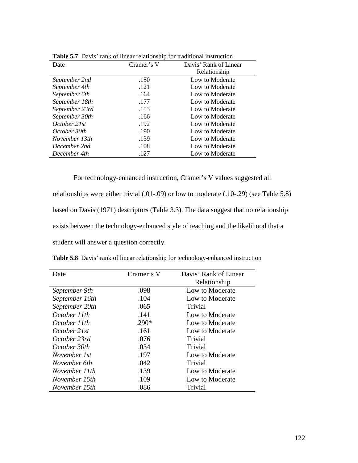| <b>Davis</b> Tank of Hilcar Ferationship for traditional mistraction |            |                       |  |
|----------------------------------------------------------------------|------------|-----------------------|--|
| Date                                                                 | Cramer's V | Davis' Rank of Linear |  |
|                                                                      |            | Relationship          |  |
| September 2nd                                                        | .150       | Low to Moderate       |  |
| September 4th                                                        | .121       | Low to Moderate       |  |
| September 6th                                                        | .164       | Low to Moderate       |  |
| September 18th                                                       | .177       | Low to Moderate       |  |
| September 23rd                                                       | .153       | Low to Moderate       |  |
| September 30th                                                       | .166       | Low to Moderate       |  |
| October 21st                                                         | .192       | Low to Moderate       |  |
| October 30th                                                         | .190       | Low to Moderate       |  |
| November 13th                                                        | .139       | Low to Moderate       |  |
| December 2nd                                                         | .108       | Low to Moderate       |  |
| December 4th                                                         | .127       | Low to Moderate       |  |
|                                                                      |            |                       |  |

**Table 5.7** Davis' rank of linear relationship for traditional instruction

For technology-enhanced instruction, Cramer's V values suggested all relationships were either trivial (.01-.09) or low to moderate (.10-.29) (see Table 5.8) based on Davis (1971) descriptors (Table 3.3). The data suggest that no relationship exists between the technology-enhanced style of teaching and the likelihood that a student will answer a question correctly.

| Date           | Cramer's V | Davis' Rank of Linear |
|----------------|------------|-----------------------|
|                |            | Relationship          |
| September 9th  | .098       | Low to Moderate       |
| September 16th | .104       | Low to Moderate       |
| September 20th | .065       | Trivial               |
| October 11th   | .141       | Low to Moderate       |
| October 11th   | $.290*$    | Low to Moderate       |
| October 21st   | .161       | Low to Moderate       |
| October 23rd   | .076       | Trivial               |
| October 30th   | .034       | Trivial               |
| November 1st   | .197       | Low to Moderate       |
| November 6th   | .042       | Trivial               |
| November 11th  | .139       | Low to Moderate       |
| November 15th  | .109       | Low to Moderate       |
| November 15th  | .086       | Trivial               |

**Table 5.8** Davis' rank of linear relationship for technology-enhanced instruction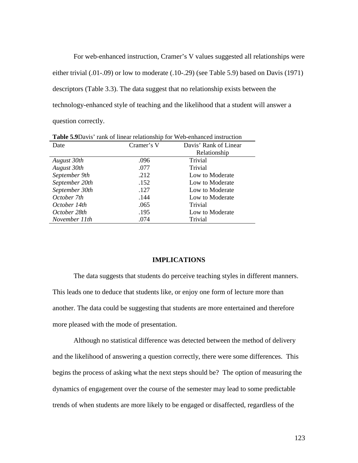For web-enhanced instruction, Cramer's V values suggested all relationships were either trivial (.01-.09) or low to moderate (.10-.29) (see Table 5.9) based on Davis (1971) descriptors (Table 3.3). The data suggest that no relationship exists between the technology-enhanced style of teaching and the likelihood that a student will answer a question correctly.

| <b>Lable 5.7</b> Davis Talk Of Hitch Telationship for Web-emianced histruction |            |                       |  |
|--------------------------------------------------------------------------------|------------|-----------------------|--|
| Date                                                                           | Cramer's V | Davis' Rank of Linear |  |
|                                                                                |            | Relationship          |  |
| August 30th                                                                    | .096       | Trivial               |  |
| August 30th                                                                    | .077       | Trivial               |  |
| September 9th                                                                  | .212       | Low to Moderate       |  |
| September 20th                                                                 | .152       | Low to Moderate       |  |
| September 30th                                                                 | .127       | Low to Moderate       |  |
| October 7th                                                                    | .144       | Low to Moderate       |  |
| October 14th                                                                   | .065       | Trivial               |  |
| October 28th                                                                   | .195       | Low to Moderate       |  |
| November 11th                                                                  | .074       | Trivial               |  |

**Table 5.9**Davis' rank of linear relationship for Web-enhanced instruction

### **IMPLICATIONS**

 The data suggests that students do perceive teaching styles in different manners. This leads one to deduce that students like, or enjoy one form of lecture more than another. The data could be suggesting that students are more entertained and therefore more pleased with the mode of presentation.

Although no statistical difference was detected between the method of delivery and the likelihood of answering a question correctly, there were some differences. This begins the process of asking what the next steps should be? The option of measuring the dynamics of engagement over the course of the semester may lead to some predictable trends of when students are more likely to be engaged or disaffected, regardless of the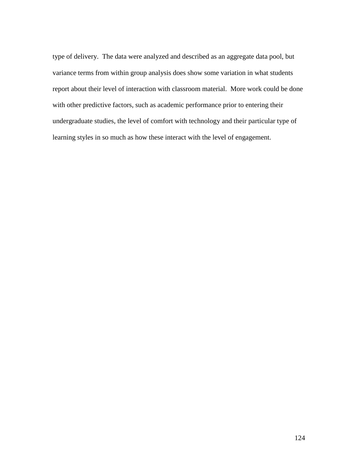type of delivery. The data were analyzed and described as an aggregate data pool, but variance terms from within group analysis does show some variation in what students report about their level of interaction with classroom material. More work could be done with other predictive factors, such as academic performance prior to entering their undergraduate studies, the level of comfort with technology and their particular type of learning styles in so much as how these interact with the level of engagement.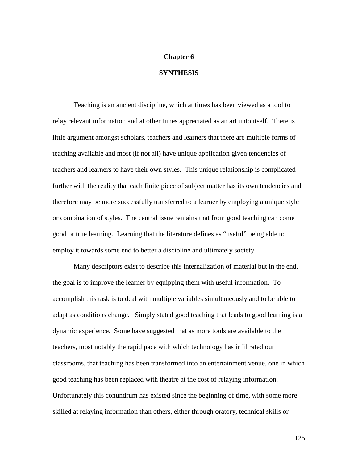### **Chapter 6**

## **SYNTHESIS**

 Teaching is an ancient discipline, which at times has been viewed as a tool to relay relevant information and at other times appreciated as an art unto itself. There is little argument amongst scholars, teachers and learners that there are multiple forms of teaching available and most (if not all) have unique application given tendencies of teachers and learners to have their own styles. This unique relationship is complicated further with the reality that each finite piece of subject matter has its own tendencies and therefore may be more successfully transferred to a learner by employing a unique style or combination of styles. The central issue remains that from good teaching can come good or true learning. Learning that the literature defines as "useful" being able to employ it towards some end to better a discipline and ultimately society.

Many descriptors exist to describe this internalization of material but in the end, the goal is to improve the learner by equipping them with useful information. To accomplish this task is to deal with multiple variables simultaneously and to be able to adapt as conditions change. Simply stated good teaching that leads to good learning is a dynamic experience. Some have suggested that as more tools are available to the teachers, most notably the rapid pace with which technology has infiltrated our classrooms, that teaching has been transformed into an entertainment venue, one in which good teaching has been replaced with theatre at the cost of relaying information. Unfortunately this conundrum has existed since the beginning of time, with some more skilled at relaying information than others, either through oratory, technical skills or

125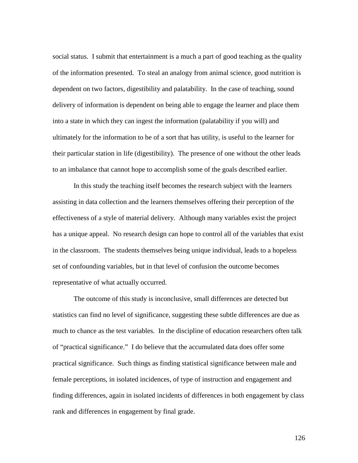social status. I submit that entertainment is a much a part of good teaching as the quality of the information presented. To steal an analogy from animal science, good nutrition is dependent on two factors, digestibility and palatability. In the case of teaching, sound delivery of information is dependent on being able to engage the learner and place them into a state in which they can ingest the information (palatability if you will) and ultimately for the information to be of a sort that has utility, is useful to the learner for their particular station in life (digestibility). The presence of one without the other leads to an imbalance that cannot hope to accomplish some of the goals described earlier.

In this study the teaching itself becomes the research subject with the learners assisting in data collection and the learners themselves offering their perception of the effectiveness of a style of material delivery. Although many variables exist the project has a unique appeal. No research design can hope to control all of the variables that exist in the classroom. The students themselves being unique individual, leads to a hopeless set of confounding variables, but in that level of confusion the outcome becomes representative of what actually occurred.

The outcome of this study is inconclusive, small differences are detected but statistics can find no level of significance, suggesting these subtle differences are due as much to chance as the test variables. In the discipline of education researchers often talk of "practical significance." I do believe that the accumulated data does offer some practical significance. Such things as finding statistical significance between male and female perceptions, in isolated incidences, of type of instruction and engagement and finding differences, again in isolated incidents of differences in both engagement by class rank and differences in engagement by final grade.

126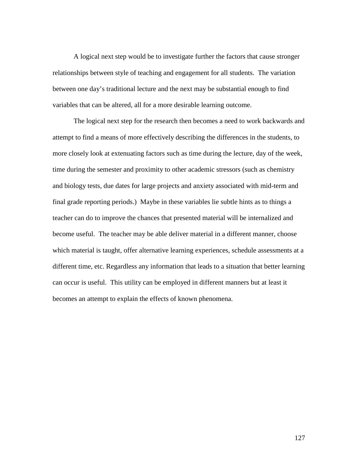A logical next step would be to investigate further the factors that cause stronger relationships between style of teaching and engagement for all students. The variation between one day's traditional lecture and the next may be substantial enough to find variables that can be altered, all for a more desirable learning outcome.

The logical next step for the research then becomes a need to work backwards and attempt to find a means of more effectively describing the differences in the students, to more closely look at extenuating factors such as time during the lecture, day of the week, time during the semester and proximity to other academic stressors (such as chemistry and biology tests, due dates for large projects and anxiety associated with mid-term and final grade reporting periods.) Maybe in these variables lie subtle hints as to things a teacher can do to improve the chances that presented material will be internalized and become useful. The teacher may be able deliver material in a different manner, choose which material is taught, offer alternative learning experiences, schedule assessments at a different time, etc. Regardless any information that leads to a situation that better learning can occur is useful. This utility can be employed in different manners but at least it becomes an attempt to explain the effects of known phenomena.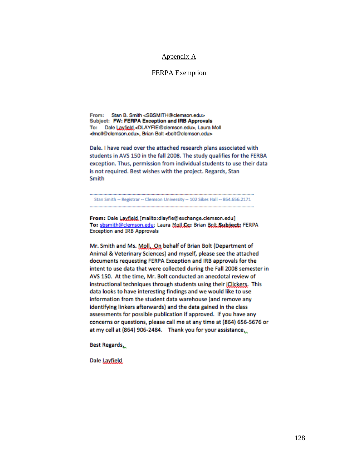## Appendix A

# FERPA Exemption

Stan B. Smith <SBSMITH@clemson.edu> Enomy. Subject: FW: FERPA Exception and IRB Approvals Dale Layfield <DLAYFIE@clemson.edu>, Laura Moll To: </moll@clemson.edu>. Brian Bolt <bolt@clemson.edu>

Dale. I have read over the attached research plans associated with students in AVS 150 in the fall 2008. The study qualifies for the FERBA exception. Thus, permission from individual students to use their data is not required. Best wishes with the project. Regards, Stan Smith

Stan Smith -- Registrar -- Clemson University -- 102 Sikes Hall -- 864.656.2171

From: Dale Laxfield [mailto:dlayfie@exchange.clemson.edu] To: sbsmith@clemson.edu; Laura Moll.Cc: Brian Bolt.Subject: FERPA **Exception and IRB Approvals** 

Mr. Smith and Ms. Moll. On behalf of Brian Bolt (Department of Animal & Veterinary Sciences) and myself, please see the attached documents requesting FERPA Exception and IRB approvals for the intent to use data that were collected during the Fall 2008 semester in AVS 150. At the time, Mr. Bolt conducted an anecdotal review of instructional techniques through students using their jClickers. This data looks to have interesting findings and we would like to use information from the student data warehouse (and remove any identifying linkers afterwards) and the data gained in the class assessments for possible publication if approved. If you have any concerns or questions, please call me at any time at (864) 656-5676 or at my cell at (864) 906-2484. Thank you for your assistance.

Best Regards,

Dale Layfield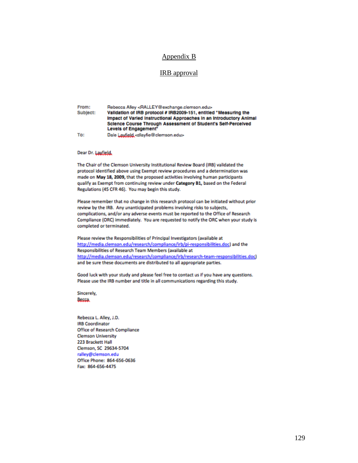# Appendix B

## IRB approval

From: Rebecca Alley <RALLEY@exchange.clemson.edu> Subject: Validation of IRB protocol # IRB2009-151, entitled "Measuring the Impact of Varied Instructional Approaches in an Introductory Animal Science Course Through Assessment of Student's Self-Perceived Levels of Engagement" To: Dale Layfield, -dlayfie@clemson.edus-

Dear Dr. Layfield,

The Chair of the Clemson University Institutional Review Board (IRB) validated the protocol identified above using Exempt review procedures and a determination was made on May 18, 2009, that the proposed activities involving human participants qualify as Exempt from continuing review under Category B1, based on the Federal Regulations (45 CFR 46). You may begin this study.

Please remember that no change in this research protocol can be initiated without prior review by the IRB. Any unanticipated problems involving risks to subjects, complications, and/or any adverse events must be reported to the Office of Research Compliance (ORC) immediately. You are requested to notify the ORC when your study is completed or terminated.

Please review the Responsibilities of Principal Investigators (available at http://media.clemson.edu/research/compliance/irb/pi-responsibilities.doc) and the Responsibilities of Research Team Members (available at http://media.clemson.edu/research/compliance/irb/research-team-responsibilities.doc) and be sure these documents are distributed to all appropriate parties.

Good luck with your study and please feel free to contact us if you have any questions. Please use the IRB number and title in all communications regarding this study.

Sincerely, Becca

Rebecca L. Alley, J.D. **IRB Coordinator** Office of Research Compliance **Clemson University** 223 Brackett Hall Clemson, SC 29634-5704 ralley@clemson.edu Office Phone: 864-656-0636 Fax: 864-656-4475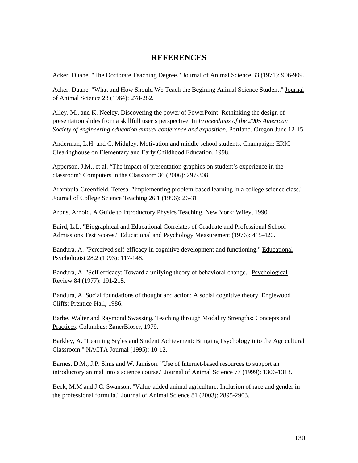# **REFERENCES**

Acker, Duane. "The Doctorate Teaching Degree." Journal of Animal Science 33 (1971): 906-909.

Acker, Duane. "What and How Should We Teach the Begining Animal Science Student." Journal of Animal Science 23 (1964): 278-282.

Alley, M., and K. Neeley. Discovering the power of PowerPoint: Rethinking the design of presentation slides from a skillfull user's perspective. In *Proceedings of the 2005 American Society of engineering education annual conference and exposition,* Portland, Oregon June 12-15

Anderman, L.H. and C. Midgley. Motivation and middle school students. Champaign: ERIC Clearinghouse on Elementary and Early Childhood Education, 1998.

Apperson, J.M., et al. "The impact of presentation graphics on student's experience in the classroom" Computers in the Classroom 36 (2006): 297-308.

Arambula-Greenfield, Teresa. "Implementing problem-based learning in a college science class." Journal of College Science Teaching 26.1 (1996): 26-31.

Arons, Arnold. A Guide to Introductory Physics Teaching. New York: Wiley, 1990.

Baird, L.L. "Biographical and Educational Correlates of Graduate and Professional School Admissions Test Scores." Educational and Psychology Measurement (1976): 415-420.

Bandura, A. "Perceived self-efficacy in cognitive development and functioning." Educational Psychologist 28.2 (1993): 117-148.

Bandura, A. "Self efficacy: Toward a unifying theory of behavioral change." Psychological Review 84 (1977): 191-215.

Bandura, A. Social foundations of thought and action: A social cognitive theory. Englewood Cliffs: Prentice-Hall, 1986.

Barbe, Walter and Raymond Swassing. Teaching through Modality Strengths: Concepts and Practices. Columbus: ZanerBloser, 1979.

Barkley, A. "Learning Styles and Student Achievment: Bringing Psychology into the Agricultural Classroom." NACTA Journal (1995): 10-12.

Barnes, D.M., J.P. Sims and W. Jamison. "Use of Internet-based resources to support an introductory animal into a science course." Journal of Animal Science 77 (1999): 1306-1313.

Beck, M.M and J.C. Swanson. "Value-added animal agriculture: Inclusion of race and gender in the professional formula." Journal of Animal Science 81 (2003): 2895-2903.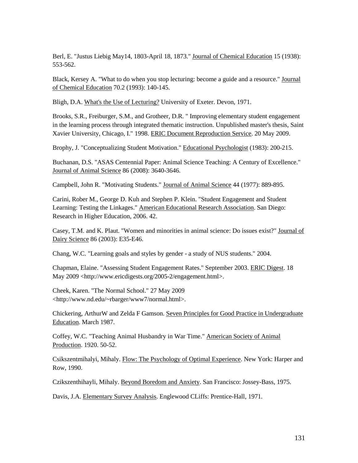Berl, E. "Justus Liebig May14, 1803-April 18, 1873." Journal of Chemical Education 15 (1938): 553-562.

Black, Kersey A. "What to do when you stop lecturing: become a guide and a resource." Journal of Chemical Education 70.2 (1993): 140-145.

Bligh, D.A. What's the Use of Lecturing? University of Exeter. Devon, 1971.

Brooks, S.R., Freiburger, S.M., and Grotheer, D.R. " Improving elementary student engagement in the learning process through integrated thematic instruction. Unpublished master's thesis, Saint Xavier University, Chicago, I." 1998. ERIC Document Reproduction Service. 20 May 2009.

Brophy, J. "Conceptualizing Student Motivation." Educational Psychologist (1983): 200-215.

Buchanan, D.S. "ASAS Centennial Paper: Animal Science Teaching: A Century of Excellence." Journal of Animal Science 86 (2008): 3640-3646.

Campbell, John R. "Motivating Students." Journal of Animal Science 44 (1977): 889-895.

Carini, Rober M., George D. Kuh and Stephen P. Klein. "Student Engagement and Student Learning: Testing the Linkages." American Educational Research Association. San Diego: Research in Higher Education, 2006. 42.

Casey, T.M. and K. Plaut. "Women and minorities in animal science: Do issues exist?" Journal of Dairy Science 86 (2003): E35-E46.

Chang, W.C. "Learning goals and styles by gender - a study of NUS students." 2004.

Chapman, Elaine. "Assessing Student Engagement Rates." September 2003. ERIC Digest. 18 May 2009 <http://www.ericdigests.org/2005-2/engagement.html>.

Cheek, Karen. "The Normal School." 27 May 2009 <http://www.nd.edu/~rbarger/www7/normal.html>.

Chickering, ArthurW and Zelda F Gamson. Seven Principles for Good Practice in Undergraduate Education. March 1987.

Coffey, W.C. "Teaching Animal Husbandry in War Time." American Society of Animal Production. 1920. 50-52.

Csikszentmihalyi, Mihaly. Flow: The Psychology of Optimal Experience. New York: Harper and Row, 1990.

Czikszenthihayli, Mihaly. Beyond Boredom and Anxiety. San Francisco: Jossey-Bass, 1975.

Davis, J.A. Elementary Survey Analysis. Englewood CLiffs: Prentice-Hall, 1971.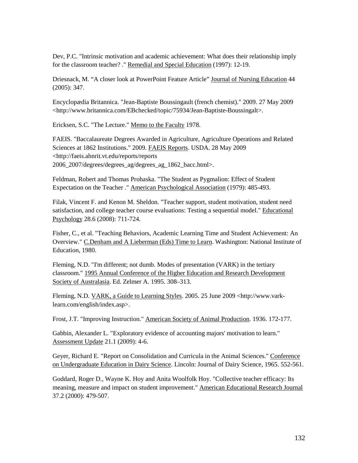Dev, P.C. "Intrinsic motivation and academic achievement: What does their relationship imply for the classroom teacher? ." Remedial and Special Education (1997): 12-19.

Driesnack, M. "A closer look at PowerPoint Feature Article" Journal of Nursing Education 44 (2005): 347.

Encyclopædia Britannica. "Jean-Baptiste Boussingault (french chemist)." 2009. 27 May 2009 <http://www.britannica.com/EBchecked/topic/75934/Jean-Baptiste-Boussingalt>.

Ericksen, S.C. "The Lecture." Memo to the Faculty 1978.

FAEIS. "Baccalaureate Degrees Awarded in Agriculture, Agriculture Operations and Related Sciences at 1862 Institutions." 2009. FAEIS Reports. USDA. 28 May 2009 <http://faeis.ahnrit.vt.edu/reports/reports 2006\_2007/degrees/degrees\_ag/degrees\_ag\_1862\_bacc.html>.

Feldman, Robert and Thomas Prohaska. "The Student as Pygmalion: Effect of Student Expectation on the Teacher ." American Psychological Association (1979): 485-493.

Filak, Vincent F. and Kenon M. Sheldon. "Teacher support, student motivation, student need satisfaction, and college teacher course evaluations: Testing a sequential model." Educational Psychology 28.6 (2008): 711-724.

Fisher, C., et al. "Teaching Behaviors, Academic Learning Time and Student Achievement: An Overview." C.Denham and A Lieberman (Eds) Time to Learn. Washington: National Institute of Education, 1980.

Fleming, N.D. "I'm different; not dumb. Modes of presentation (VARK) in the tertiary classroom." 1995 Annual Conference of the Higher Education and Research Development Society of Australasia. Ed. Zelmer A. 1995. 308–313.

Fleming, N.D. VARK, a Guide to Learning Styles. 2005. 25 June 2009 <http://www.varklearn.com/english/index.asp>.

Frost, J.T. "Improving Instruction." American Society of Animal Production. 1936. 172-177.

Gabbin, Alexander L. "Exploratory evidence of accounting majors' motivation to learn." Assessment Update 21.1 (2009): 4-6.

Geyer, Richard E. "Report on Consolidation and Curricula in the Animal Sciences." Conference on Undergraduate Education in Dairy Science. Lincoln: Journal of Dairy Science, 1965. 552-561.

Goddard, Roger D., Wayne K. Hoy and Anita Woolfolk Hoy. "Collective teacher efficacy: Its meaning, measure and impact on student improvement." American Educational Research Journal 37.2 (2000): 479-507.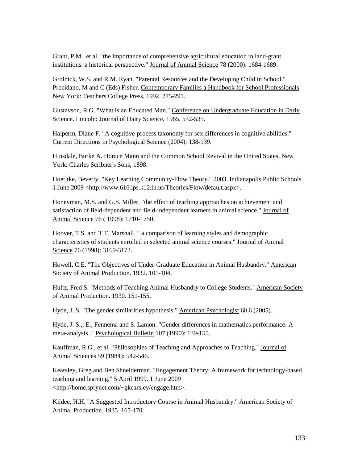Grant, P.M., et al. "the importance of comprehensive agricultural education in land-grant institutions: a historical perspective." Journal of Animal Science 78 (2000): 1684-1689.

Grolnick, W.S. and R.M. Ryan. "Parental Resources and the Developing Child in School." Procidano, M and C (Eds) Fisher. Contemporary Families a Handbook for School Professionals. New York: Teachers College Press, 1992. 275-291.

Gustavson, R.G. "What is an Educated Man." Conference on Undergraduate Education in Dariy Science. Lincoln: Journal of Dairy Science, 1965. 532-535.

Halperm, Diane F. "A cognitive-process taxonomy for sex differences in cognitive abilities." Current Directions in Psychological Science (2004): 138-139.

Hinsdale, Burke A. Horace Mann and the Common School Revival in the United States. New York: Charles Scribner's Sons, 1898.

Hoetltke, Beverly. "Key Learning Community-Flow Theory." 2003. Indianapolis Public Schools. 1 June 2009 <http://www.616.ips.k12.in.us/Theories/Flow/default.aspx>.

Honeyman, M.S. and G.S. Miller. "the effect of teaching approaches on achievement and satisfaction of field-dependent and field-independent learners in animal science." Journal of Animal Science 76 ( 1998): 1710-1750.

Hoover, T.S. and T.T. Marshall. " a comparison of learning styles and demographic characteristics of students enrolled in selected animal science courses." Journal of Animal Science 76 (1998): 3169-3173.

Howell, C.E. "The Objectives of Under-Graduate Education in Animal Husbandry." American Society of Animal Production. 1932. 101-104.

Hultz, Fred S. "Methods of Teaching Animal Husbandry to College Students." American Society of Animal Production. 1930. 151-155.

Hyde, J. S. "The gender similarities hypothesis." American Psychologist 60.6 (2005).

Hyde, J. S.,, E., Fennema and S. Lamon. "Gender differences in mathematics performance: A meta-analysis ." Psychological Bulletin 107 (1990): 139-155.

Kauffman, R.G., et al. "Philosophies of Teaching and Approaches to Teaching." Journal of Animal Sciences 59 (1984): 542-546.

Kearsley, Greg and Ben Shneiderman. "Engagement Theory: A framework for technology-based teaching and learning." 5 April 1999. 1 June 2009 <http://home.sprynet.com/~gkearsley/engage.htm>.

Kildee, H.H. "A Suggested Introductory Course in Animal Husbandry." American Society of Animal Production. 1935. 165-170.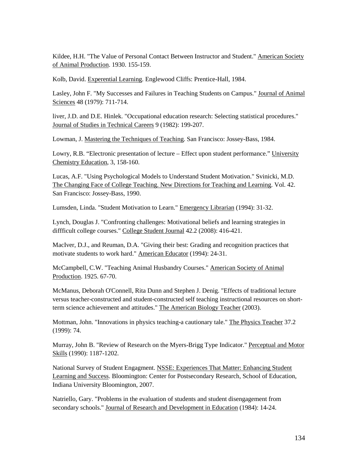Kildee, H.H. "The Value of Personal Contact Between Instructor and Student." American Society of Animal Production. 1930. 155-159.

Kolb, David. Experential Learning. Englewood Cliffs: Prentice-Hall, 1984.

Lasley, John F. "My Successes and Failures in Teaching Students on Campus." Journal of Animal Sciences 48 (1979): 711-714.

liver, J.D. and D.E. Hinlek. "Occupational education research: Selecting statistical procedures." Journal of Studies in Technical Careers 9 (1982): 199-207.

Lowman, J. Mastering the Techniques of Teaching. San Francisco: Jossey-Bass, 1984.

Lowry, R.B. "Electronic presentation of lecture – Effect upon student performance." University Chemistry Education, 3, 158-160.

Lucas, A.F. "Using Psychological Models to Understand Student Motivation." Svinicki, M.D. The Changing Face of College Teaching. New Directions for Teaching and Learning. Vol. 42. San Francisco: Jossey-Bass, 1990.

Lumsden, Linda. "Student Motivation to Learn." Emergency Librarian (1994): 31-32.

Lynch, Douglas J. "Confronting challenges: Motivational beliefs and learning strategies in diffficult college courses." College Student Journal 42.2 (2008): 416-421.

MacIver, D.J., and Reuman, D.A. "Giving their best: Grading and recognition practices that motivate students to work hard." American Educator (1994): 24-31.

McCampbell, C.W. "Teaching Animal Husbandry Courses." American Society of Animal Production. 1925. 67-70.

McManus, Deborah O'Connell, Rita Dunn and Stephen J. Denig. "Effects of traditional lecture versus teacher-constructed and student-constructed self teaching instructional resources on shortterm science achievement and attitudes." The American Biology Teacher (2003).

Mottman, John. "Innovations in physics teaching-a cautionary tale." The Physics Teacher 37.2 (1999): 74.

Murray, John B. "Review of Research on the Myers-Brigg Type Indicator." Perceptual and Motor Skills (1990): 1187-1202.

National Survey of Student Engagment. NSSE: Experiences That Matter: Enhancing Student Learning and Success. Bloomington: Center for Postsecondary Research, School of Education, Indiana University Bloomington, 2007.

Natriello, Gary. "Problems in the evaluation of students and student disengagement from secondary schools." Journal of Research and Development in Education (1984): 14-24.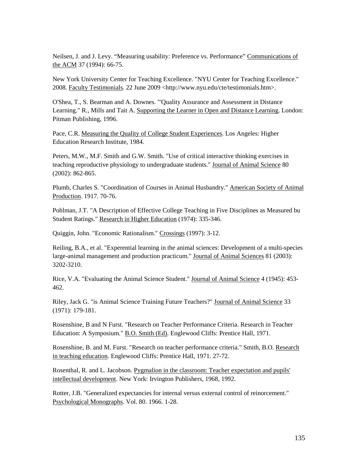Neilsen, J. and J. Levy. "Measuring usability: Preference vs. Performance" Communications of the ACM 37 (1994): 66-75.

New York University Center for Teaching Excellence. "NYU Center for Teaching Excellence." 2008. Faculty Testimonials. 22 June 2009 <http://www.nyu.edu/cte/testimonials.htm>.

O'Shea, T., S. Bearman and A. Downes. "'Quality Assurance and Assessment in Distance Learning." R., Mills and Tait A. Supporting the Learner in Open and Distance Learning. London: Pitman Publishing, 1996.

Pace, C.R. Measuring the Quality of College Student Experiences. Los Angeles: Higher Education Research Institute, 1984.

Peters, M.W., M.F. Smith and G.W. Smith. "Use of critical interactive thinking exercises in teaching reproductive physiology to undergraduate students." Journal of Animal Science 80 (2002): 862-865.

Plumb, Charles S. "Coordination of Courses in Animal Husbandry." American Society of Animal Production. 1917. 70-76.

Pohlman, J.T. "A Description of Effective College Teaching in Five Disciplines as Measured bu Student Ratings." Research in Higher Education (1974): 335-346.

Quiggin, John. "Economic Rationalism." Crossings (1997): 3-12.

Reiling, B.A., et al. "Experential learning in the animal sciences: Development of a multi-species large-animal management and production practicum." Journal of Animal Sciences 81 (2003): 3202-3210.

Rice, V.A. "Evaluating the Animal Science Student." Journal of Animal Science 4 (1945): 453- 462.

Riley, Jack G. "is Animal Science Training Future Teachers?" Journal of Animal Science 33 (1971): 179-181.

Rosenshine, B and N Furst. "Research on Teacher Performance Criteria. Research in Teacher Education: A Symposium." B.O. Smith (Ed). Englewood Cliffs: Prentice Hall, 1971.

Rosenshine, B. and M. Furst. "Research on teacher performance criteria." Smith, B.O. Research in teaching education. Englewood Cliffs: Prentice Hall, 1971. 27-72.

Rosenthal, R. and L. Jacobson. Pygmalion in the classroom: Teacher expectation and pupils' intellectual development. New York: Irvington Publishers, 1968, 1992.

Rotter, J.B. "Generalized expectancies for internal versus external control of reinorcement." Psychological Monographs. Vol. 80. 1966. 1-28.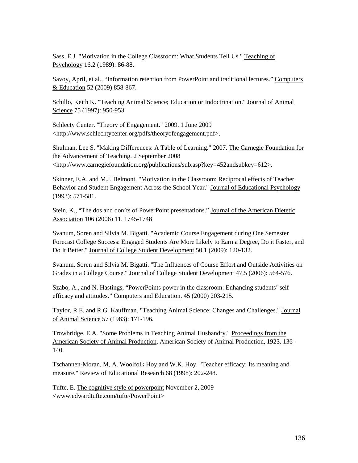Sass, E.J. "Motivation in the College Classroom: What Students Tell Us." Teaching of Psychology 16.2 (1989): 86-88.

Savoy, April, et al., "Information retention from PowerPoint and traditional lectures." Computers & Education 52 (2009) 858-867.

Schillo, Keith K. "Teaching Animal Science; Education or Indoctrination." Journal of Animal Science 75 (1997): 950-953.

Schlecty Center. "Theory of Engagement." 2009. 1 June 2009 <http://www.schlechtycenter.org/pdfs/theoryofengagement.pdf>.

Shulman, Lee S. "Making Differences: A Table of Learning." 2007. The Carnegie Foundation for the Advancement of Teaching. 2 September 2008 <http://www.carnegiefoundation.org/publications/sub.asp?key=452andsubkey=612>.

Skinner, E.A. and M.J. Belmont. "Motivation in the Classroom: Reciprocal effects of Teacher Behavior and Student Engagement Across the School Year." Journal of Educational Psychology (1993): 571-581.

Stein, K., "The dos and don'ts of PowerPoint presentations." Journal of the American Dietetic Association 106 (2006) 11. 1745-1748

Svanum, Soren and Silvia M. Bigatti. "Academic Course Engagement during One Semester Forecast College Success: Engaged Students Are More Likely to Earn a Degree, Do it Faster, and Do It Better." Journal of College Student Development 50.1 (2009): 120-132.

Svanum, Soren and Silvia M. Bigatti. "The Influences of Course Effort and Outside Activities on Grades in a College Course." Journal of College Student Development 47.5 (2006): 564-576.

Szabo, A., and N. Hastings, "PowerPoints power in the classroom: Enhancing students' self efficacy and attitudes." Computers and Education. 45 (2000) 203-215.

Taylor, R.E. and R.G. Kauffman. "Teaching Animal Science: Changes and Challenges." Journal of Animal Science 57 (1983): 171-196.

Trowbridge, E.A. "Some Problems in Teaching Animal Husbandry." Proceedings from the American Society of Animal Production. American Society of Animal Production, 1923. 136- 140.

Tschannen-Moran, M, A. Woolfolk Hoy and W.K. Hoy. "Teacher efficacy: Its meaning and measure." Review of Educational Research 68 (1998): 202-248.

Tufte, E. The cognitive style of powerpoint November 2, 2009 <www.edwardtufte.com/tufte/PowerPoint>